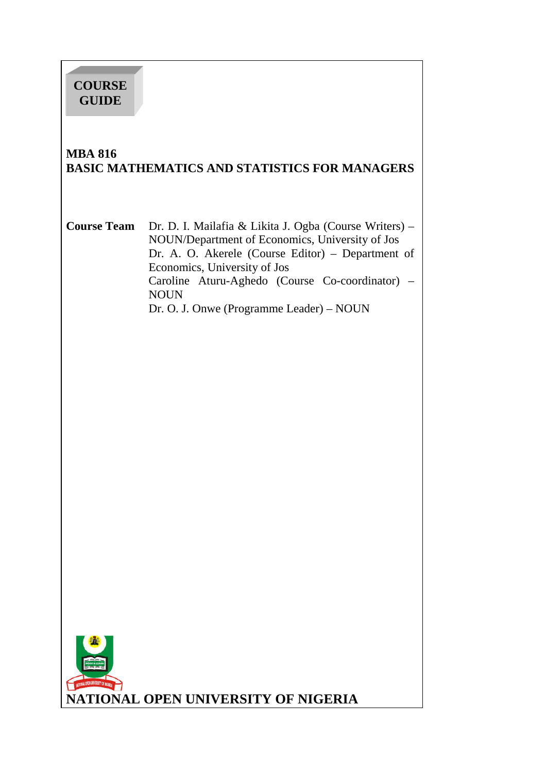# **COURSE GUIDE**

í

## **MBA 816 BASIC MATHEMATICS AND STATISTICS FOR MANAGERS**

**Course Team** Dr. D. I. Mailafia & Likita J. Ogba (Course Writers) – NOUN/Department of Economics, University of Jos Dr. A. O. Akerele (Course Editor) – Department of Economics, University of Jos Caroline Aturu-Aghedo (Course Co-coordinator) – NOUN Dr. O. J. Onwe (Programme Leader) – NOUN

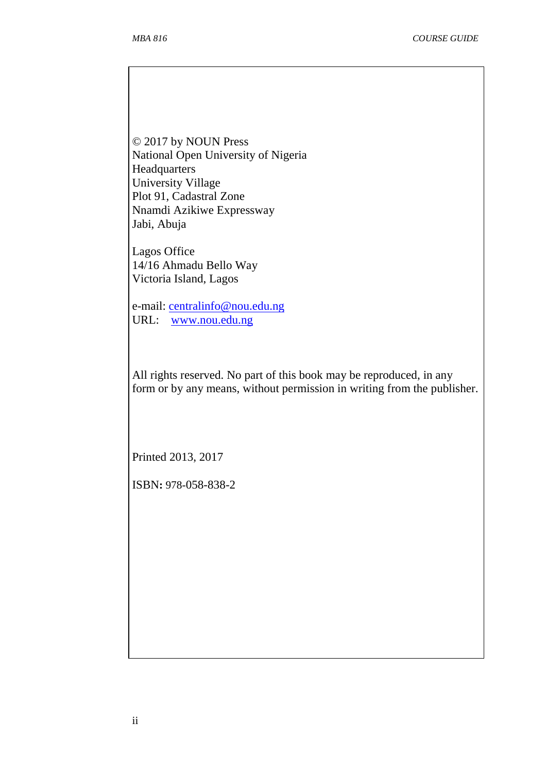© 2017 by NOUN Press National Open University of Nigeria **Headquarters** University Village Plot 91, Cadastral Zone Nnamdi Azikiwe Expressway Jabi, Abuja

Lagos Office 14/16 Ahmadu Bello Way Victoria Island, Lagos

e-mail: centralinfo@nou.edu.ng URL: www.nou.edu.ng

All rights reserved. No part of this book may be reproduced, in any form or by any means, without permission in writing from the publisher.

Printed 2013, 2017

ISBN**:** 978-058-838-2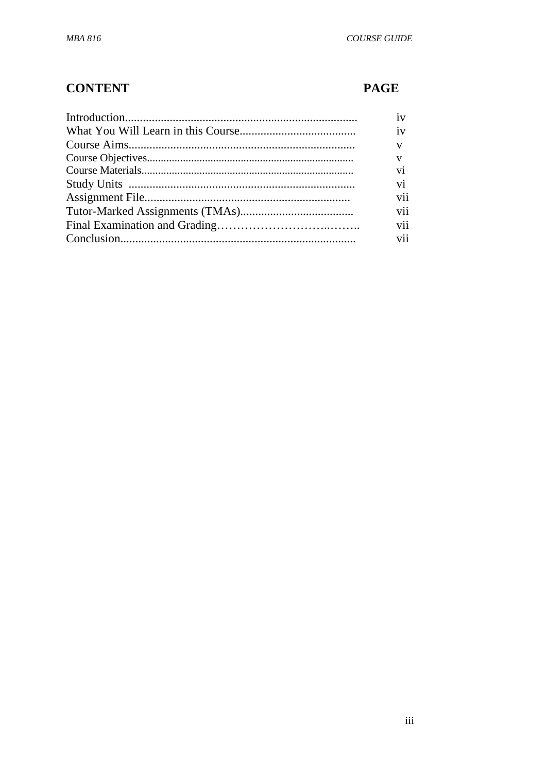# **CONTENT**

# **PAGE**

| iv                       |
|--------------------------|
| iv                       |
| $\mathbf{V}$             |
| V                        |
| vi                       |
| $\overline{\mathbf{vi}}$ |
| vii                      |
| vii                      |
| vii                      |
| vii                      |
|                          |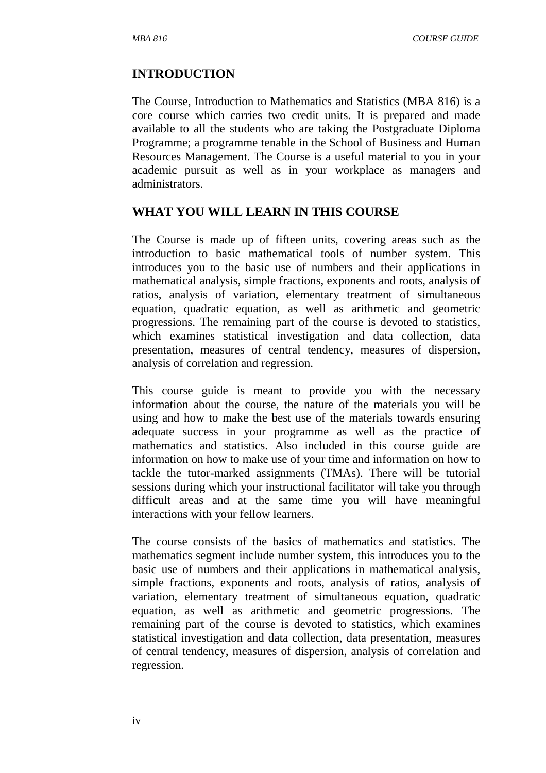#### **INTRODUCTION**

The Course, Introduction to Mathematics and Statistics (MBA 816) is a core course which carries two credit units. It is prepared and made available to all the students who are taking the Postgraduate Diploma Programme; a programme tenable in the School of Business and Human Resources Management. The Course is a useful material to you in your academic pursuit as well as in your workplace as managers and administrators.

### **WHAT YOU WILL LEARN IN THIS COURSE**

The Course is made up of fifteen units, covering areas such as the introduction to basic mathematical tools of number system. This introduces you to the basic use of numbers and their applications in mathematical analysis, simple fractions, exponents and roots, analysis of ratios, analysis of variation, elementary treatment of simultaneous equation, quadratic equation, as well as arithmetic and geometric progressions. The remaining part of the course is devoted to statistics, which examines statistical investigation and data collection, data presentation, measures of central tendency, measures of dispersion, analysis of correlation and regression.

This course guide is meant to provide you with the necessary information about the course, the nature of the materials you will be using and how to make the best use of the materials towards ensuring adequate success in your programme as well as the practice of mathematics and statistics. Also included in this course guide are information on how to make use of your time and information on how to tackle the tutor-marked assignments (TMAs). There will be tutorial sessions during which your instructional facilitator will take you through difficult areas and at the same time you will have meaningful interactions with your fellow learners.

The course consists of the basics of mathematics and statistics. The mathematics segment include number system, this introduces you to the basic use of numbers and their applications in mathematical analysis, simple fractions, exponents and roots, analysis of ratios, analysis of variation, elementary treatment of simultaneous equation, quadratic equation, as well as arithmetic and geometric progressions. The remaining part of the course is devoted to statistics, which examines statistical investigation and data collection, data presentation, measures of central tendency, measures of dispersion, analysis of correlation and regression.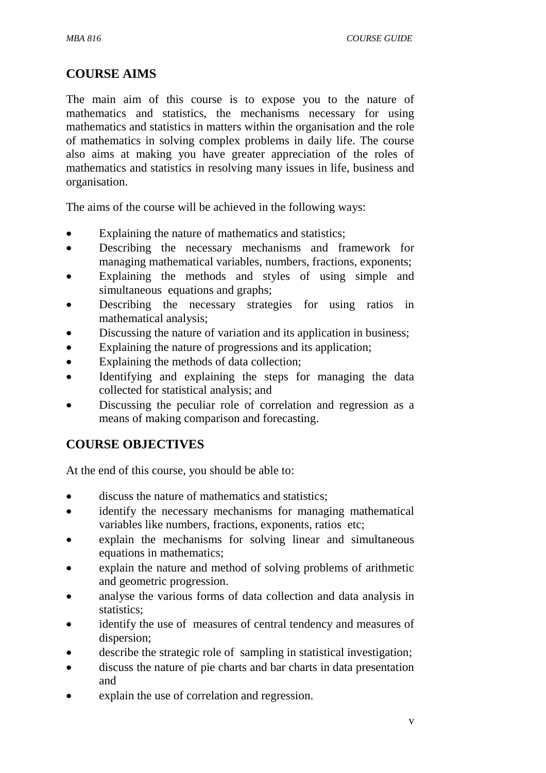## **COURSE AIMS**

The main aim of this course is to expose you to the nature of mathematics and statistics, the mechanisms necessary for using mathematics and statistics in matters within the organisation and the role of mathematics in solving complex problems in daily life. The course also aims at making you have greater appreciation of the roles of mathematics and statistics in resolving many issues in life, business and organisation.

The aims of the course will be achieved in the following ways:

- Explaining the nature of mathematics and statistics;
- Describing the necessary mechanisms and framework for managing mathematical variables, numbers, fractions, exponents;
- Explaining the methods and styles of using simple and simultaneous equations and graphs;
- Describing the necessary strategies for using ratios in mathematical analysis;
- Discussing the nature of variation and its application in business;
- Explaining the nature of progressions and its application;
- Explaining the methods of data collection;
- Identifying and explaining the steps for managing the data collected for statistical analysis; and
- Discussing the peculiar role of correlation and regression as a means of making comparison and forecasting.

# **COURSE OBJECTIVES**

At the end of this course, you should be able to:

- discuss the nature of mathematics and statistics;
- identify the necessary mechanisms for managing mathematical variables like numbers, fractions, exponents, ratios etc;
- explain the mechanisms for solving linear and simultaneous equations in mathematics;
- explain the nature and method of solving problems of arithmetic and geometric progression.
- analyse the various forms of data collection and data analysis in statistics:
- identify the use of measures of central tendency and measures of dispersion;
- describe the strategic role of sampling in statistical investigation;
- discuss the nature of pie charts and bar charts in data presentation and
- explain the use of correlation and regression.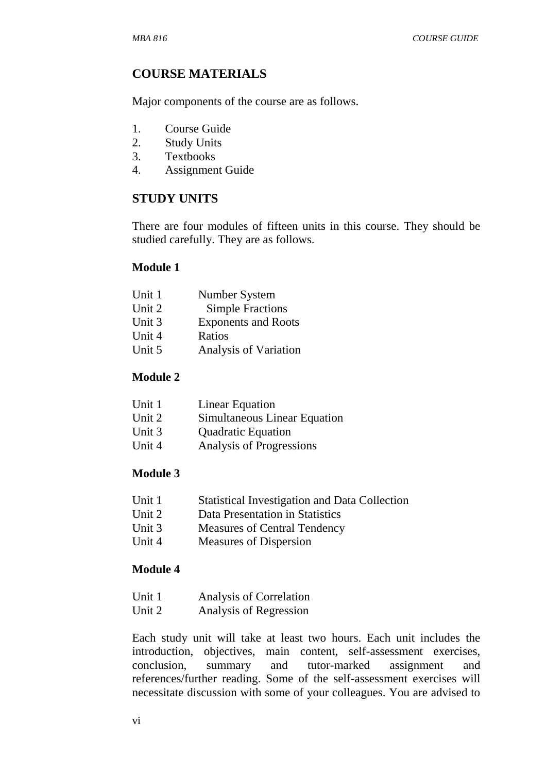# **COURSE MATERIALS**

Major components of the course are as follows.

- 1. Course Guide
- 2. Study Units
- 3. Textbooks
- 4. Assignment Guide

## **STUDY UNITS**

There are four modules of fifteen units in this course. They should be studied carefully. They are as follows.

## **Module 1**

| Number System              |
|----------------------------|
| <b>Simple Fractions</b>    |
| <b>Exponents and Roots</b> |
| Ratios                     |
| Analysis of Variation      |
|                            |

## **Module 2**

| Unit 1 | Linear Equation              |
|--------|------------------------------|
| Unit 2 | Simultaneous Linear Equation |
| Unit 3 | <b>Quadratic Equation</b>    |
| Unit 4 | Analysis of Progressions     |

### **Module 3**

- Unit 1 Statistical Investigation and Data Collection
- Unit 2 Data Presentation in Statistics
- Unit 3 Measures of Central Tendency
- Unit 4 Measures of Dispersion

### **Module 4**

| Analysis of Correlation |
|-------------------------|
|                         |

Unit 2 Analysis of Regression

Each study unit will take at least two hours. Each unit includes the introduction, objectives, main content, self-assessment exercises, conclusion, summary and tutor-marked assignment and references/further reading. Some of the self-assessment exercises will necessitate discussion with some of your colleagues. You are advised to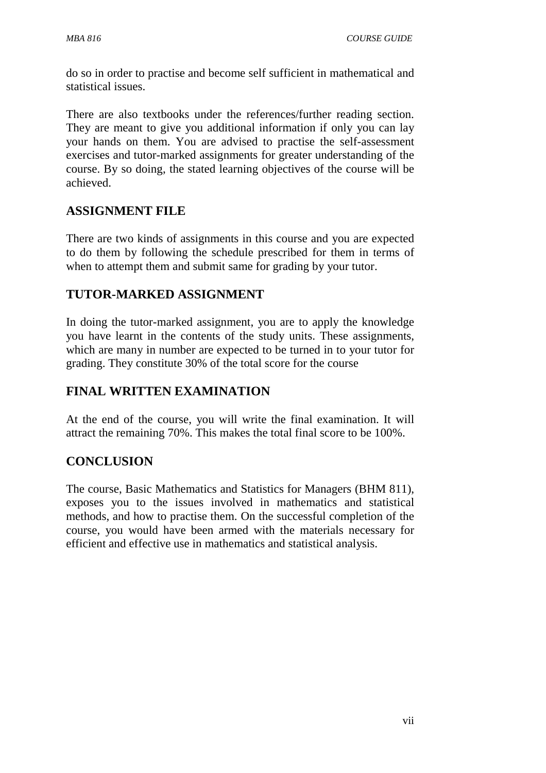do so in order to practise and become self sufficient in mathematical and statistical issues.

There are also textbooks under the references/further reading section. They are meant to give you additional information if only you can lay your hands on them. You are advised to practise the self-assessment exercises and tutor-marked assignments for greater understanding of the course. By so doing, the stated learning objectives of the course will be achieved.

# **ASSIGNMENT FILE**

There are two kinds of assignments in this course and you are expected to do them by following the schedule prescribed for them in terms of when to attempt them and submit same for grading by your tutor.

# **TUTOR-MARKED ASSIGNMENT**

In doing the tutor-marked assignment, you are to apply the knowledge you have learnt in the contents of the study units. These assignments, which are many in number are expected to be turned in to your tutor for grading. They constitute 30% of the total score for the course

# **FINAL WRITTEN EXAMINATION**

At the end of the course, you will write the final examination. It will attract the remaining 70%. This makes the total final score to be 100%.

# **CONCLUSION**

The course, Basic Mathematics and Statistics for Managers (BHM 811), exposes you to the issues involved in mathematics and statistical methods, and how to practise them. On the successful completion of the course, you would have been armed with the materials necessary for efficient and effective use in mathematics and statistical analysis.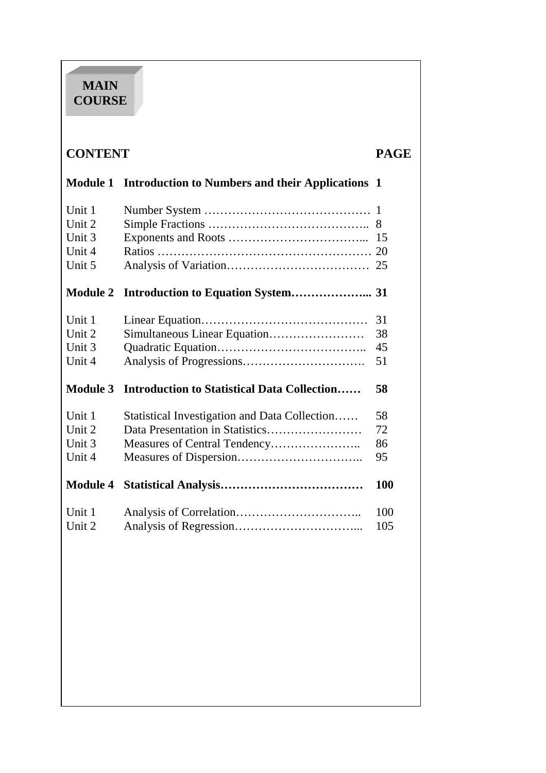# **MAIN COURSE**

í

| <b>CONTENT</b><br><b>PAGE</b> |                                                                  |              |
|-------------------------------|------------------------------------------------------------------|--------------|
|                               | <b>Module 1 Introduction to Numbers and their Applications 1</b> |              |
| Unit 1                        |                                                                  | $\mathbf{1}$ |
| Unit 2                        |                                                                  |              |
| Unit 3                        |                                                                  | 15           |
| Unit 4                        |                                                                  |              |
| Unit 5                        |                                                                  |              |
| <b>Module 2</b>               |                                                                  |              |
| Unit 1                        |                                                                  | 31           |
| Unit 2                        | Simultaneous Linear Equation                                     | 38           |
| Unit 3                        |                                                                  | 45           |
| Unit 4                        |                                                                  | 51           |
| <b>Module 3</b>               | <b>Introduction to Statistical Data Collection</b>               | 58           |
| Unit 1                        | Statistical Investigation and Data Collection                    | 58           |
| Unit 2                        | Data Presentation in Statistics                                  | 72           |
| Unit 3                        | Measures of Central Tendency                                     | 86           |
| Unit 4                        |                                                                  | 95           |
| <b>Module 4</b>               |                                                                  | 100          |
| Unit 1                        |                                                                  | 100          |
| Unit 2                        |                                                                  | 105          |
|                               |                                                                  |              |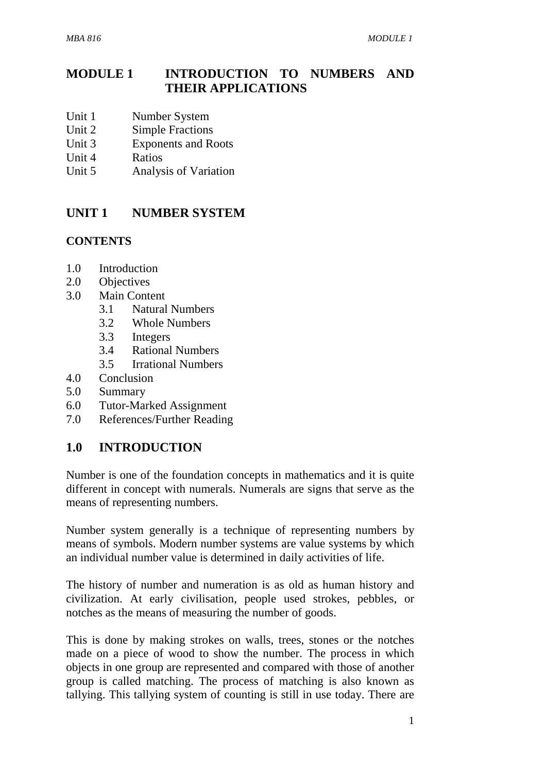# **MODULE 1 INTRODUCTION TO NUMBERS AND THEIR APPLICATIONS**

- Unit 1 Number System
- Unit 2 Simple Fractions
- Unit 3 Exponents and Roots
- Unit 4 Ratios
- Unit 5 Analysis of Variation

## **UNIT 1 NUMBER SYSTEM**

## **CONTENTS**

- 1.0 Introduction
- 2.0 Objectives
- 3.0 Main Content
	- 3.1 Natural Numbers
	- 3.2 Whole Numbers
	- 3.3 Integers
	- 3.4 Rational Numbers
	- 3.5 Irrational Numbers
- 4.0 Conclusion
- 5.0 Summary
- 6.0 Tutor-Marked Assignment
- 7.0 References/Further Reading

## **1.0 INTRODUCTION**

Number is one of the foundation concepts in mathematics and it is quite different in concept with numerals. Numerals are signs that serve as the means of representing numbers.

Number system generally is a technique of representing numbers by means of symbols. Modern number systems are value systems by which an individual number value is determined in daily activities of life.

The history of number and numeration is as old as human history and civilization. At early civilisation, people used strokes, pebbles, or notches as the means of measuring the number of goods.

This is done by making strokes on walls, trees, stones or the notches made on a piece of wood to show the number. The process in which objects in one group are represented and compared with those of another group is called matching. The process of matching is also known as tallying. This tallying system of counting is still in use today. There are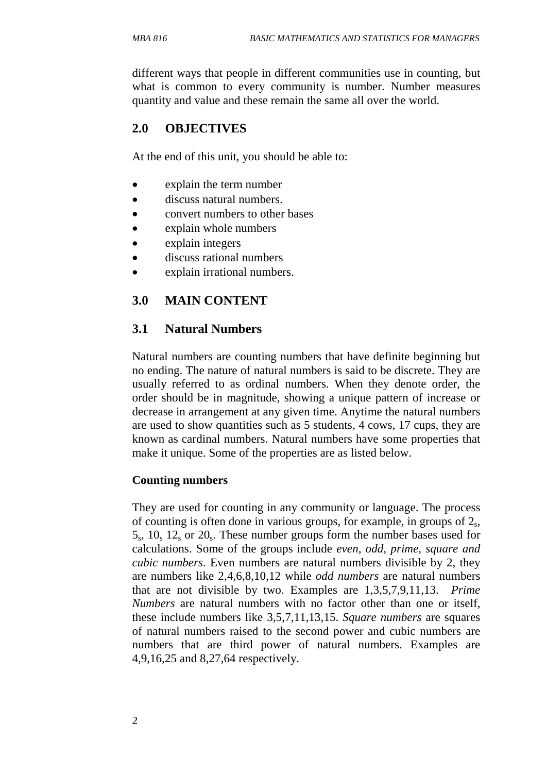different ways that people in different communities use in counting, but what is common to every community is number. Number measures quantity and value and these remain the same all over the world.

# **2.0 OBJECTIVES**

At the end of this unit, you should be able to:

- explain the term number
- discuss natural numbers.
- convert numbers to other bases
- explain whole numbers
- explain integers
- discuss rational numbers
- explain irrational numbers.

## **3.0 MAIN CONTENT**

## **3.1 Natural Numbers**

Natural numbers are counting numbers that have definite beginning but no ending. The nature of natural numbers is said to be discrete. They are usually referred to as ordinal numbers. When they denote order, the order should be in magnitude, showing a unique pattern of increase or decrease in arrangement at any given time. Anytime the natural numbers are used to show quantities such as 5 students, 4 cows, 17 cups, they are known as cardinal numbers. Natural numbers have some properties that make it unique. Some of the properties are as listed below.

### **Counting numbers**

They are used for counting in any community or language. The process of counting is often done in various groups, for example, in groups of  $2_s$ ,  $5_s$ ,  $10_s$   $12_s$  or  $20_s$ . These number groups form the number bases used for calculations. Some of the groups include *even, odd, prime, square and cubic numbers*. Even numbers are natural numbers divisible by 2, they are numbers like 2,4,6,8,10,12 while *odd numbers* are natural numbers that are not divisible by two. Examples are 1,3,5,7,9,11,13. *Prime Numbers* are natural numbers with no factor other than one or itself, these include numbers like 3,5,7,11,13,15. *Square numbers* are squares of natural numbers raised to the second power and cubic numbers are numbers that are third power of natural numbers. Examples are 4,9,16,25 and 8,27,64 respectively.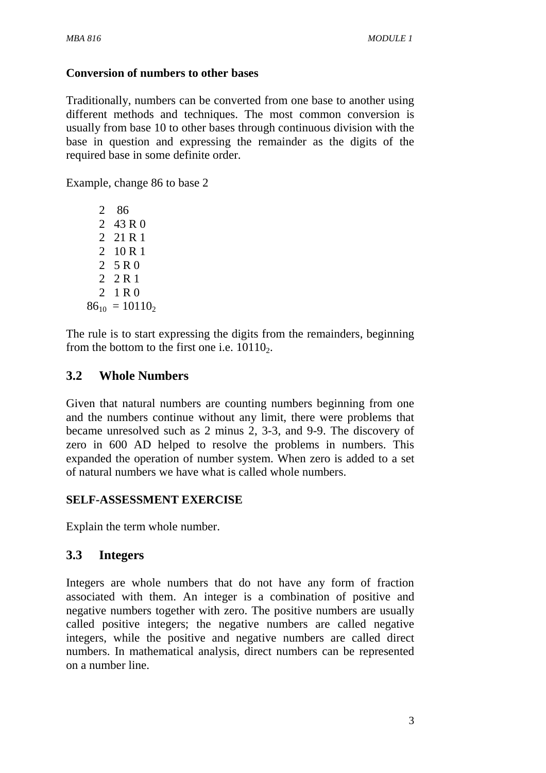## **Conversion of numbers to other bases**

Traditionally, numbers can be converted from one base to another using different methods and techniques. The most common conversion is usually from base 10 to other bases through continuous division with the base in question and expressing the remainder as the digits of the required base in some definite order.

Example, change 86 to base 2

The rule is to start expressing the digits from the remainders, beginning from the bottom to the first one i.e.  $10110<sub>2</sub>$ .

## **3.2 Whole Numbers**

Given that natural numbers are counting numbers beginning from one and the numbers continue without any limit, there were problems that became unresolved such as 2 minus 2, 3-3, and 9-9. The discovery of zero in 600 AD helped to resolve the problems in numbers. This expanded the operation of number system. When zero is added to a set of natural numbers we have what is called whole numbers.

## **SELF-ASSESSMENT EXERCISE**

Explain the term whole number.

## **3.3 Integers**

Integers are whole numbers that do not have any form of fraction associated with them. An integer is a combination of positive and negative numbers together with zero. The positive numbers are usually called positive integers; the negative numbers are called negative integers, while the positive and negative numbers are called direct numbers. In mathematical analysis, direct numbers can be represented on a number line.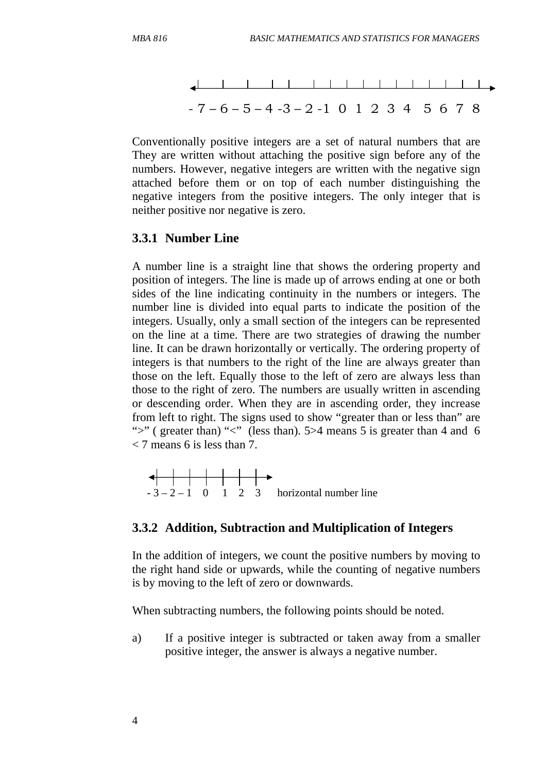

Conventionally positive integers are a set of natural numbers that are They are written without attaching the positive sign before any of the numbers. However, negative integers are written with the negative sign attached before them or on top of each number distinguishing the negative integers from the positive integers. The only integer that is neither positive nor negative is zero.

### **3.3.1 Number Line**

A number line is a straight line that shows the ordering property and position of integers. The line is made up of arrows ending at one or both sides of the line indicating continuity in the numbers or integers. The number line is divided into equal parts to indicate the position of the integers. Usually, only a small section of the integers can be represented on the line at a time. There are two strategies of drawing the number line. It can be drawn horizontally or vertically. The ordering property of integers is that numbers to the right of the line are always greater than those on the left. Equally those to the left of zero are always less than those to the right of zero. The numbers are usually written in ascending or descending order. When they are in ascending order, they increase from left to right. The signs used to show "greater than or less than" are ">" (greater than) "<" (less than). 5>4 means 5 is greater than 4 and 6  $\langle 7 \rangle$  means 6 is less than 7.



### **3.3.2 Addition, Subtraction and Multiplication of Integers**

In the addition of integers, we count the positive numbers by moving to the right hand side or upwards, while the counting of negative numbers is by moving to the left of zero or downwards.

When subtracting numbers, the following points should be noted.

a) If a positive integer is subtracted or taken away from a smaller positive integer, the answer is always a negative number.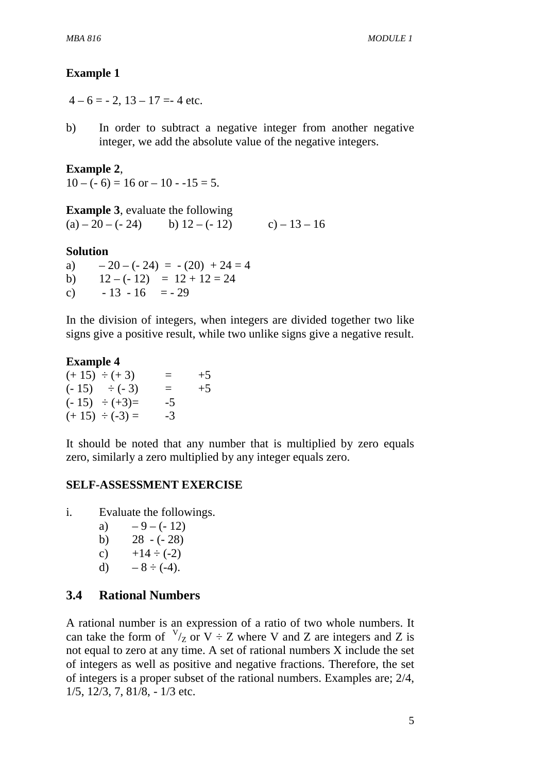## **Example 1**

 $4-6=-2$ ,  $13-17=-4$  etc.

b) In order to subtract a negative integer from another negative integer, we add the absolute value of the negative integers.

## **Example 2**,

 $10 - (-6) = 16$  or  $- 10 - 15 = 5$ .

**Example 3**, evaluate the following (a) – 20 – (- 24) b)  $12 - (-12)$  c) –  $13 - 16$ 

### **Solution**

a)  $-20 - (-24) = -(20) + 24 = 4$ b)  $12 - (-12) = 12 + 12 = 24$ c)  $-13 - 16 = -29$ 

In the division of integers, when integers are divided together two like signs give a positive result, while two unlike signs give a negative result.

### **Example 4**

| $(+ 15) \div (+ 3)$  | $=$  | $+5$ |
|----------------------|------|------|
| $(-15) \div (-3)$    | $=$  | $+5$ |
| $(-15) \div (+3) =$  | $-5$ |      |
| $(+ 15) \div (-3) =$ | $-3$ |      |

It should be noted that any number that is multiplied by zero equals zero, similarly a zero multiplied by any integer equals zero.

### **SELF-ASSESSMENT EXERCISE**

i. Evaluate the followings.

- a)  $-9-(-12)$ b)  $28 - (-28)$
- c)  $+14 \div (-2)$
- d)  $-8 \div (-4)$ .
- 

## **3.4 Rational Numbers**

A rational number is an expression of a ratio of two whole numbers. It can take the form of  $V_{Z}$  or  $V \div Z$  where V and Z are integers and Z is not equal to zero at any time. A set of rational numbers X include the set of integers as well as positive and negative fractions. Therefore, the set of integers is a proper subset of the rational numbers. Examples are; 2/4, 1/5, 12/3, 7, 81/8, - 1/3 etc.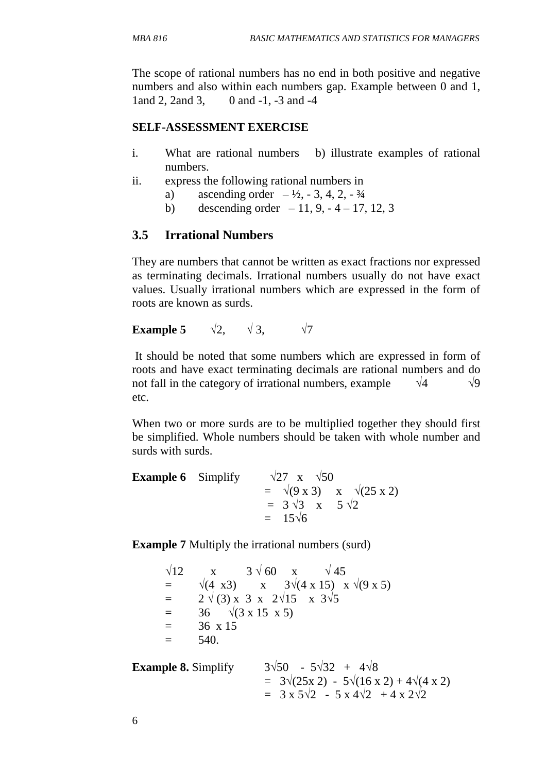The scope of rational numbers has no end in both positive and negative numbers and also within each numbers gap. Example between 0 and 1, 1and 2, 2and 3, 0 and -1, -3 and -4

### **SELF-ASSESSMENT EXERCISE**

- i. What are rational numbers b) illustrate examples of rational numbers.
- ii. express the following rational numbers in
	- a) ascending order  $-1/2$ ,  $-3$ ,  $4$ ,  $2$ ,  $-3/4$
	- b) descending order  $-11, 9, -4 17, 12, 3$

# **3.5 Irrational Numbers**

They are numbers that cannot be written as exact fractions nor expressed as terminating decimals. Irrational numbers usually do not have exact values. Usually irrational numbers which are expressed in the form of roots are known as surds.

**Example 5**  $\sqrt{2}$ ,  $\sqrt{3}$ ,  $\sqrt{7}$ 

 It should be noted that some numbers which are expressed in form of roots and have exact terminating decimals are rational numbers and do not fall in the category of irrational numbers, example  $\sqrt{4}$   $\sqrt{9}$ etc.

When two or more surds are to be multiplied together they should first be simplified. Whole numbers should be taken with whole number and surds with surds.

| <b>Example 6</b> Simplify | $\sqrt{27}$ x $\sqrt{50}$                        |
|---------------------------|--------------------------------------------------|
|                           | = $\sqrt{(9 \times 3)}$ x $\sqrt{(25 \times 2)}$ |
|                           | $= 3\sqrt{3} \times 5\sqrt{2}$                   |
|                           | $= 15\sqrt{6}$                                   |

**Example 7** Multiply the irrational numbers (surd)

```
\sqrt{12} x 3 \sqrt{60} x \sqrt{45}= √(4 x3) x 3√(4 x 15) x √(9 x 5)
= 2 \sqrt{(3)} \times 3 \times 2\sqrt{15} \times 3\sqrt{5}= 36 \sqrt{(3 \times 15 \times 5)}= 36 x 15
= 540
```

| <b>Example 8. Simplify</b> | $3\sqrt{50}$ - $5\sqrt{32}$ + $4\sqrt{8}$                        |
|----------------------------|------------------------------------------------------------------|
|                            | $= 3\sqrt{25x 2} - 5\sqrt{16x 2} + 4\sqrt{4x 2}$                 |
|                            | $= 3 \times 5\sqrt{2} - 5 \times 4\sqrt{2} + 4 \times 2\sqrt{2}$ |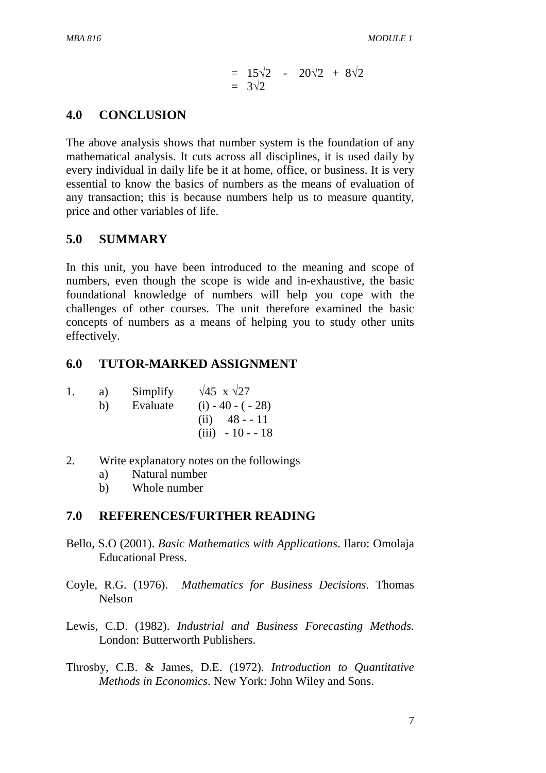$$
= 15\sqrt{2} - 20\sqrt{2} + 8\sqrt{2}
$$
  
= 3 $\sqrt{2}$ 

## **4.0 CONCLUSION**

The above analysis shows that number system is the foundation of any mathematical analysis. It cuts across all disciplines, it is used daily by every individual in daily life be it at home, office, or business. It is very essential to know the basics of numbers as the means of evaluation of any transaction; this is because numbers help us to measure quantity, price and other variables of life.

## **5.0 SUMMARY**

In this unit, you have been introduced to the meaning and scope of numbers, even though the scope is wide and in-exhaustive, the basic foundational knowledge of numbers will help you cope with the challenges of other courses. The unit therefore examined the basic concepts of numbers as a means of helping you to study other units effectively.

## **6.0 TUTOR-MARKED ASSIGNMENT**

| 1. | a) | Simplify | $\sqrt{45}$ x $\sqrt{27}$ |
|----|----|----------|---------------------------|
|    | b) | Evaluate | $(i) - 40 - (-28)$        |
|    |    |          | $(ii)$ 48 - -11           |
|    |    |          | $(iii) - 10 - 18$         |

- 2. Write explanatory notes on the followings
	- a) Natural number
	- b) Whole number

### **7.0 REFERENCES/FURTHER READING**

- Bello, S.O (2001). *Basic Mathematics with Applications*. Ilaro: Omolaja Educational Press.
- Coyle, R.G. (1976). *Mathematics for Business Decisions*. Thomas Nelson
- Lewis, C.D. (1982). *Industrial and Business Forecasting Methods.* London: Butterworth Publishers.
- Throsby, C.B. & James, D.E. (1972). *Introduction to Quantitative Methods in Economics*. New York: John Wiley and Sons.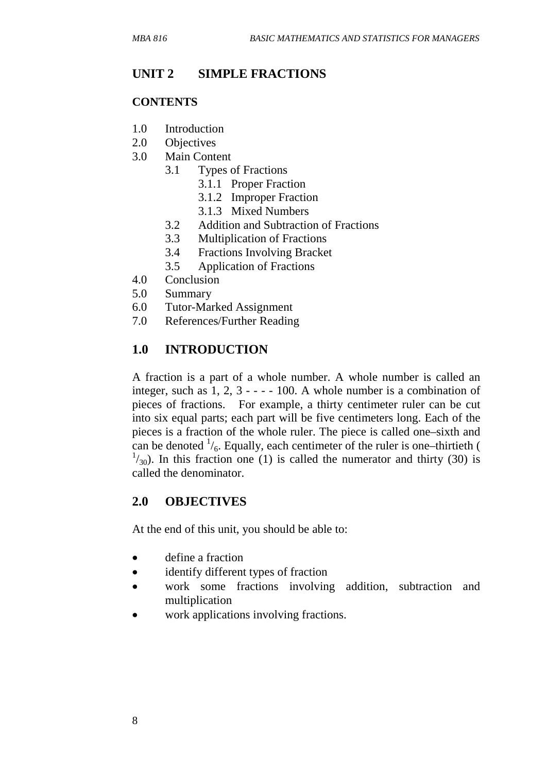## **UNIT 2 SIMPLE FRACTIONS**

### **CONTENTS**

- 1.0 Introduction
- 2.0 Objectives
- 3.0 Main Content
	- 3.1 Types of Fractions
		- 3.1.1 Proper Fraction
		- 3.1.2 Improper Fraction
		- 3.1.3 Mixed Numbers
		- 3.2 Addition and Subtraction of Fractions
		- 3.3 Multiplication of Fractions
	- 3.4 Fractions Involving Bracket
	- 3.5 Application of Fractions
- 4.0 Conclusion
- 5.0 Summary
- 6.0 Tutor-Marked Assignment
- 7.0 References/Further Reading

## **1.0 INTRODUCTION**

A fraction is a part of a whole number. A whole number is called an integer, such as  $1, 2, 3 - - -100$ . A whole number is a combination of pieces of fractions. For example, a thirty centimeter ruler can be cut into six equal parts; each part will be five centimeters long. Each of the pieces is a fraction of the whole ruler. The piece is called one–sixth and can be denoted  $\frac{1}{6}$ . Equally, each centimeter of the ruler is one–thirtieth (  $1/30$ ). In this fraction one (1) is called the numerator and thirty (30) is called the denominator.

### **2.0 OBJECTIVES**

At the end of this unit, you should be able to:

- define a fraction
- identify different types of fraction
- work some fractions involving addition, subtraction and multiplication
- work applications involving fractions.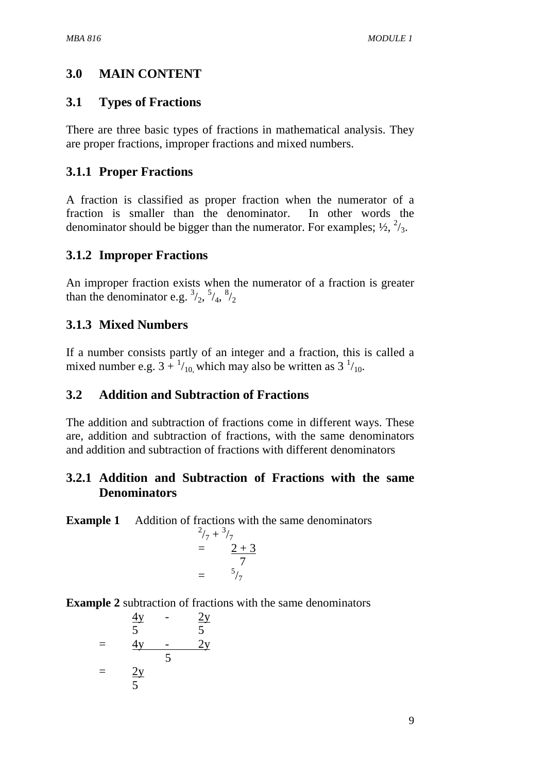# **3.0 MAIN CONTENT**

## **3.1 Types of Fractions**

There are three basic types of fractions in mathematical analysis. They are proper fractions, improper fractions and mixed numbers.

# **3.1.1 Proper Fractions**

A fraction is classified as proper fraction when the numerator of a fraction is smaller than the denominator. In other words the denominator should be bigger than the numerator. For examples;  $\frac{1}{2}$ ,  $\frac{2}{3}$ .

# **3.1.2 Improper Fractions**

An improper fraction exists when the numerator of a fraction is greater than the denominator e.g.  $\frac{3}{2}$ ,  $\frac{5}{4}$ ,  $\frac{8}{2}$ 

# **3.1.3 Mixed Numbers**

If a number consists partly of an integer and a fraction, this is called a mixed number e.g.  $3 + \frac{1}{10}$ , which may also be written as  $3 \frac{1}{10}$ .

# **3.2 Addition and Subtraction of Fractions**

The addition and subtraction of fractions come in different ways. These are, addition and subtraction of fractions, with the same denominators and addition and subtraction of fractions with different denominators

## **3.2.1 Addition and Subtraction of Fractions with the same Denominators**

**Example 1** Addition of fractions with the same denominators

$$
^{2}/_{7} + {}^{3}/_{7}
$$
  
= 
$$
^{2} + 3
$$
  
= 
$$
^{5}/_{7}
$$

**Example 2** subtraction of fractions with the same denominators

$$
\frac{4y}{5} - \frac{2y}{5}
$$
\n
$$
= \frac{4y}{5} - \frac{2y}{5}
$$
\n
$$
= \frac{2y}{5}
$$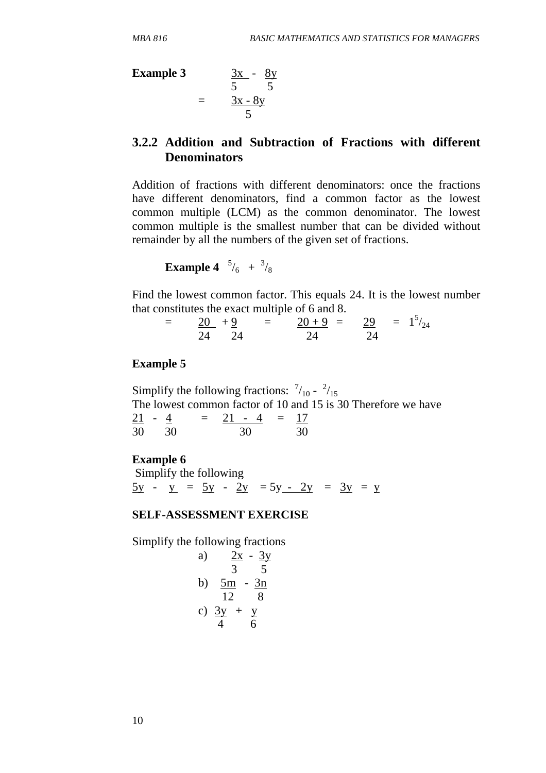**Example 3** 3x - 8y

$$
\begin{array}{rcl}\n\textbf{Example 3} & \frac{3x}{5} - \frac{8y}{5} \\
& = & \frac{3x - 8y}{5}\n\end{array}
$$

## **3.2.2 Addition and Subtraction of Fractions with different Denominators**

Addition of fractions with different denominators: once the fractions have different denominators, find a common factor as the lowest common multiple (LCM) as the common denominator. The lowest common multiple is the smallest number that can be divided without remainder by all the numbers of the given set of fractions.

**Example 4**  $\frac{5}{6}$  +  $\frac{3}{8}$ 

Find the lowest common factor. This equals 24. It is the lowest number that constitutes the exact multiple of 6 and 8.

| $=$ | $20 + 9$ |                        | $=$ $20+9 = 29 = 1^5/24$ |  |
|-----|----------|------------------------|--------------------------|--|
|     |          | $\partial \mathcal{A}$ |                          |  |

### **Example 5**

Simplify the following fractions:  $\frac{7}{10} - \frac{2}{15}$ The lowest common factor of 10 and 15 is 30 Therefore we have  $21 - 4 = 21 - 4 = 17$ 30 30 30 30

### **Example 6**

 Simplify the following  $5y - y = 5y - 2y = 5y - 2y = 3y = y$ 

#### **SELF-ASSESSMENT EXERCISE**

Simplify the following fractions

a) 
$$
\frac{2x}{3} - \frac{3y}{5}
$$
  
b)  $\frac{5m}{12} - \frac{3n}{8}$   
c)  $\frac{3y}{4} + \frac{y}{6}$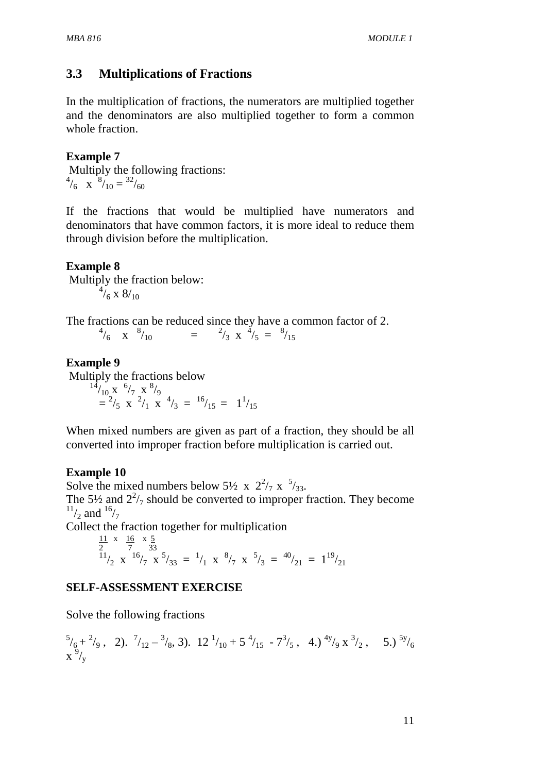## **3.3 Multiplications of Fractions**

In the multiplication of fractions, the numerators are multiplied together and the denominators are also multiplied together to form a common whole fraction.

## **Example 7**

 Multiply the following fractions:  $^{4}/_{6}$  x  $^{8}/_{10} = ^{32}/_{60}$ 

If the fractions that would be multiplied have numerators and denominators that have common factors, it is more ideal to reduce them through division before the multiplication.

## **Example 8**

 Multiply the fraction below:  $^{4}/_{6}$  x 8/<sub>10</sub>

The fractions can be reduced since they have a common factor of 2.  $^{4}/_{6}$  x  $^{8}/_{10}$  =  $^{2}/_{3}$  x  $^{4}/_{5}$  =  $^{8}/_{15}$ 

## **Example 9**

Multiply the fractions below

 $^{14}/_{10}$  x  $^{6}/_{7}$  x  $^{8}/_{9}$  $=$   $\frac{2}{5}$  x  $\frac{2}{1}$  x  $\frac{4}{3}$  =  $\frac{16}{15}$  =  $\frac{11}{15}$ 

When mixed numbers are given as part of a fraction, they should be all converted into improper fraction before multiplication is carried out.

### **Example 10**

Solve the mixed numbers below 5½ x  $2^2/7$  x  $5/33$ . The 5<sup> $1/2$ </sup> and  $2^2/7$  should be converted to improper fraction. They become  $^{11}/_{2}$  and  $^{16}/_{7}$ 

Collect the fraction together for multiplication

$$
\frac{11}{2} \times \frac{16}{7} \times \frac{5}{33}
$$
  

$$
\frac{11}{2} \times \frac{16}{7} \times \frac{5}{33} = \frac{1}{1} \times \frac{8}{7} \times \frac{5}{3} = \frac{40}{21} = 1^{19}/_{21}
$$

### **SELF-ASSESSMENT EXERCISE**

Solve the following fractions

$$
\frac{5}{6} + \frac{2}{9}, \quad 2). \frac{7}{12} - \frac{3}{8}, \quad 3). \quad 12 \frac{1}{10} + 5 \frac{4}{15} - 7 \frac{3}{5}, \quad 4.) \frac{4y}{9} \times \frac{3}{2}, \quad 5.) \frac{5y}{6}
$$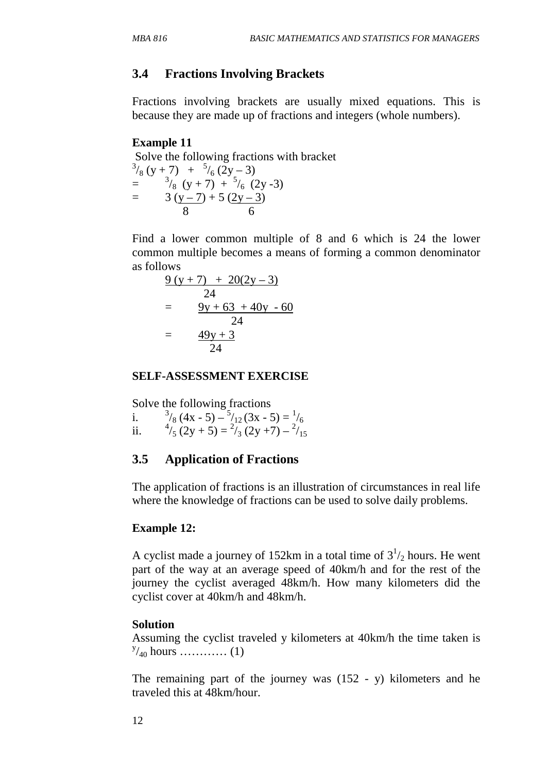## **3.4 Fractions Involving Brackets**

Fractions involving brackets are usually mixed equations. This is because they are made up of fractions and integers (whole numbers).

### **Example 11**

 Solve the following fractions with bracket  $^{3}/_{8}$  (y + 7) +  $^{5}/_{6}$  (2y – 3)  $=$   $\frac{3}{8}$  (y + 7) +  $\frac{5}{6}$  (2y -3)  $=$  3 (y – 7) + 5 (2y – 3) 8 6

Find a lower common multiple of 8 and 6 which is 24 the lower common multiple becomes a means of forming a common denominator as follows

$$
\frac{9 (y + 7) + 20(2y - 3)}{24}
$$
\n
$$
= \frac{9y + 63 + 40y - 60}{24}
$$
\n
$$
= \frac{49y + 3}{24}
$$

#### **SELF-ASSESSMENT EXERCISE**

Solve the following fractions

 $i$ .  $\gamma_8$  (4x - 5) –  $\frac{5}{12}$  (3x - 5) =  $\frac{1}{6}$ ii.  $\frac{4}{5}(2y+5) = \frac{2}{3}(2y+7) - \frac{2}{15}$ 

### **3.5 Application of Fractions**

The application of fractions is an illustration of circumstances in real life where the knowledge of fractions can be used to solve daily problems.

### **Example 12:**

A cyclist made a journey of 152km in a total time of  $3<sup>1</sup>/2$  hours. He went part of the way at an average speed of 40km/h and for the rest of the journey the cyclist averaged 48km/h. How many kilometers did the cyclist cover at 40km/h and 48km/h.

### **Solution**

Assuming the cyclist traveled y kilometers at 40km/h the time taken is y /40 hours ………… (1)

The remaining part of the journey was (152 - y) kilometers and he traveled this at 48km/hour.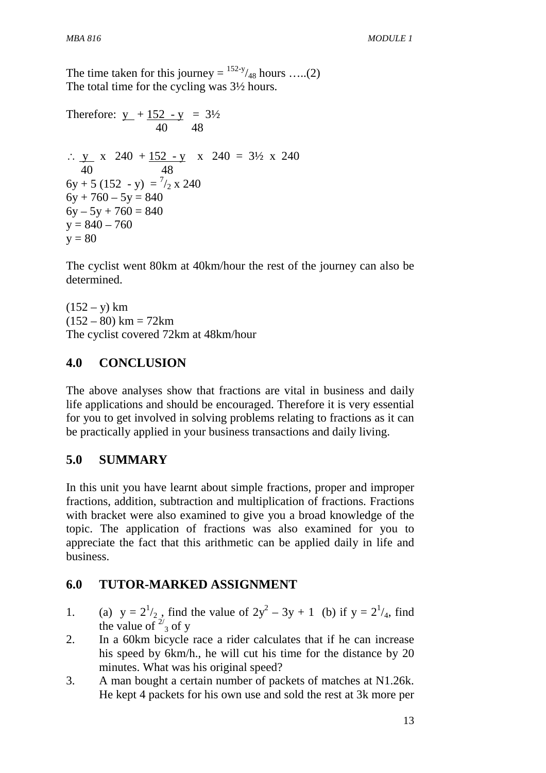The time taken for this journey =  $152-y/48$  hours .....(2) The total time for the cycling was 3½ hours.

Therefore:  $y + 152 - y = 3\frac{1}{2}$  40 48 ∴  $\text{y}$  x 240 + 152 - y x 240 = 3½ x 240 40 48  $6y + 5(152 - y) = \frac{7}{2} \times 240$  $6y + 760 - 5y = 840$  $6y - 5y + 760 = 840$  $y = 840 - 760$  $v = 80$ 

The cyclist went 80km at 40km/hour the rest of the journey can also be determined.

 $(152 - y)$  km  $(152 - 80)$  km = 72km The cyclist covered 72km at 48km/hour

## **4.0 CONCLUSION**

The above analyses show that fractions are vital in business and daily life applications and should be encouraged. Therefore it is very essential for you to get involved in solving problems relating to fractions as it can be practically applied in your business transactions and daily living.

## **5.0 SUMMARY**

In this unit you have learnt about simple fractions, proper and improper fractions, addition, subtraction and multiplication of fractions. Fractions with bracket were also examined to give you a broad knowledge of the topic. The application of fractions was also examined for you to appreciate the fact that this arithmetic can be applied daily in life and business.

## **6.0 TUTOR-MARKED ASSIGNMENT**

- 1. (a)  $y = 2^{1/2}$ , find the value of  $2y^{2} 3y + 1$  (b) if  $y = 2^{1/4}$ , find the value of  $\frac{2}{3}$  of y
- 2. In a 60km bicycle race a rider calculates that if he can increase his speed by 6km/h., he will cut his time for the distance by 20 minutes. What was his original speed?
- 3. A man bought a certain number of packets of matches at N1.26k. He kept 4 packets for his own use and sold the rest at 3k more per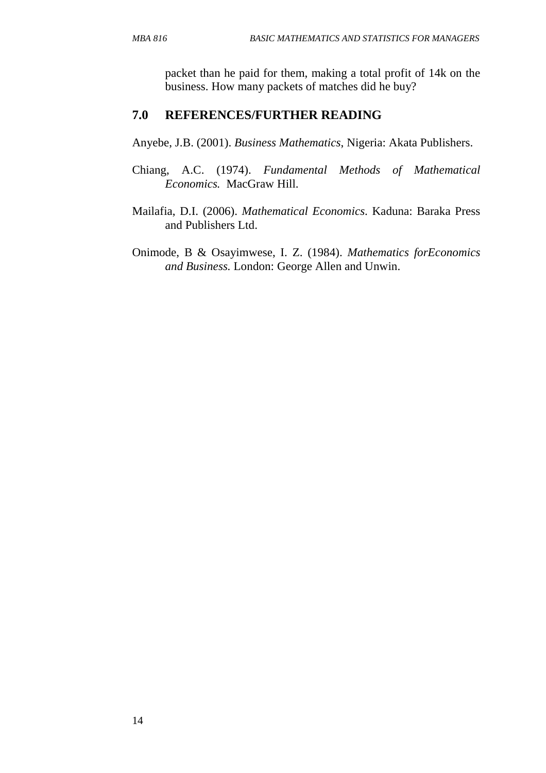packet than he paid for them, making a total profit of 14k on the business. How many packets of matches did he buy?

### **7.0 REFERENCES/FURTHER READING**

Anyebe, J.B. (2001). *Business Mathematics*, Nigeria: Akata Publishers.

- Chiang, A.C. (1974). *Fundamental Methods of Mathematical Economics.* MacGraw Hill.
- Mailafia, D.I. (2006). *Mathematical Economics*. Kaduna: Baraka Press and Publishers Ltd.
- Onimode, B & Osayimwese, I. Z. (1984). *Mathematics forEconomics and Business.* London: George Allen and Unwin.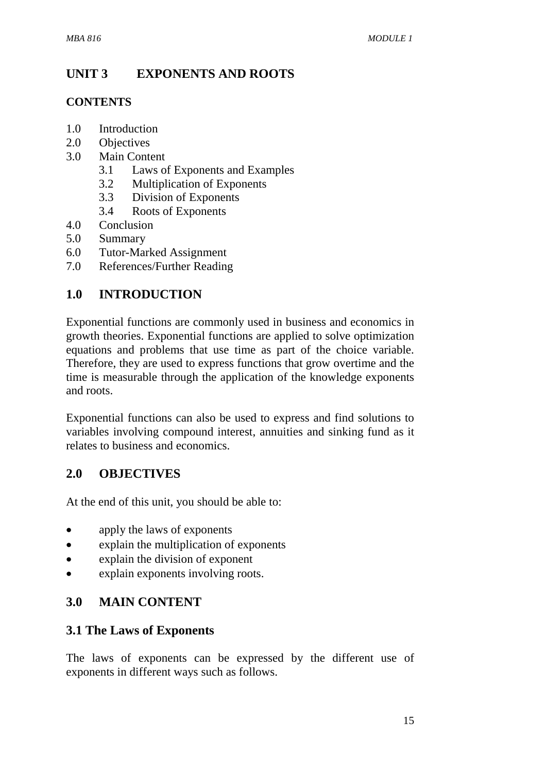# **UNIT 3 EXPONENTS AND ROOTS**

## **CONTENTS**

- 1.0 Introduction
- 2.0 Objectives
- 3.0 Main Content
	- 3.1 Laws of Exponents and Examples
	- 3.2 Multiplication of Exponents
	- 3.3 Division of Exponents
	- 3.4 Roots of Exponents
- 4.0 Conclusion
- 5.0 Summary
- 6.0 Tutor-Marked Assignment
- 7.0 References/Further Reading

# **1.0 INTRODUCTION**

Exponential functions are commonly used in business and economics in growth theories. Exponential functions are applied to solve optimization equations and problems that use time as part of the choice variable. Therefore, they are used to express functions that grow overtime and the time is measurable through the application of the knowledge exponents and roots.

Exponential functions can also be used to express and find solutions to variables involving compound interest, annuities and sinking fund as it relates to business and economics.

# **2.0 OBJECTIVES**

At the end of this unit, you should be able to:

- apply the laws of exponents
- explain the multiplication of exponents
- explain the division of exponent
- explain exponents involving roots.

# **3.0 MAIN CONTENT**

## **3.1 The Laws of Exponents**

The laws of exponents can be expressed by the different use of exponents in different ways such as follows.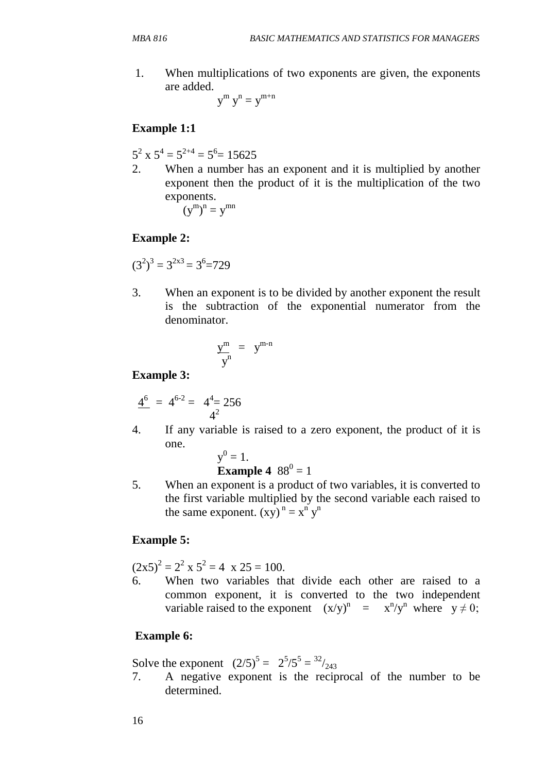1. When multiplications of two exponents are given, the exponents are added.

 $y^m y^n = y^{m+n}$ 

## **Example 1:1**

 $5^2$  x  $5^4$  =  $5^{2+4}$  =  $5^6$  = 15625

2. When a number has an exponent and it is multiplied by another exponent then the product of it is the multiplication of the two exponents.  $(y^m)^n = y^{mn}$ 

**Example 2:** 

$$
(32)3 = 32x3 = 36=729
$$

3. When an exponent is to be divided by another exponent the result is the subtraction of the exponential numerator from the denominator.

$$
\frac{y^m}{y^n} = y^{m-n}
$$

## **Example 3:**

$$
\frac{4^6}{4^2} = 4^{6\text{-}2} = 4^4 = 256
$$

4. If any variable is raised to a zero exponent, the product of it is one.

$$
y^0=1.
$$

**Example 4** 
$$
88^0 = 1
$$

5. When an exponent is a product of two variables, it is converted to the first variable multiplied by the second variable each raised to the same exponent.  $(xy)^n = x^n y^n$ 

### **Example 5:**

 $(2x5)^2 = 2^2 \times 5^2 = 4 \times 25 = 100.$ 

6. When two variables that divide each other are raised to a common exponent, it is converted to the two independent variable raised to the exponent  $(x/y)^n = x^n/y^n$  where  $y \neq 0$ ;

## **Example 6:**

Solve the exponent  $(2/5)^5 = 2^5/5^5 = {^{32}}/_{243}$ 

7. A negative exponent is the reciprocal of the number to be determined.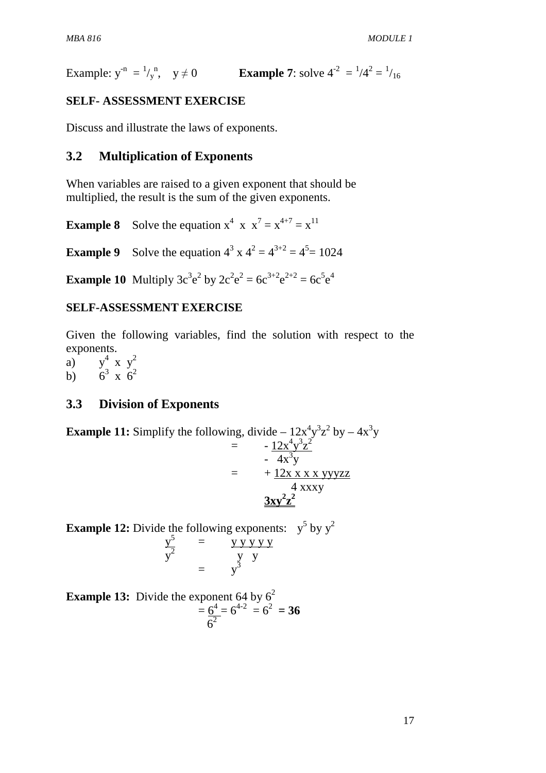Example:  $y^{-n} = \frac{1}{y}$ **•** y ≠ 0 **Example 7**: solve  $4^{-2} = \frac{1}{4^2} = \frac{1}{16}$ 

### **SELF- ASSESSMENT EXERCISE**

Discuss and illustrate the laws of exponents.

### **3.2 Multiplication of Exponents**

When variables are raised to a given exponent that should be multiplied, the result is the sum of the given exponents.

**Example 8** Solve the equation  $x^4$  x  $x^7 = x^{4+7} = x^{11}$ 

**Example 9** Solve the equation  $4^3$  x  $4^2 = 4^{3+2} = 4^5 = 1024$ 

**Example 10** Multiply  $3c^3e^2$  by  $2c^2e^2 = 6c^{3+2}e^{2+2} = 6c^5e^4$ 

### **SELF-ASSESSMENT EXERCISE**

Given the following variables, find the solution with respect to the exponents.

 $a)$ <sup>4</sup> x  $y^2$  $b)$ <sup>3</sup> x  $6^2$ 

### **3.3 Division of Exponents**

**Example 11:** Simplify the following, divide 
$$
-12x^4y^3z^2
$$
 by  $-4x^3y$   
\n
$$
= -\frac{12x^4y^3z^2}{4x^3y}
$$
\n
$$
= +\frac{12x x x x y y y z z}{4 x x x y}
$$
\n
$$
\frac{3xy^2z^2}{}
$$

**Example 12:** Divide the following exponents:  $y^5$  by  $y^2$ 

$$
\begin{array}{rcl}\n\frac{y^5}{y^2} & = & \frac{y \, y \, y \, y \, y}{y} \\
& = & \frac{y}{y^3}\n\end{array}
$$

**Example 13:** Divide the exponent 64 by  $6^2$  $= 6^4 = 6^{4-2} = 6^2 = 36$  $6<sup>2</sup>$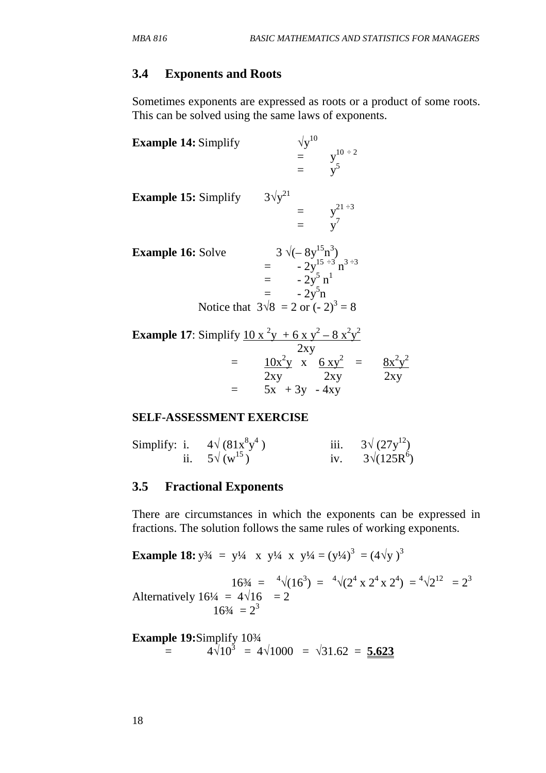## **3.4 Exponents and Roots**

Sometimes exponents are expressed as roots or a product of some roots. This can be solved using the same laws of exponents.

| <b>Example 14:</b> Simplify                                                                                                                                                          | $\sqrt{y}^{10}$<br>= $y^{10 \div 2}$<br>= $v^5$ |  |
|--------------------------------------------------------------------------------------------------------------------------------------------------------------------------------------|-------------------------------------------------|--|
| <b>Example 15:</b> Simplify $3\sqrt{y}^{21}$                                                                                                                                         | = $y^{21 \div 3}$<br>= $y^7$                    |  |
| Solve $=$ $3 \sqrt{(-8y^{15}n^3)}$<br>$=$ $-2y^{15 \div 3}n^{3 \div 3}$<br>$=$ $-2y^5n^1$<br>$=$ $-2y^5n$<br>Notice that $3\sqrt{8} = 2$ or $(-2)^3 = 8$<br><b>Example 16:</b> Solve |                                                 |  |
| <b>Example 17:</b> Simplify $\frac{10x^2y + 6xy^2 - 8x^2y^2}{y^2}$                                                                                                                   |                                                 |  |

| <b>Example 17:</b> Simplify $10x - y + 6xy - 8x-y$ |                                          |     |
|----------------------------------------------------|------------------------------------------|-----|
|                                                    | 2xy                                      |     |
|                                                    | $10x^2y$ x 6 xy <sup>2</sup><br>$\equiv$ |     |
|                                                    | 2xy<br>2xy                               | 2xy |
|                                                    | $5x + 3y - 4xy$                          |     |

## **SELF-ASSESSMENT EXERCISE**

| Simplify: i. | $4\sqrt{(81x^8y^4)}$   | $3\sqrt{(27y^{12})}$ |
|--------------|------------------------|----------------------|
|              | ii. $5\sqrt{(w^{15})}$ | $3\sqrt{(125R^6)}$   |

## **3.5 Fractional Exponents**

There are circumstances in which the exponents can be expressed in fractions. The solution follows the same rules of working exponents.

Example 18: 
$$
y^{3/4} = y^{1/4} \times y^{1/4} \times y^{1/4} = (y^{1/4})^3 = (4\sqrt{y})^3
$$
  
\n
$$
16^{3/4} = \sqrt[4]{(16^3)} = \sqrt[4]{(2^4 \times 2^4 \times 2^4)} = \sqrt[4]{2^{12}} = 2^3
$$
\nAlternatively  $16^{1/4} = 4\sqrt{16} = 2$   
\n
$$
16^{3/4} = 2^3
$$

**Example 19:Simplify** 10<sup>3</sup>/<sub>4</sub>  
= 
$$
4\sqrt{10^3} = 4\sqrt{1000} = \sqrt{31.62} = 5.623
$$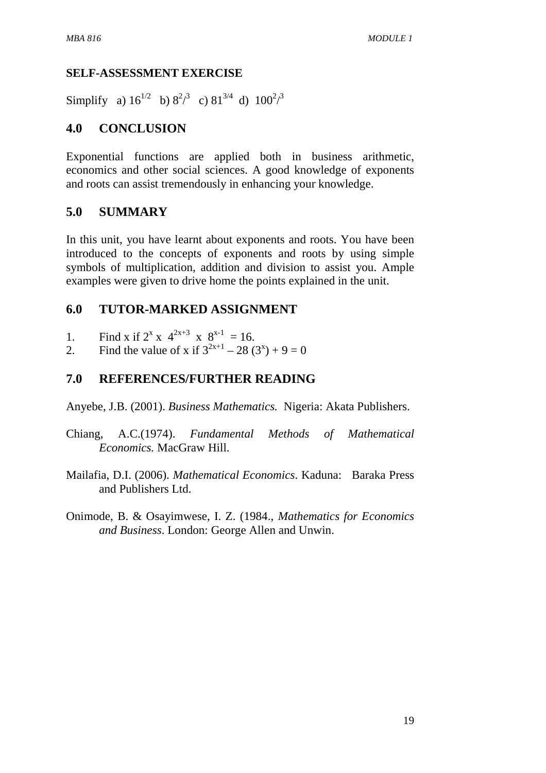## **SELF-ASSESSMENT EXERCISE**

Simplify a)  $16^{1/2}$  b)  $8^{2/3}$  c)  $81^{3/4}$  d)  $100^{2/3}$ 

## **4.0 CONCLUSION**

Exponential functions are applied both in business arithmetic, economics and other social sciences. A good knowledge of exponents and roots can assist tremendously in enhancing your knowledge.

## **5.0 SUMMARY**

In this unit, you have learnt about exponents and roots. You have been introduced to the concepts of exponents and roots by using simple symbols of multiplication, addition and division to assist you. Ample examples were given to drive home the points explained in the unit.

## **6.0 TUTOR-MARKED ASSIGNMENT**

- 1. Find x if  $2^{x}$  x  $4^{2x+3}$  x  $8^{x-1}$  = 16.
- 2. Find the value of x if  $3^{2x+1} 28(3^x) + 9 = 0$

## **7.0 REFERENCES/FURTHER READING**

Anyebe, J.B. (2001). *Business Mathematics.* Nigeria: Akata Publishers.

- Chiang, A.C.(1974). *Fundamental Methods of Mathematical Economics.* MacGraw Hill.
- Mailafia, D.I. (2006). *Mathematical Economics*. Kaduna: Baraka Press and Publishers Ltd.
- Onimode, B. & Osayimwese, I. Z. (1984., *Mathematics for Economics and Business*. London: George Allen and Unwin.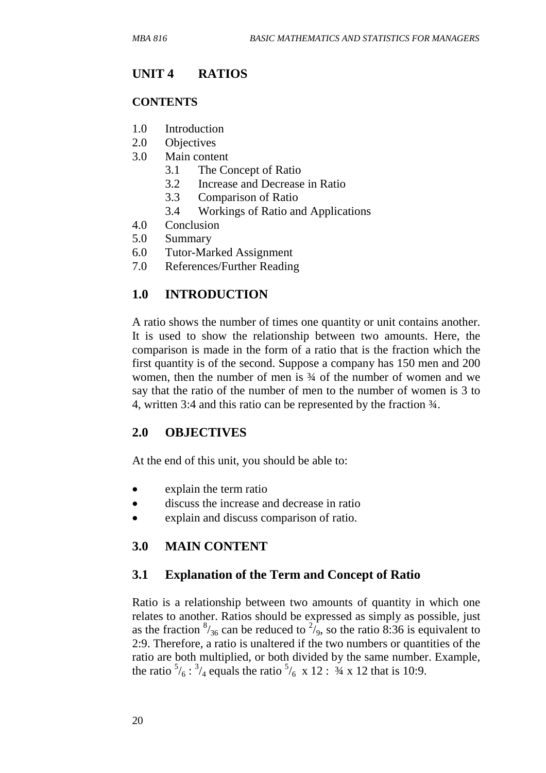# **UNIT 4 RATIOS**

### **CONTENTS**

- 1.0 Introduction
- 2.0 Objectives
- 3.0 Main content
	- 3.1 The Concept of Ratio
	- 3.2 Increase and Decrease in Ratio
	- 3.3 Comparison of Ratio
	- 3.4 Workings of Ratio and Applications
- 4.0 Conclusion
- 5.0 Summary
- 6.0 Tutor-Marked Assignment
- 7.0 References/Further Reading

## **1.0 INTRODUCTION**

A ratio shows the number of times one quantity or unit contains another. It is used to show the relationship between two amounts. Here, the comparison is made in the form of a ratio that is the fraction which the first quantity is of the second. Suppose a company has 150 men and 200 women, then the number of men is  $\frac{3}{4}$  of the number of women and we say that the ratio of the number of men to the number of women is 3 to 4, written 3:4 and this ratio can be represented by the fraction ¾.

## **2.0 OBJECTIVES**

At the end of this unit, you should be able to:

- explain the term ratio
- discuss the increase and decrease in ratio
- explain and discuss comparison of ratio.

## **3.0 MAIN CONTENT**

### **3.1 Explanation of the Term and Concept of Ratio**

Ratio is a relationship between two amounts of quantity in which one relates to another. Ratios should be expressed as simply as possible, just as the fraction  $\frac{8}{36}$  can be reduced to  $\frac{2}{9}$ , so the ratio 8:36 is equivalent to 2:9. Therefore, a ratio is unaltered if the two numbers or quantities of the ratio are both multiplied, or both divided by the same number. Example, the ratio  $\frac{5}{6}$ :  $\frac{3}{4}$  equals the ratio  $\frac{5}{6}$  x 12 :  $\frac{3}{4}$  x 12 that is 10:9.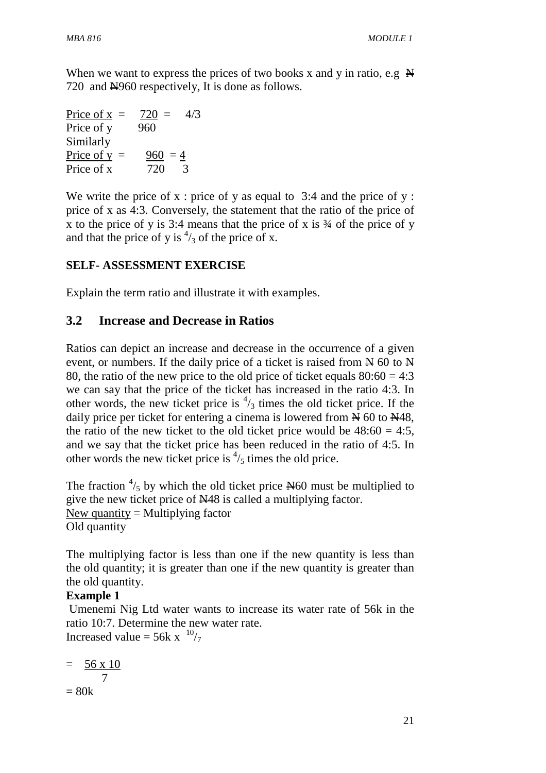When we want to express the prices of two books x and y in ratio, e.g.  $\mathbb{H}$ 720 and  $\text{\textcircled{H}}960$  respectively, It is done as follows.

| Price of $x =$ | $720 =$<br>4/3 |
|----------------|----------------|
| Price of y     | 960            |
| Similarly      |                |
| Price of $y =$ | $960 = 4$      |
| Price of x     | 720<br>3       |

We write the price of x : price of y as equal to  $3:4$  and the price of y : price of x as 4:3. Conversely, the statement that the ratio of the price of x to the price of y is  $3:4$  means that the price of x is  $\frac{3}{4}$  of the price of y and that the price of y is  $\frac{4}{3}$  of the price of x.

## **SELF- ASSESSMENT EXERCISE**

Explain the term ratio and illustrate it with examples.

## **3.2 Increase and Decrease in Ratios**

Ratios can depict an increase and decrease in the occurrence of a given event, or numbers. If the daily price of a ticket is raised from  $\cancel{\text{N}}$  60 to  $\cancel{\text{N}}$ 80, the ratio of the new price to the old price of ticket equals  $80:60 = 4:3$ we can say that the price of the ticket has increased in the ratio 4:3. In other words, the new ticket price is  $\frac{4}{3}$  times the old ticket price. If the daily price per ticket for entering a cinema is lowered from  $\cancel{\text{N}}$  60 to  $\cancel{\text{N}}$ 48, the ratio of the new ticket to the old ticket price would be  $48:60 = 4:5$ , and we say that the ticket price has been reduced in the ratio of 4:5. In other words the new ticket price is  $\frac{4}{5}$  times the old price.

The fraction  $\frac{4}{5}$  by which the old ticket price N60 must be multiplied to give the new ticket price of N48 is called a multiplying factor. New quantity  $=$  Multiplying factor Old quantity

The multiplying factor is less than one if the new quantity is less than the old quantity; it is greater than one if the new quantity is greater than the old quantity.

## **Example 1**

 Umenemi Nig Ltd water wants to increase its water rate of 56k in the ratio 10:7. Determine the new water rate. Increased value =  $56k \times \frac{10}{7}$ 

$$
= \frac{56 \times 10}{7}
$$

$$
= 80k
$$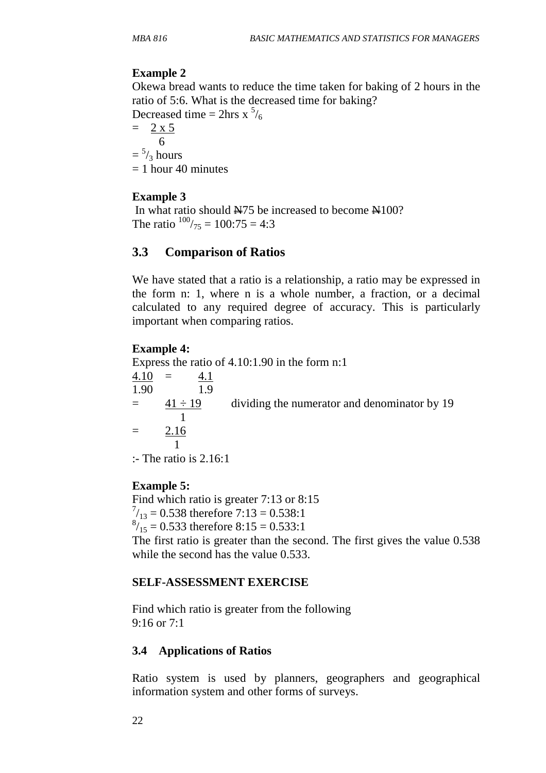### **Example 2**

Okewa bread wants to reduce the time taken for baking of 2 hours in the ratio of 5:6. What is the decreased time for baking?

Decreased time =  $2 \text{hrs} \times \frac{5}{6}$ 

 $= 2 x 5$  6  $=$   $\frac{5}{3}$  hours  $= 1$  hour 40 minutes

### **Example 3**

In what ratio should  $\frac{N}{5}$  be increased to become  $\frac{N}{100}$ ? The ratio  $100/75 = 100:75 = 4:3$ 

### **3.3 Comparison of Ratios**

We have stated that a ratio is a relationship, a ratio may be expressed in the form n: 1, where n is a whole number, a fraction, or a decimal calculated to any required degree of accuracy. This is particularly important when comparing ratios.

### **Example 4:**

Express the ratio of 4.10:1.90 in the form n:1  $4.10 = 4.1$ 1.90 1.9  $=$   $\frac{41 \div 19}{41 \div 19}$  dividing the numerator and denominator by 19 1  $=$  2.16 1 :- The ratio is 2.16:1

### **Example 5:**

Find which ratio is greater 7:13 or 8:15  $^{7}_{13}$  = 0.538 therefore 7:13 = 0.538:1  $\frac{8}{15}$  = 0.533 therefore 8:15 = 0.533:1

The first ratio is greater than the second. The first gives the value 0.538 while the second has the value 0.533.

### **SELF-ASSESSMENT EXERCISE**

Find which ratio is greater from the following 9:16 or 7:1

### **3.4 Applications of Ratios**

Ratio system is used by planners, geographers and geographical information system and other forms of surveys.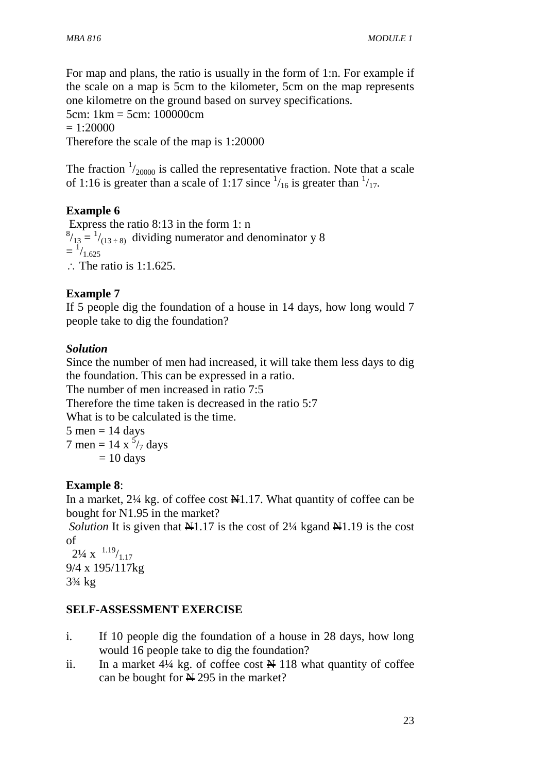For map and plans, the ratio is usually in the form of 1:n. For example if the scale on a map is 5cm to the kilometer, 5cm on the map represents one kilometre on the ground based on survey specifications. 5cm: 1km = 5cm: 100000cm  $= 1:20000$ Therefore the scale of the map is 1:20000

The fraction  $\frac{1}{20000}$  is called the representative fraction. Note that a scale of 1:16 is greater than a scale of 1:17 since  $\frac{1}{16}$  is greater than  $\frac{1}{17}$ .

# **Example 6**

 Express the ratio 8:13 in the form 1: n  $^{8}/_{13}$  =  $^{1}/_{(13 \div 8)}$  dividing numerator and denominator y 8  $=$  $^{1/1.625}$ ∴ The ratio is 1:1.625.

## **Example 7**

If 5 people dig the foundation of a house in 14 days, how long would 7 people take to dig the foundation?

## *Solution*

Since the number of men had increased, it will take them less days to dig the foundation. This can be expressed in a ratio. The number of men increased in ratio 7:5 Therefore the time taken is decreased in the ratio 5:7 What is to be calculated is the time.  $5$  men = 14 days 7 men = 14 x  $\frac{5}{7}$  days  $= 10$  days

## **Example 8**:

In a market,  $2\frac{1}{4}$  kg. of coffee cost  $\frac{1}{4}$ 1.17. What quantity of coffee can be bought for N1.95 in the market?

*Solution* It is given that  $\mathbb{H}1.17$  is the cost of 2¼ kgand  $\mathbb{H}1.19$  is the cost of

 $2\frac{1}{4}$  x  $\frac{1.19}{1.17}$ 9/4 x 195/117kg 3¾ kg

## **SELF-ASSESSMENT EXERCISE**

- i. If 10 people dig the foundation of a house in 28 days, how long would 16 people take to dig the foundation?
- ii. In a market  $4\frac{1}{4}$  kg. of coffee cost  $\cancel{H}$  118 what quantity of coffee can be bought for  $\cancel{\text{N}}$  295 in the market?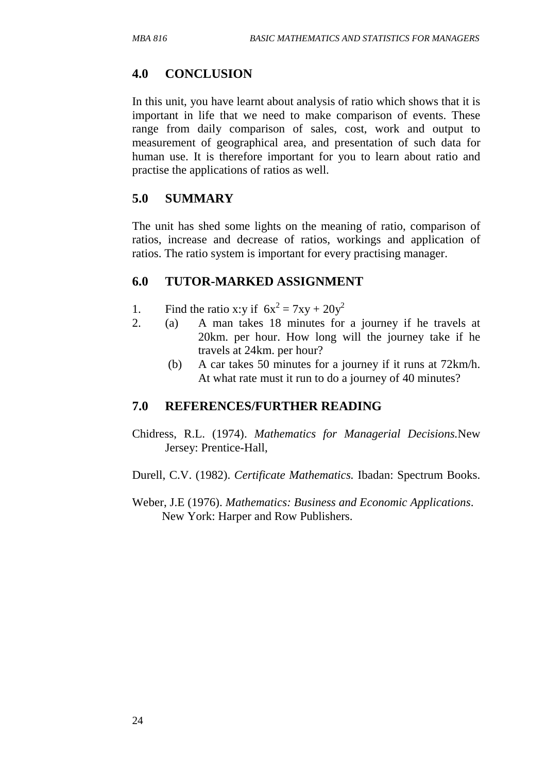# **4.0 CONCLUSION**

In this unit, you have learnt about analysis of ratio which shows that it is important in life that we need to make comparison of events. These range from daily comparison of sales, cost, work and output to measurement of geographical area, and presentation of such data for human use. It is therefore important for you to learn about ratio and practise the applications of ratios as well.

## **5.0 SUMMARY**

The unit has shed some lights on the meaning of ratio, comparison of ratios, increase and decrease of ratios, workings and application of ratios. The ratio system is important for every practising manager.

## **6.0 TUTOR-MARKED ASSIGNMENT**

- 1. Find the ratio x:y if  $6x^2 = 7xy + 20y^2$
- 2. (a) A man takes 18 minutes for a journey if he travels at 20km. per hour. How long will the journey take if he travels at 24km. per hour?
	- (b) A car takes 50 minutes for a journey if it runs at 72km/h. At what rate must it run to do a journey of 40 minutes?

## **7.0 REFERENCES/FURTHER READING**

Chidress, R.L. (1974). *Mathematics for Managerial Decisions.*New Jersey: Prentice-Hall,

Durell, C.V. (1982). *Certificate Mathematics.* Ibadan: Spectrum Books.

Weber, J.E (1976). *Mathematics: Business and Economic Applications*. New York: Harper and Row Publishers.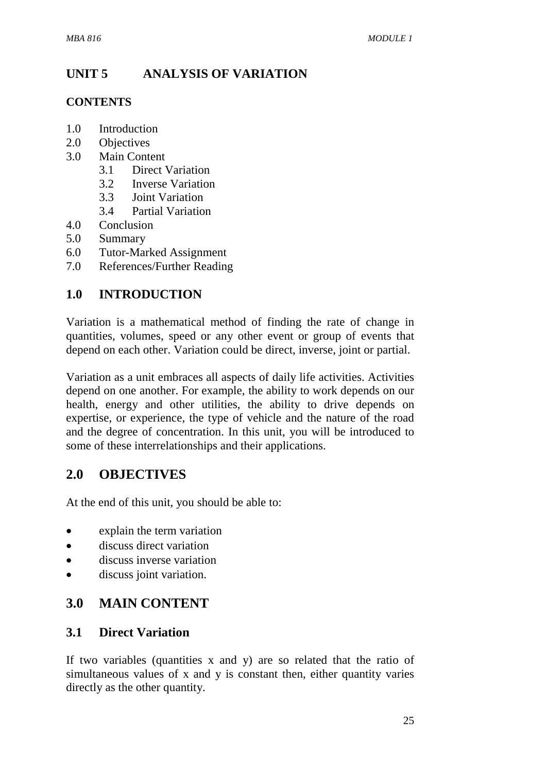# **UNIT 5 ANALYSIS OF VARIATION**

## **CONTENTS**

- 1.0 Introduction
- 2.0 Objectives
- 3.0 Main Content
	- 3.1 Direct Variation
	- 3.2 Inverse Variation
	- 3.3 Joint Variation
	- 3.4 Partial Variation
- 4.0 Conclusion
- 5.0 Summary
- 6.0 Tutor-Marked Assignment
- 7.0 References/Further Reading

# **1.0 INTRODUCTION**

Variation is a mathematical method of finding the rate of change in quantities, volumes, speed or any other event or group of events that depend on each other. Variation could be direct, inverse, joint or partial.

Variation as a unit embraces all aspects of daily life activities. Activities depend on one another. For example, the ability to work depends on our health, energy and other utilities, the ability to drive depends on expertise, or experience, the type of vehicle and the nature of the road and the degree of concentration. In this unit, you will be introduced to some of these interrelationships and their applications.

# **2.0 OBJECTIVES**

At the end of this unit, you should be able to:

- explain the term variation
- discuss direct variation
- discuss inverse variation
- discuss joint variation.

# **3.0 MAIN CONTENT**

## **3.1 Direct Variation**

If two variables (quantities  $x$  and  $y$ ) are so related that the ratio of simultaneous values of x and y is constant then, either quantity varies directly as the other quantity.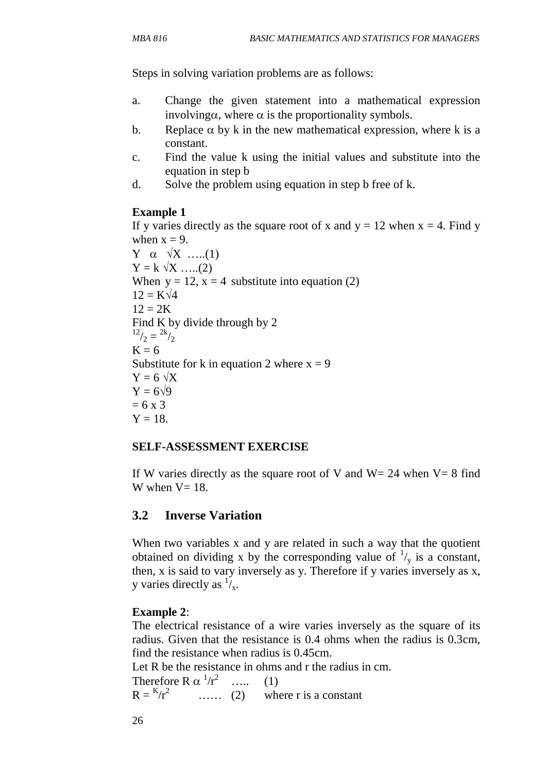Steps in solving variation problems are as follows:

- a. Change the given statement into a mathematical expression involving $\alpha$ , where  $\alpha$  is the proportionality symbols.
- b. Replace  $\alpha$  by k in the new mathematical expression, where k is a constant.
- c. Find the value k using the initial values and substitute into the equation in step b
- d. Solve the problem using equation in step b free of k.

## **Example 1**

If y varies directly as the square root of x and  $y = 12$  when  $x = 4$ . Find y when  $x = 9$ . Y  $\alpha \sqrt{X}$  …..(1)  $Y = k \sqrt{X}$  …..(2) When  $y = 12$ ,  $x = 4$  substitute into equation (2)  $12 = K\sqrt{4}$  $12 = 2K$ Find K by divide through by 2  $^{12}/_2 = {^{2k}/_2}$  $K = 6$ Substitute for k in equation 2 where  $x = 9$  $Y = 6 \sqrt{X}$  $Y = 6\sqrt{9}$  $= 6 \times 3$  $Y = 18$ .

### **SELF-ASSESSMENT EXERCISE**

If W varies directly as the square root of V and  $W = 24$  when  $V = 8$  find W when  $V=18$ .

## **3.2 Inverse Variation**

When two variables x and y are related in such a way that the quotient obtained on dividing x by the corresponding value of  $\frac{1}{y}$  is a constant, then, x is said to vary inversely as y. Therefore if y varies inversely as x, y varies directly as  $\frac{1}{x}$ .

## **Example 2**:

The electrical resistance of a wire varies inversely as the square of its radius. Given that the resistance is 0.4 ohms when the radius is 0.3cm, find the resistance when radius is 0.45cm.

Let R be the resistance in ohms and r the radius in cm.

Therefore R  $\alpha$   $\frac{1}{r^2}$  ….. (1)  $R = {k/r^2}$ where  $r$  is a constant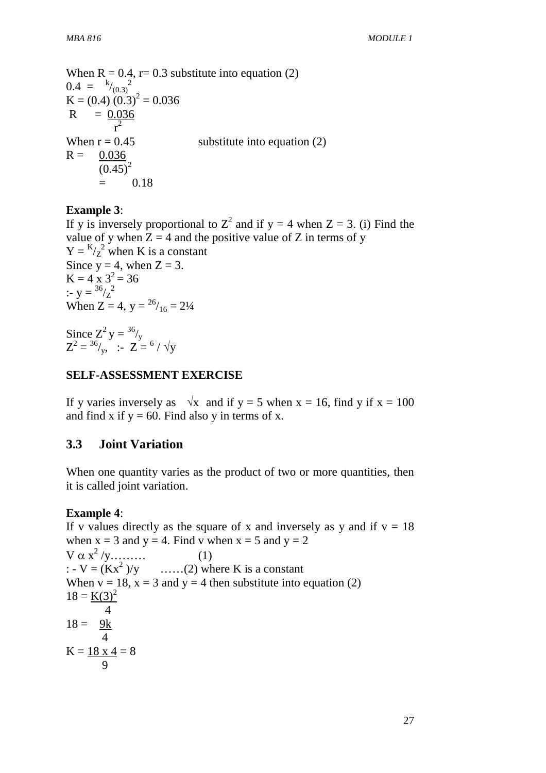When  $R = 0.4$ , r= 0.3 substitute into equation (2)  $0.4 = {k/10.3)}^2$  $K = (0.4) (0.3)^{2} = 0.036$  $R = 0.036$  r 2 When  $r = 0.45$  substitute into equation (2)  $R = 0.036$  $(0.45)^2$  $= 0.18$ 

### **Example 3**:

If y is inversely proportional to  $Z^2$  and if  $y = 4$  when  $Z = 3$ . (i) Find the value of y when  $Z = 4$  and the positive value of Z in terms of y  $Y = \frac{K}{Z^2}$  when K is a constant Since  $y = 4$ , when  $Z = 3$ .  $K = 4 \times 3^2 = 36$ :-  $y = \frac{36}{2}$ When  $Z = 4$ ,  $y = \frac{26}{16} = 2\frac{1}{4}$ 

Since  $Z^2 y = \frac{36}{y}$  $Z^2 = {^{36}}/_{y}$ , :-  $Z = {^{6}}/_{y}$ 

### **SELF-ASSESSMENT EXERCISE**

If y varies inversely as  $\sqrt{x}$  and if y = 5 when x = 16, find y if x = 100 and find x if  $y = 60$ . Find also y in terms of x.

### **3.3 Joint Variation**

When one quantity varies as the product of two or more quantities, then it is called joint variation.

### **Example 4**:

If v values directly as the square of x and inversely as y and if  $v = 18$ when  $x = 3$  and  $y = 4$ . Find v when  $x = 5$  and  $y = 2$  $V \alpha x^2 / y$ ......... (1) :  $-V = (Kx^2)/y$  $\dots$  $(2)$  where K is a constant When  $v = 18$ ,  $x = 3$  and  $y = 4$  then substitute into equation (2)  $18 = K(3)^2$  4  $18 = 9k$  4  $K = 18 \times 4 = 8$ 9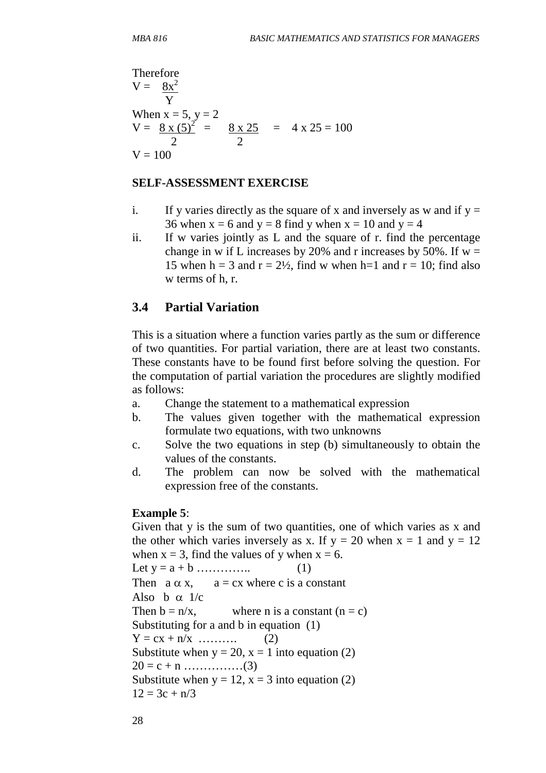Therefore  
\n
$$
V = \frac{8x^2}{Y}
$$
\nWhen x = 5, y = 2  
\n
$$
V = \frac{8 \times (5)^2}{2} = \frac{8 \times 25}{2} = 4 \times 25 = 100
$$
\n
$$
V = 100
$$

#### **SELF-ASSESSMENT EXERCISE**

- i. If y varies directly as the square of x and inversely as w and if  $y =$ 36 when  $x = 6$  and  $y = 8$  find y when  $x = 10$  and  $y = 4$
- ii. If w varies jointly as L and the square of r. find the percentage change in w if L increases by 20% and r increases by 50%. If  $w =$ 15 when h = 3 and  $r = 2\frac{1}{2}$ , find w when h=1 and  $r = 10$ ; find also w terms of h, r.

### **3.4 Partial Variation**

This is a situation where a function varies partly as the sum or difference of two quantities. For partial variation, there are at least two constants. These constants have to be found first before solving the question. For the computation of partial variation the procedures are slightly modified as follows:

- a. Change the statement to a mathematical expression
- b. The values given together with the mathematical expression formulate two equations, with two unknowns
- c. Solve the two equations in step (b) simultaneously to obtain the values of the constants.
- d. The problem can now be solved with the mathematical expression free of the constants.

### **Example 5**:

Given that y is the sum of two quantities, one of which varies as x and the other which varies inversely as x. If  $y = 20$  when  $x = 1$  and  $y = 12$ when  $x = 3$ , find the values of y when  $x = 6$ . Let  $y = a + b$  ………….. (1) Then  $a \alpha x$ ,  $a = cx$  where c is a constant Also b  $\alpha$  1/c Then  $b = n/x$ , where n is a constant  $(n = c)$ Substituting for a and b in equation (1)  $Y = cx + n/x$  ……….. (2) Substitute when  $y = 20$ ,  $x = 1$  into equation (2) 20 = c + n ……………(3) Substitute when  $y = 12$ ,  $x = 3$  into equation (2)  $12 = 3c + n/3$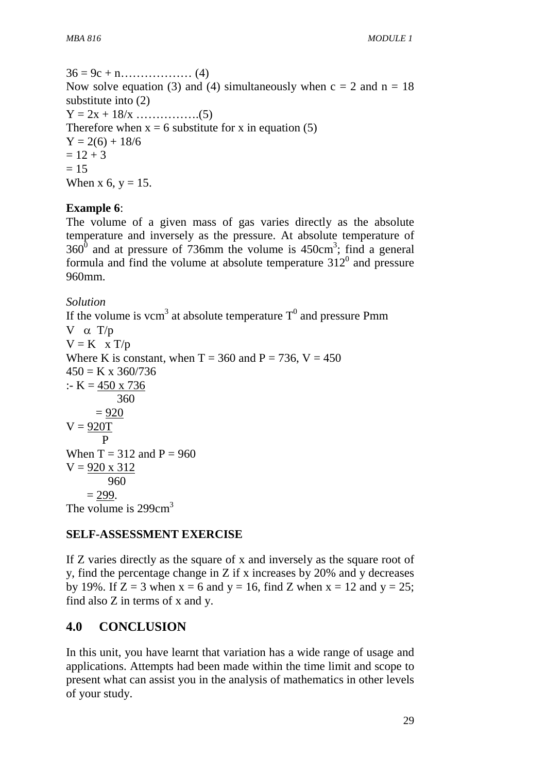36 = 9c + n……………… (4) Now solve equation (3) and (4) simultaneously when  $c = 2$  and  $n = 18$ substitute into (2)  $Y = 2x + 18/x$  ……………..(5) Therefore when  $x = 6$  substitute for x in equation (5)  $Y = 2(6) + 18/6$  $= 12 + 3$  $= 15$ When x 6,  $y = 15$ .

## **Example 6**:

The volume of a given mass of gas varies directly as the absolute temperature and inversely as the pressure. At absolute temperature of  $360^{\circ}$  and at pressure of 736mm the volume is 450cm<sup>3</sup>; find a general formula and find the volume at absolute temperature  $312<sup>0</sup>$  and pressure 960mm.

### *Solution*

If the volume is vcm<sup>3</sup> at absolute temperature  $T^0$  and pressure Pmm V  $\alpha$  T/p  $V = K \times T/p$ Where K is constant, when  $T = 360$  and  $P = 736$ ,  $V = 450$  $450 = K \times 360/736$ :- K =  $450 \times 736$  360  $= 920$  $V = 920T$  P When  $T = 312$  and  $P = 960$  $V = 920 \times 312$  960  $= 299.$ The volume is  $299cm<sup>3</sup>$ 

# **SELF-ASSESSMENT EXERCISE**

If Z varies directly as the square of x and inversely as the square root of y, find the percentage change in Z if x increases by 20% and y decreases by 19%. If  $Z = 3$  when  $x = 6$  and  $y = 16$ , find Z when  $x = 12$  and  $y = 25$ ; find also Z in terms of x and y.

# **4.0 CONCLUSION**

In this unit, you have learnt that variation has a wide range of usage and applications. Attempts had been made within the time limit and scope to present what can assist you in the analysis of mathematics in other levels of your study.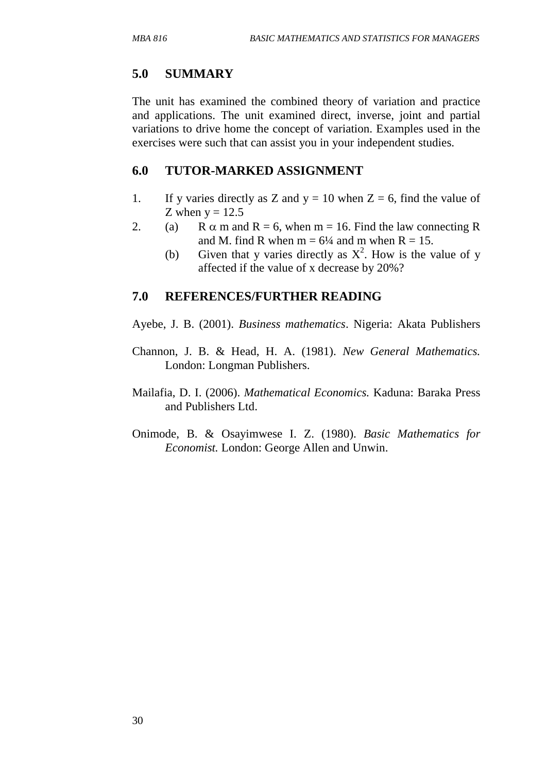## **5.0 SUMMARY**

The unit has examined the combined theory of variation and practice and applications. The unit examined direct, inverse, joint and partial variations to drive home the concept of variation. Examples used in the exercises were such that can assist you in your independent studies.

#### **6.0 TUTOR-MARKED ASSIGNMENT**

- 1. If y varies directly as Z and  $y = 10$  when  $Z = 6$ , find the value of Z when  $y = 12.5$
- 2. (a) R  $\alpha$  m and R = 6, when m = 16. Find the law connecting R and M. find R when  $m = 6\frac{1}{4}$  and m when  $R = 15$ .
	- (b) Given that y varies directly as  $X^2$ . How is the value of y affected if the value of x decrease by 20%?

### **7.0 REFERENCES/FURTHER READING**

Ayebe, J. B. (2001). *Business mathematics*. Nigeria: Akata Publishers

- Channon, J. B. & Head, H. A. (1981). *New General Mathematics.* London: Longman Publishers.
- Mailafia, D. I. (2006). *Mathematical Economics.* Kaduna: Baraka Press and Publishers Ltd.
- Onimode, B. & Osayimwese I. Z. (1980). *Basic Mathematics for Economist.* London: George Allen and Unwin.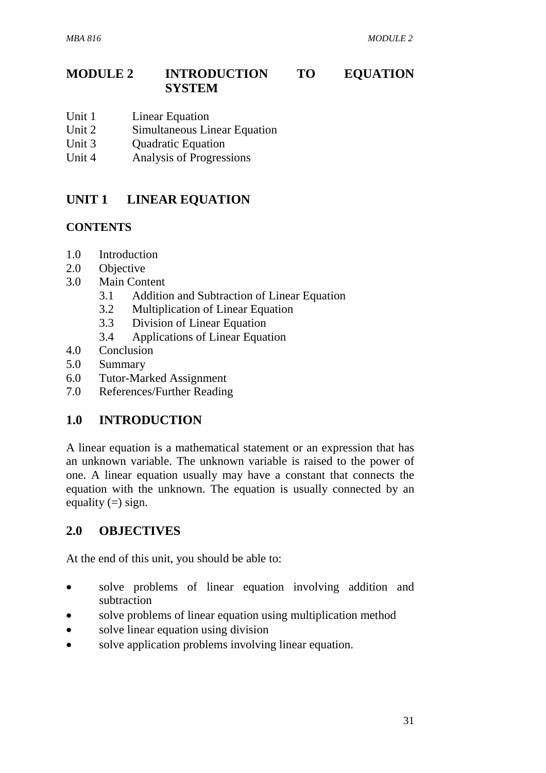# **MODULE 2 INTRODUCTION TO EQUATION SYSTEM**

- Unit 1 Linear Equation
- Unit 2 Simultaneous Linear Equation
- Unit 3 Ouadratic Equation
- Unit 4 Analysis of Progressions

# **UNIT 1 LINEAR EQUATION**

## **CONTENTS**

- 1.0 Introduction
- 2.0 Objective
- 3.0 Main Content
	- 3.1 Addition and Subtraction of Linear Equation
	- 3.2 Multiplication of Linear Equation
	- 3.3 Division of Linear Equation
	- 3.4 Applications of Linear Equation
- 4.0 Conclusion
- 5.0 Summary
- 6.0 Tutor-Marked Assignment
- 7.0 References/Further Reading

# **1.0 INTRODUCTION**

A linear equation is a mathematical statement or an expression that has an unknown variable. The unknown variable is raised to the power of one. A linear equation usually may have a constant that connects the equation with the unknown. The equation is usually connected by an equality  $(=)$  sign.

# **2.0 OBJECTIVES**

At the end of this unit, you should be able to:

- solve problems of linear equation involving addition and subtraction
- solve problems of linear equation using multiplication method
- solve linear equation using division
- solve application problems involving linear equation.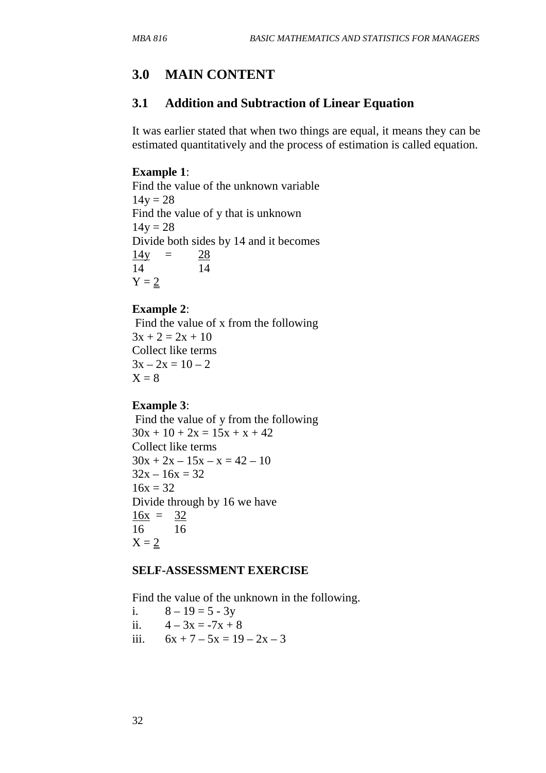# **3.0 MAIN CONTENT**

# **3.1 Addition and Subtraction of Linear Equation**

It was earlier stated that when two things are equal, it means they can be estimated quantitatively and the process of estimation is called equation.

#### **Example 1**:

Find the value of the unknown variable  $14y = 28$ Find the value of y that is unknown  $14y = 28$ Divide both sides by 14 and it becomes  $14y = 28$ 14 14  $Y = 2$ 

#### **Example 2**:

 Find the value of x from the following  $3x + 2 = 2x + 10$ Collect like terms  $3x - 2x = 10 - 2$  $X = 8$ 

#### **Example 3**:

 Find the value of y from the following  $30x + 10 + 2x = 15x + x + 42$ Collect like terms  $30x + 2x - 15x - x = 42 - 10$  $32x - 16x = 32$  $16x = 32$ Divide through by 16 we have  $16x = 32$ 16 16  $X = 2$ 

#### **SELF-ASSESSMENT EXERCISE**

Find the value of the unknown in the following.

i.  $8 - 19 = 5 - 3y$ 

ii.  $4 - 3x = -7x + 8$ 

iii.  $6x + 7 - 5x = 19 - 2x - 3$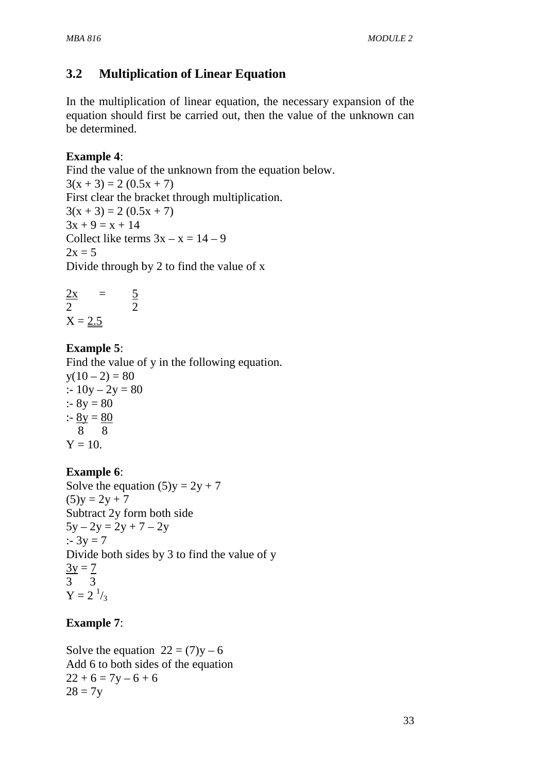# **3.2 Multiplication of Linear Equation**

In the multiplication of linear equation, the necessary expansion of the equation should first be carried out, then the value of the unknown can be determined.

## **Example 4**:

Find the value of the unknown from the equation below.  $3(x + 3) = 2 (0.5x + 7)$ First clear the bracket through multiplication.  $3(x + 3) = 2 (0.5x + 7)$  $3x + 9 = x + 14$ Collect like terms  $3x - x = 14 - 9$  $2x = 5$ Divide through by 2 to find the value of x

$$
\frac{2x}{2} = \frac{5}{2}
$$
  
X = 2.5

# **Example 5**:

Find the value of y in the following equation.  $y(10-2) = 80$ :-  $10y - 2y = 80$ :-  $8y = 80$  $:8y = 80$  8 8  $Y = 10$ .

# **Example 6**:

Solve the equation  $(5)y = 2y + 7$  $(5)y = 2y + 7$ Subtract 2y form both side  $5y - 2y = 2y + 7 - 2y$  $: 3y = 7$ Divide both sides by 3 to find the value of y  $3y = 7$ 3 3  $Y = 2^{1/3}$ 

# **Example 7**:

Solve the equation  $22 = (7)y - 6$ Add 6 to both sides of the equation  $22 + 6 = 7y - 6 + 6$  $28 = 7y$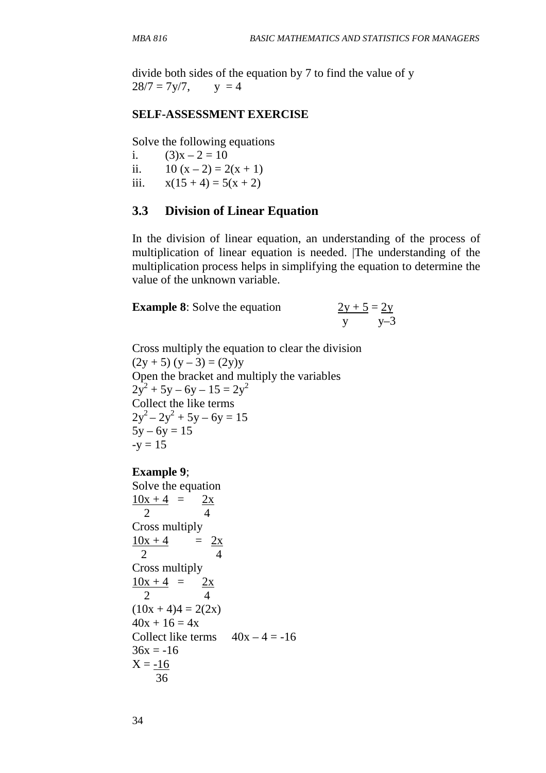divide both sides of the equation by 7 to find the value of y  $28/7 = 7y/7$ ,  $y = 4$ 

#### **SELF-ASSESSMENT EXERCISE**

Solve the following equations

i.  $(3)x - 2 = 10$ ii.  $10 (x - 2) = 2(x + 1)$ iii.  $x(15 + 4) = 5(x + 2)$ 

#### **3.3 Division of Linear Equation**

In the division of linear equation, an understanding of the process of multiplication of linear equation is needed. |The understanding of the multiplication process helps in simplifying the equation to determine the value of the unknown variable.

**Example 8**: Solve the equation  $\frac{2y+5}{y} = \frac{2y}{y-3}$ 

Cross multiply the equation to clear the division  $(2y + 5) (y - 3) = (2y)y$ Open the bracket and multiply the variables  $2y^2 + 5y - 6y - 15 = 2y^2$ Collect the like terms  $2y^2 - 2y^2 + 5y - 6y = 15$  $5y - 6y = 15$  $-y = 15$ 

#### **Example 9**;

Solve the equation  $10x + 4 = 2x$  2 4 Cross multiply  $\frac{10x + 4}{ } = \frac{2x}{ }$  2 4 Cross multiply  $10x + 4 = 2x$  2 4  $(10x + 4)4 = 2(2x)$  $40x + 16 = 4x$ Collect like terms  $40x - 4 = -16$  $36x = -16$  $X = -16$ 36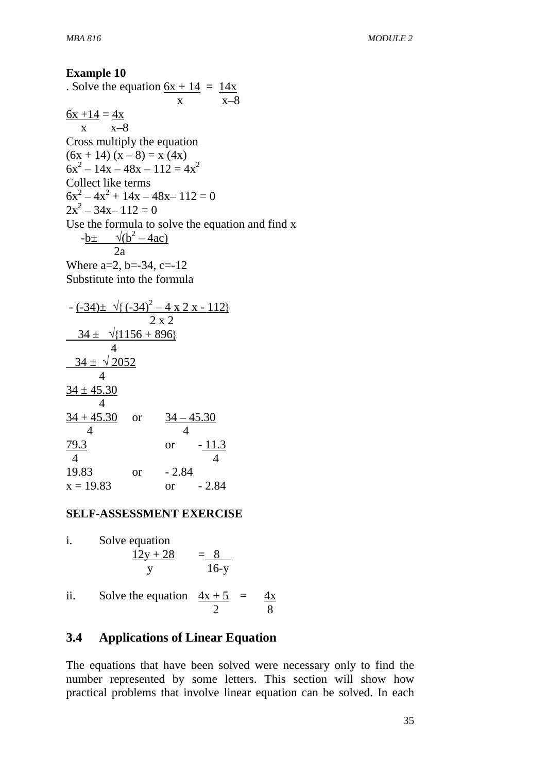# **Example 10**  . Solve the equation  $6x + 14 = 14x$  $x \longrightarrow x-8$  $6x + 14 = 4x$  x x–8 Cross multiply the equation  $(6x + 14) (x - 8) = x (4x)$  $6x^2 - 14x - 48x - 112 = 4x^2$ Collect like terms  $6x^2 - 4x^2 + 14x - 48x - 112 = 0$  $2x^2 - 34x - 112 = 0$

Use the formula to solve the equation and find x  $-b \pm \sqrt{(b^2 - 4ac)}$ 

 $2a$ Where  $a=2$ ,  $b=-34$ ,  $c=-12$ 

Substitute into the formula

$$
-\frac{(-34) \pm \sqrt{\{(-34)^2 - 4 \times 2 \times -112\}}}{2 \times 2}
$$
\n
$$
\begin{array}{r} 2 \times 2 \\ 34 \pm \sqrt{\{1156 + 896\}} \\ 4 \end{array}
$$
\n
$$
\begin{array}{r} 34 \pm \sqrt{2052} \\ 4 \end{array}
$$
\n
$$
\begin{array}{r} 34 \pm 45.30 \\ 4 \end{array}
$$
 or 
$$
\begin{array}{r} 34 - 45.30 \\ 4 \end{array}
$$
\n
$$
\begin{array}{r} 24 - 45.30 \\ 4 \end{array}
$$
\n
$$
\begin{array}{r} 79.3 \text{ or } -11.3 \\ 4 \end{array}
$$
\n
$$
\begin{array}{r} 79.3 \text{ or } -2.84 \\ 19.83 \text{ or } -2.84 \end{array}
$$

### **SELF-ASSESSMENT EXERCISE**

i. Solve equation  
\n
$$
\frac{12y + 28}{y} = \frac{8}{16-y}
$$

ii. Solve the equation  $4x + 5 = 4x$ 2 8

# **3.4 Applications of Linear Equation**

The equations that have been solved were necessary only to find the number represented by some letters. This section will show how practical problems that involve linear equation can be solved. In each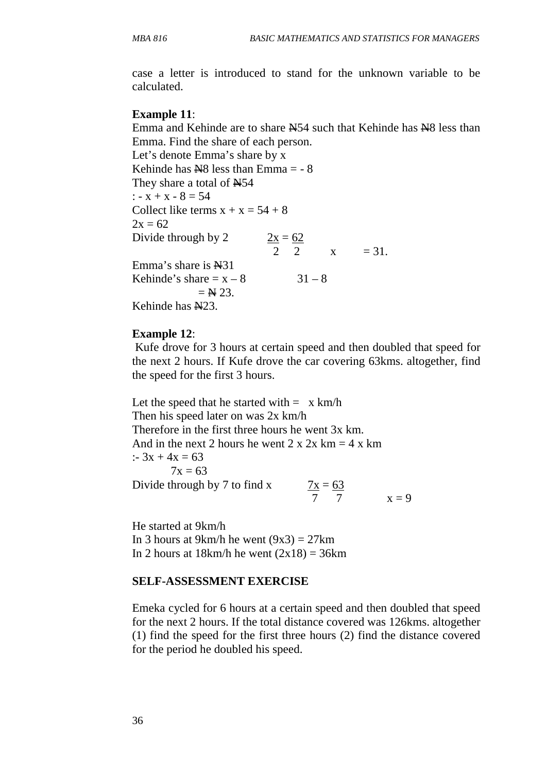case a letter is introduced to stand for the unknown variable to be calculated.

#### **Example 11**:

Emma and Kehinde are to share  $\frac{N54}{10}$  such that Kehinde has  $\frac{N8}{10}$  less than Emma. Find the share of each person.

Let's denote Emma's share by x Kehinde has  $N8$  less than Emma = - 8 They share a total of  $N54$ :  $-x + x - 8 = 54$ Collect like terms  $x + x = 54 + 8$  $2x = 62$ Divide through by 2  $2x = 62$ 2  $x = 31$ . Emma's share is  $\mathbb{H}31$ Kehinde's share  $x - 8$  31 – 8  $=$  N 23. Kehinde has  $N23$ .

#### **Example 12**:

 Kufe drove for 3 hours at certain speed and then doubled that speed for the next 2 hours. If Kufe drove the car covering 63kms. altogether, find the speed for the first 3 hours.

Let the speed that he started with  $= x \text{ km/h}$ Then his speed later on was 2x km/h Therefore in the first three hours he went 3x km. And in the next 2 hours he went  $2 \times 2x$  km = 4 x km :-  $3x + 4x = 63$  $7x = 63$ Divide through by  $7$  to find  $x$  $\frac{7x}{7} = \frac{63}{7}$   $x = 9$ 

He started at 9km/h In 3 hours at 9km/h he went  $(9x3) = 27km$ In 2 hours at  $18km/h$  he went  $(2x18) = 36km$ 

#### **SELF-ASSESSMENT EXERCISE**

Emeka cycled for 6 hours at a certain speed and then doubled that speed for the next 2 hours. If the total distance covered was 126kms. altogether (1) find the speed for the first three hours (2) find the distance covered for the period he doubled his speed.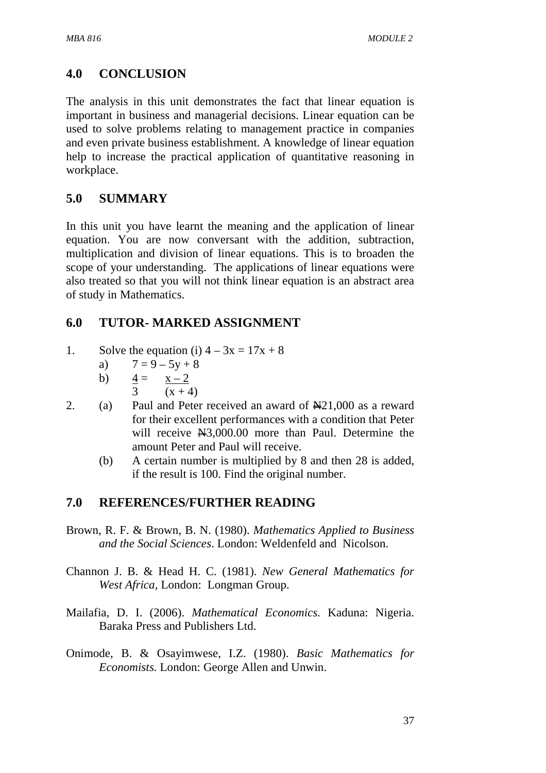# **4.0 CONCLUSION**

The analysis in this unit demonstrates the fact that linear equation is important in business and managerial decisions. Linear equation can be used to solve problems relating to management practice in companies and even private business establishment. A knowledge of linear equation help to increase the practical application of quantitative reasoning in workplace.

## **5.0 SUMMARY**

In this unit you have learnt the meaning and the application of linear equation. You are now conversant with the addition, subtraction, multiplication and division of linear equations. This is to broaden the scope of your understanding. The applications of linear equations were also treated so that you will not think linear equation is an abstract area of study in Mathematics.

# **6.0 TUTOR- MARKED ASSIGNMENT**

- 1. Solve the equation (i)  $4 3x = 17x + 8$ 
	- a)  $7 = 9 5y + 8$
	- b)  $4 = x 2$ 
		- 3  $(x + 4)$
- 2. (a) Paul and Peter received an award of  $\mathbb{N}21,000$  as a reward for their excellent performances with a condition that Peter will receive  $\text{H}3,000.00$  more than Paul. Determine the amount Peter and Paul will receive.
	- (b) A certain number is multiplied by 8 and then 28 is added, if the result is 100. Find the original number.

### **7.0 REFERENCES/FURTHER READING**

- Brown, R. F. & Brown, B. N. (1980). *Mathematics Applied to Business and the Social Sciences*. London: Weldenfeld and Nicolson.
- Channon J. B. & Head H. C. (1981). *New General Mathematics for West Africa,* London: Longman Group.
- Mailafia, D. I. (2006). *Mathematical Economics.* Kaduna: Nigeria. Baraka Press and Publishers Ltd.
- Onimode, B. & Osayimwese, I.Z. (1980). *Basic Mathematics for Economists.* London: George Allen and Unwin.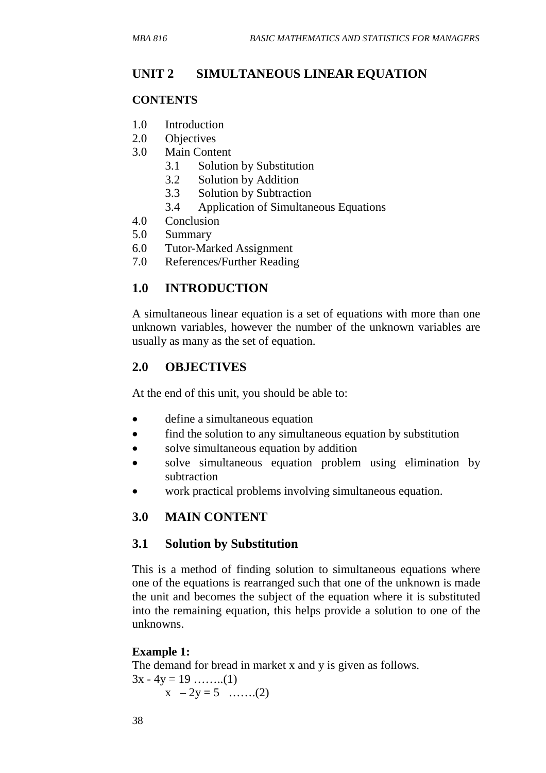### **UNIT 2 SIMULTANEOUS LINEAR EQUATION**

#### **CONTENTS**

- 1.0 Introduction
- 2.0 Objectives
- 3.0 Main Content
	- 3.1 Solution by Substitution
	- 3.2 Solution by Addition
	- 3.3 Solution by Subtraction
	- 3.4 Application of Simultaneous Equations
- 4.0 Conclusion
- 5.0 Summary
- 6.0 Tutor-Marked Assignment
- 7.0 References/Further Reading

## **1.0 INTRODUCTION**

A simultaneous linear equation is a set of equations with more than one unknown variables, however the number of the unknown variables are usually as many as the set of equation.

### **2.0 OBJECTIVES**

At the end of this unit, you should be able to:

- define a simultaneous equation
- find the solution to any simultaneous equation by substitution
- solve simultaneous equation by addition
- solve simultaneous equation problem using elimination by subtraction
- work practical problems involving simultaneous equation.

# **3.0 MAIN CONTENT**

### **3.1 Solution by Substitution**

This is a method of finding solution to simultaneous equations where one of the equations is rearranged such that one of the unknown is made the unit and becomes the subject of the equation where it is substituted into the remaining equation, this helps provide a solution to one of the unknowns.

#### **Example 1:**

The demand for bread in market x and y is given as follows.  $3x - 4y = 19$  ……..(1)  $x - 2y = 5$  …….(2)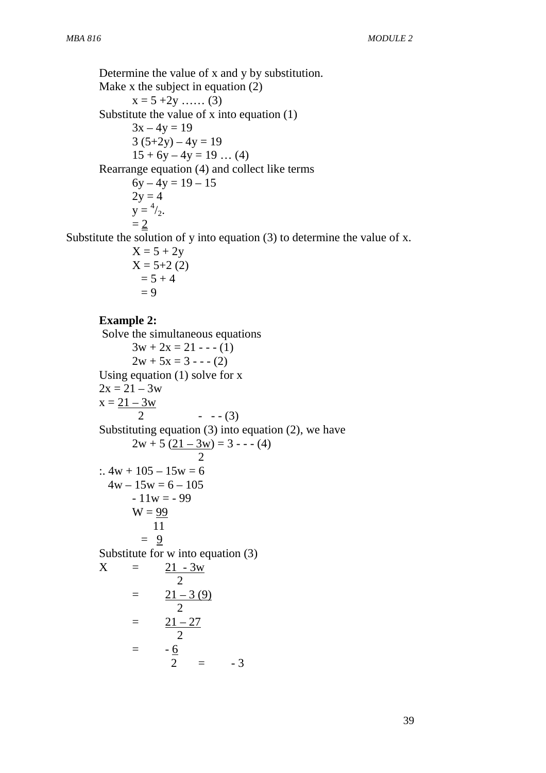Determine the value of x and y by substitution. Make x the subject in equation (2)  $x = 5 + 2y$  …… (3) Substitute the value of x into equation (1)  $3x - 4y = 19$  $3(5+2y) - 4y = 19$  $15 + 6y - 4y = 19$  ... (4) Rearrange equation (4) and collect like terms  $6y - 4y = 19 - 15$  $2y = 4$  $y = \frac{4}{2}$ .  $= 2$ Substitute the solution of y into equation (3) to determine the value of x.

> $X = 5 + 2y$  $X = 5+2(2)$  $= 5 + 4$  $= 9$

#### **Example 2:**

 Solve the simultaneous equations  $3w + 2x = 21 - (-1)$  $2w + 5x = 3 - (-2)$ Using equation (1) solve for x  $2x = 21 - 3w$  $x = 21 - 3w$ 2  $- - (3)$ Substituting equation (3) into equation (2), we have  $2w + 5 (21 - 3w) = 3 - (-4)$  2  $: 4w + 105 - 15w = 6$  $4w - 15w = 6 - 105$  $-11w = -99$  $W = 99$  11  $= 9$ Substitute for w into equation (3)  $X = 21 - 3w$  2  $=$   $\frac{21 - 3(9)}{9}$  2  $=$   $\frac{21-27}{2}$  2  $=$   $$  $rac{6}{2}$  = -3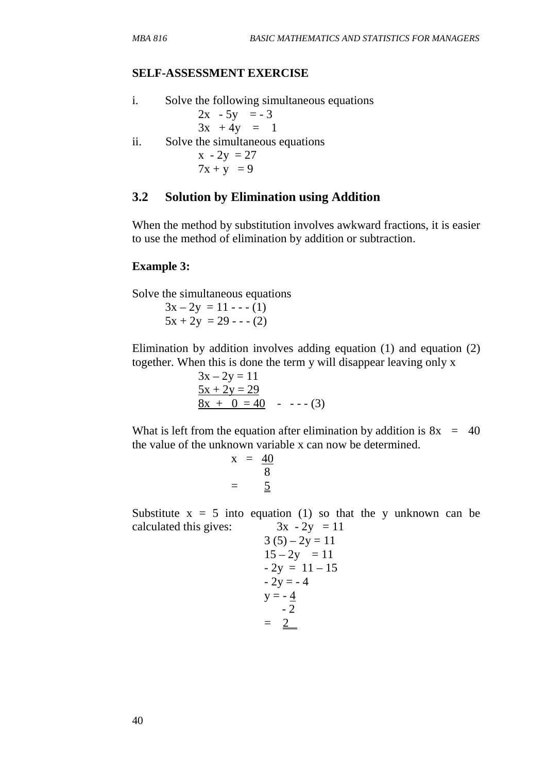\n- i. Solve the following simultaneous equations 
$$
2x - 5y = -3
$$
\n $3x + 4y = 1$ \n
\n- ii. Solve the simultaneous equations  $x - 2y = 27$ \n $7x + y = 9$ \n
\n

#### **3.2 Solution by Elimination using Addition**

When the method by substitution involves awkward fractions, it is easier to use the method of elimination by addition or subtraction.

#### **Example 3:**

Solve the simultaneous equations

 $3x - 2y = 11 - (-1)$  $5x + 2y = 29 - (-2)$ 

Elimination by addition involves adding equation (1) and equation (2) together. When this is done the term y will disappear leaving only x

> $3x - 2y = 11$  $5x + 2y = 29$  $8x + 0 = 40$  - --- (3)

What is left from the equation after elimination by addition is  $8x = 40$ the value of the unknown variable x can now be determined.

$$
x = \frac{40}{8}
$$

$$
= \frac{5}{8}
$$

Substitute  $x = 5$  into equation (1) so that the y unknown can be calculated this gives:  $3x - 2y = 11$ 

$$
3 (5) - 2y = 11\n15 - 2y = 11\n- 2y = 11 - 15\n- 2y = -4\ny = -\frac{4}{2}\n= \frac{2}{3}
$$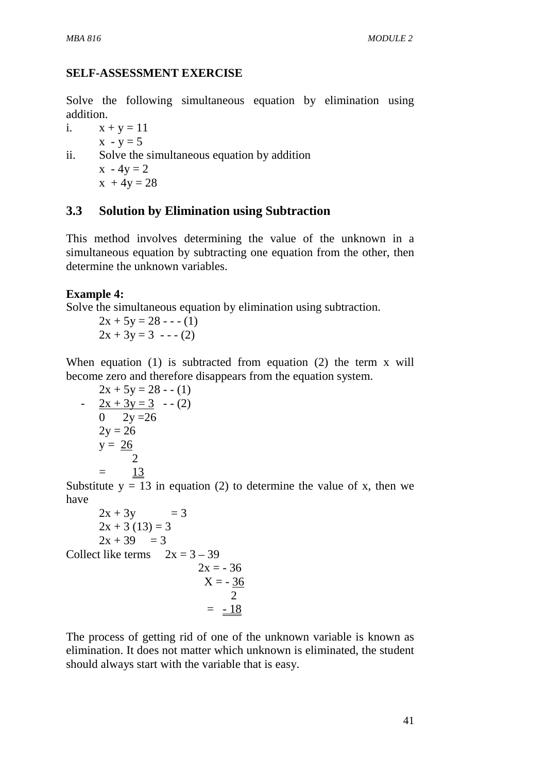Solve the following simultaneous equation by elimination using addition.

i.  $x + y = 11$ 

 $x - y = 5$ ii. Solve the simultaneous equation by addition  $x - 4y = 2$  $x + 4y = 28$ 

# **3.3 Solution by Elimination using Subtraction**

This method involves determining the value of the unknown in a simultaneous equation by subtracting one equation from the other, then determine the unknown variables.

#### **Example 4:**

Solve the simultaneous equation by elimination using subtraction.

 $2x + 5y = 28 - (-1)$  $2x + 3y = 3 - (-2)$ 

When equation (1) is subtracted from equation (2) the term x will become zero and therefore disappears from the equation system.

$$
2x + 5y = 28 - (1)
$$
  
\n
$$
- \frac{2x + 3y = 3}{0 \quad 2y = 26} - (2)
$$
  
\n
$$
2y = 26
$$
  
\n
$$
y = 26
$$
  
\n
$$
= \frac{13}{2}
$$

Substitute  $y = 13$  in equation (2) to determine the value of x, then we have

$$
2x + 3y = 3\n2x + 3 (13) = 3\n2x + 39 = 3\nCollect like terms  $2x = 3 - 39$   
\n $2x = -36$   
\n $X = -\frac{36}{2}$   
\n $= -\frac{18}{2}$
$$

The process of getting rid of one of the unknown variable is known as elimination. It does not matter which unknown is eliminated, the student should always start with the variable that is easy.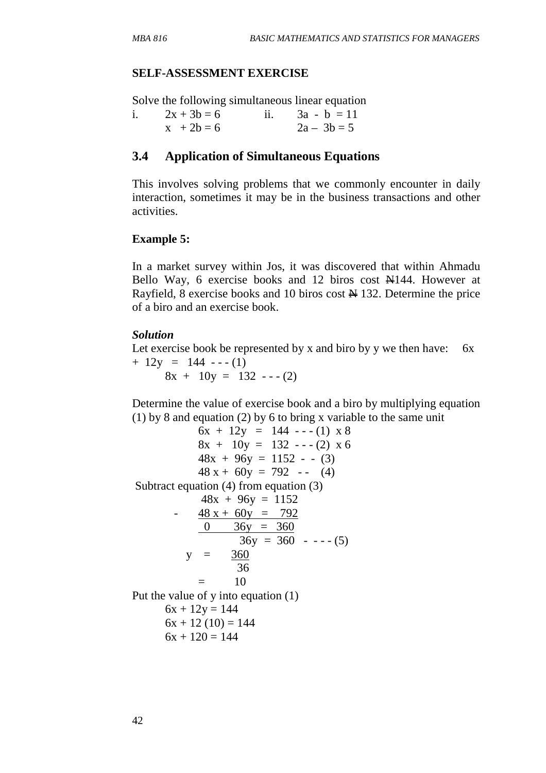Solve the following simultaneous linear equation

| $2x + 3b = 6$ | ii. $3a - b = 11$ |
|---------------|-------------------|
| $x + 2b = 6$  | $2a - 3b = 5$     |

### **3.4 Application of Simultaneous Equations**

This involves solving problems that we commonly encounter in daily interaction, sometimes it may be in the business transactions and other activities.

#### **Example 5:**

In a market survey within Jos, it was discovered that within Ahmadu Bello Way, 6 exercise books and 12 biros cost N144. However at Rayfield, 8 exercise books and 10 biros cost  $\frac{1}{2}$  132. Determine the price of a biro and an exercise book.

#### *Solution*

Let exercise book be represented by x and biro by y we then have:  $6x$  $+ 12y = 144$  --- (1)  $8x + 10y = 132 - (-2)$ 

Determine the value of exercise book and a biro by multiplying equation (1) by 8 and equation (2) by 6 to bring x variable to the same unit

```
6x + 12y = 144 --- (1) x 8
           8x + 10y = 132 - (-2) x 648x + 96y = 1152 - (3)48 x + 60y = 792 -- (4)
 Subtract equation (4) from equation (3) 
           48x + 96y = 1152- 48 x + 60y = 7920 36y = 36036y = 360 - - - (5)y = 360 36 
           = 10
Put the value of y into equation (1) 
     6x + 12y = 1446x + 12(10) = 1446x + 120 = 144
```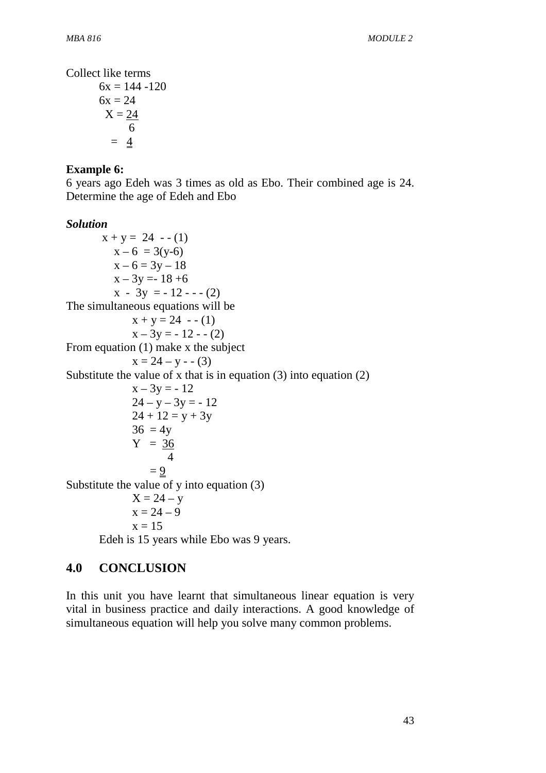Collect like terms

$$
6x = 144 - 120
$$
  
\n
$$
6x = 24
$$
  
\n
$$
X = \frac{24}{6}
$$
  
\n
$$
= \frac{4}{6}
$$

## **Example 6:**

6 years ago Edeh was 3 times as old as Ebo. Their combined age is 24. Determine the age of Edeh and Ebo

## *Solution*

 $x + y = 24$  - - (1)  $x - 6 = 3(y-6)$  $x - 6 = 3y - 18$  $x - 3y = -18 + 6$  $x - 3y = -12 - (-2)$ The simultaneous equations will be  $x + y = 24 - (1)$  $x - 3y = -12 - (2)$ From equation (1) make x the subject  $x = 24 - y - (3)$ Substitute the value of x that is in equation (3) into equation (2)  $x - 3y = -12$  $24 - y - 3y = -12$  $24 + 12 = y + 3y$  $36 = 4v$  $Y = 36$  4  $= 9$ Substitute the value of y into equation (3)  $X = 24 - y$  $x = 24 - 9$  $x = 15$ Edeh is 15 years while Ebo was 9 years.

# **4.0 CONCLUSION**

In this unit you have learnt that simultaneous linear equation is very vital in business practice and daily interactions. A good knowledge of simultaneous equation will help you solve many common problems.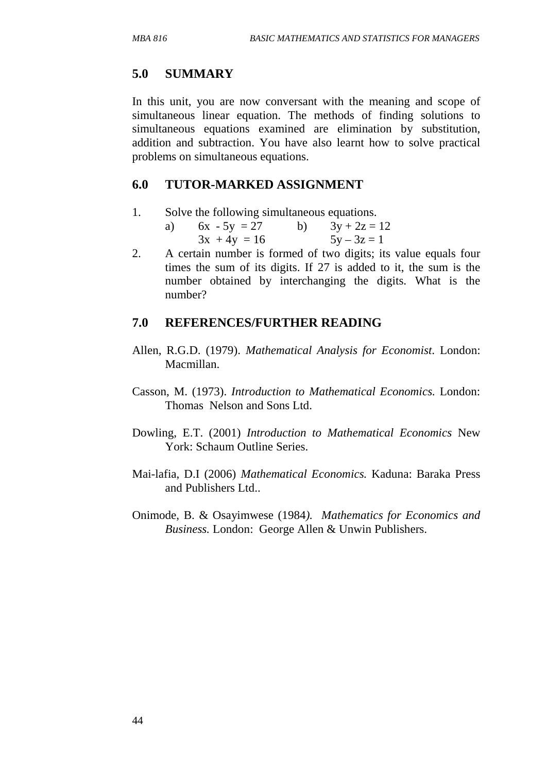## **5.0 SUMMARY**

In this unit, you are now conversant with the meaning and scope of simultaneous linear equation. The methods of finding solutions to simultaneous equations examined are elimination by substitution, addition and subtraction. You have also learnt how to solve practical problems on simultaneous equations.

### **6.0 TUTOR-MARKED ASSIGNMENT**

1. Solve the following simultaneous equations.

| a) $6x - 5y = 27$ | $3y + 2z = 12$ |
|-------------------|----------------|
| $3x + 4y = 16$    | $5y - 3z = 1$  |

2. A certain number is formed of two digits; its value equals four times the sum of its digits. If 27 is added to it, the sum is the number obtained by interchanging the digits. What is the number?

# **7.0 REFERENCES/FURTHER READING**

- Allen, R.G.D. (1979). *Mathematical Analysis for Economist*. London: Macmillan.
- Casson, M. (1973). *Introduction to Mathematical Economics.* London: Thomas Nelson and Sons Ltd.
- Dowling, E.T. (2001) *Introduction to Mathematical Economics* New York: Schaum Outline Series.
- Mai-lafia, D.I (2006) *Mathematical Economics.* Kaduna: Baraka Press and Publishers Ltd..
- Onimode, B. & Osayimwese (1984*). Mathematics for Economics and Business.* London: George Allen & Unwin Publishers.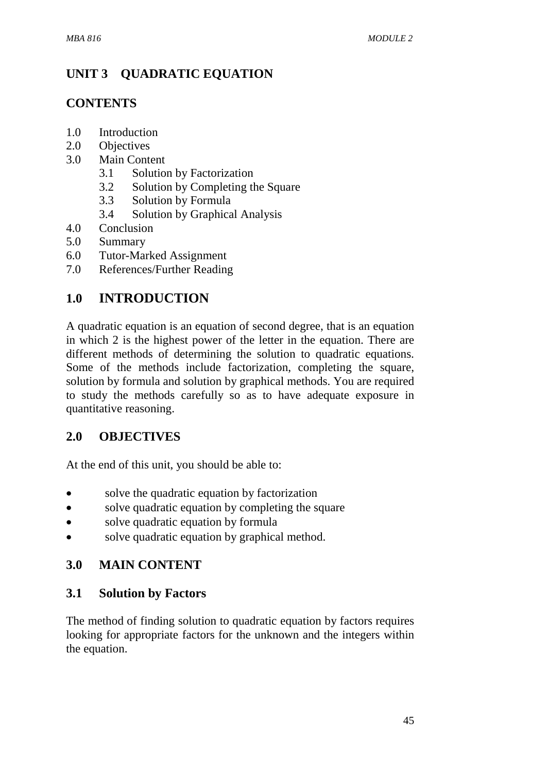# **UNIT 3 QUADRATIC EQUATION**

# **CONTENTS**

- 1.0 Introduction
- 2.0 Objectives
- 3.0 Main Content
	- 3.1 Solution by Factorization
	- 3.2 Solution by Completing the Square
	- 3.3 Solution by Formula
	- 3.4 Solution by Graphical Analysis
- 4.0 Conclusion
- 5.0 Summary
- 6.0 Tutor-Marked Assignment
- 7.0 References/Further Reading

# **1.0 INTRODUCTION**

A quadratic equation is an equation of second degree, that is an equation in which 2 is the highest power of the letter in the equation. There are different methods of determining the solution to quadratic equations. Some of the methods include factorization, completing the square, solution by formula and solution by graphical methods. You are required to study the methods carefully so as to have adequate exposure in quantitative reasoning.

# **2.0 OBJECTIVES**

At the end of this unit, you should be able to:

- solve the quadratic equation by factorization
- solve quadratic equation by completing the square
- solve quadratic equation by formula
- solve quadratic equation by graphical method.

# **3.0 MAIN CONTENT**

# **3.1 Solution by Factors**

The method of finding solution to quadratic equation by factors requires looking for appropriate factors for the unknown and the integers within the equation.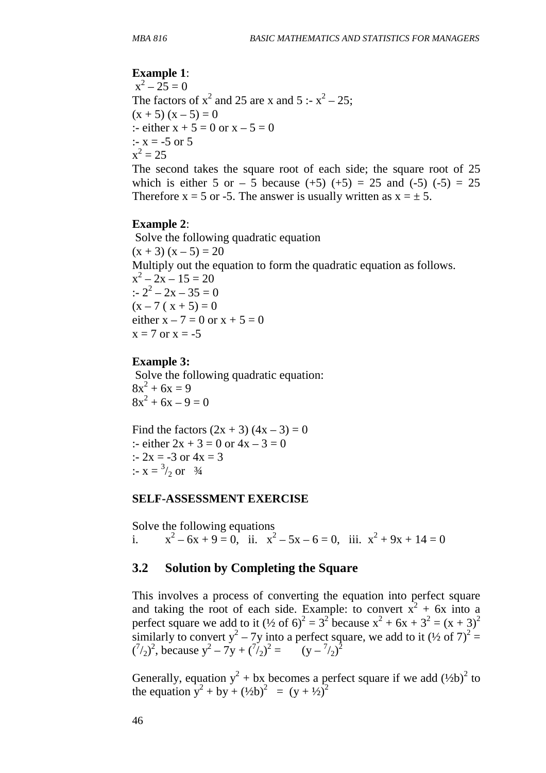#### **Example 1**:

 $x^2 - 25 = 0$ The factors of  $x^2$  and 25 are x and 5 :-  $x^2 - 25$ ;  $(x + 5) (x - 5) = 0$ :- either  $x + 5 = 0$  or  $x - 5 = 0$  $: x = -5$  or 5  $x^2 = 25$ 

The second takes the square root of each side; the square root of 25 which is either 5 or  $-$  5 because (+5) (+5) = 25 and (-5) (-5) = 25 Therefore  $x = 5$  or -5. The answer is usually written as  $x = \pm 5$ .

#### **Example 2**:

 Solve the following quadratic equation  $(x + 3)(x - 5) = 20$ Multiply out the equation to form the quadratic equation as follows.  $x^2 - 2x - 15 = 20$ :-  $2^2 - 2x - 35 = 0$  $(x - 7 (x + 5) = 0$ either  $x - 7 = 0$  or  $x + 5 = 0$  $x = 7$  or  $x = -5$ 

#### **Example 3:**

 Solve the following quadratic equation:  $8x^2 + 6x = 9$  $8x^2 + 6x - 9 = 0$ 

Find the factors  $(2x + 3) (4x - 3) = 0$ :- either  $2x + 3 = 0$  or  $4x - 3 = 0$ :-  $2x = -3$  or  $4x = 3$ :-  $x = \frac{3}{2}$  or  $\frac{3}{4}$ 

#### **SELF-ASSESSMENT EXERCISE**

Solve the following equations i.  $x^2 - 6x + 9 = 0$ , ii.  $x^2 - 5x - 6 = 0$ , iii.  $x^2 + 9x + 14 = 0$ 

#### **3.2 Solution by Completing the Square**

This involves a process of converting the equation into perfect square and taking the root of each side. Example: to convert  $x^2 + 6x$  into a perfect square we add to it  $(\frac{1}{2}$  of 6)<sup>2</sup> = 3<sup>2</sup> because x<sup>2</sup> + 6x + 3<sup>2</sup> = (x + 3)<sup>2</sup> similarly to convert  $y^2 - 7y$  into a perfect square, we add to it  $(½ of 7)^2 =$  $({}^{7}/_2)^2$ , because  $y^2 - 7y + ({}^{7}/_2)^2 =$  (y -  ${}^{7}/_2)^2$ )

Generally, equation  $y^2 + bx$  becomes a perfect square if we add  $(½b)^2$  to the equation  $y^2 + by + (1/2b)^2 = (y + 1/2)^2$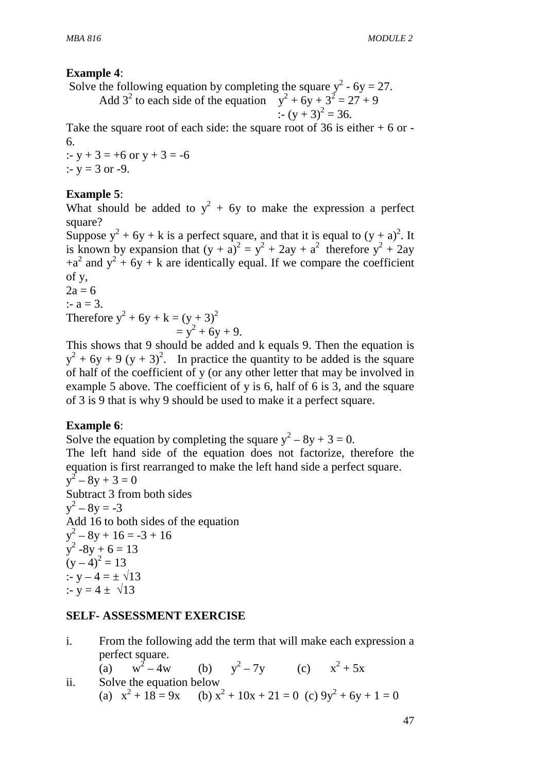### **Example 4**:

Solve the following equation by completing the square  $y^2$  - 6y = 27.

Add  $3^2$  to each side of the equation  $y^2 + 6y + 3^2 = 27 + 9$ :-  $(y + 3)^2 = 36$ .

Take the square root of each side: the square root of 36 is either  $+ 6$  or -6.

:-  $y + 3 = +6$  or  $y + 3 = -6$ :-  $v = 3$  or -9.

## **Example 5**:

What should be added to  $y^2 + 6y$  to make the expression a perfect square?

Suppose  $y^2 + 6y + k$  is a perfect square, and that it is equal to  $(y + a)^2$ . It is known by expansion that  $(y + a)^2 = y^2 + 2ay + a^2$  therefore  $y^2 + 2ay$  $+a^{2}$  and  $y^{2} + 6y + k$  are identically equal. If we compare the coefficient of y,

 $2a = 6$ :-  $a = 3$ . Therefore  $y^2 + 6y + k = (y + 3)^2$  $= y^2 + 6y + 9.$ 

This shows that 9 should be added and k equals 9. Then the equation is  $y^2 + 6y + 9 (y + 3)^2$ . In practice the quantity to be added is the square of half of the coefficient of y (or any other letter that may be involved in example 5 above. The coefficient of y is 6, half of 6 is 3, and the square of 3 is 9 that is why 9 should be used to make it a perfect square.

### **Example 6**:

Solve the equation by completing the square  $y^2 - 8y + 3 = 0$ . The left hand side of the equation does not factorize, therefore the equation is first rearranged to make the left hand side a perfect square.  $y^2 - 8y + 3 = 0$ Subtract 3 from both sides  $y^2 - 8y = -3$ Add 16 to both sides of the equation  $y^2 - 8y + 16 = -3 + 16$  $y^2 - 8y + 6 = 13$  $(y-4)^2 = 13$ :-  $v - 4 = \pm \sqrt{13}$ :-  $y = 4 \pm \sqrt{13}$ 

### **SELF- ASSESSMENT EXERCISE**

i. From the following add the term that will make each expression a perfect square.  $(a)$  $w^2 - 4w$  $-4w$  (b)  $y^2 - 7y$  (c)  $x^2 + 5x$ ii. Solve the equation below (a)  $x^2 + 18 = 9x$  (b)  $x^2 + 10x + 21 = 0$  (c)  $9y^2 + 6y + 1 = 0$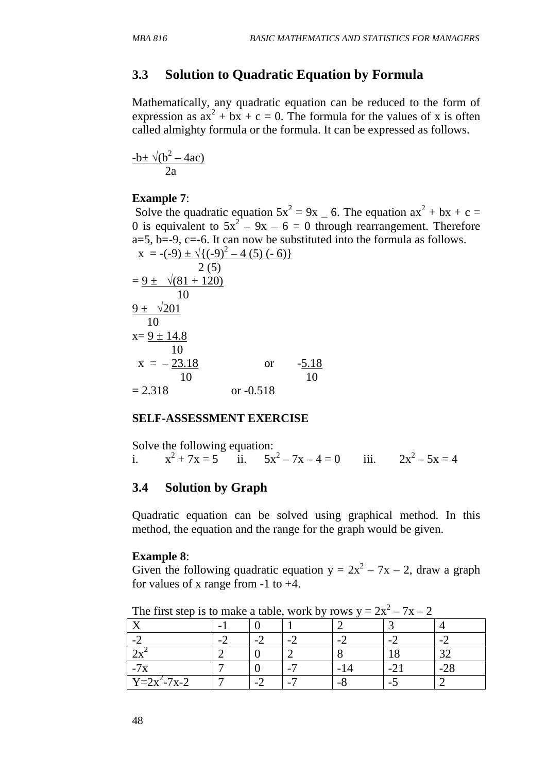# **3.3 Solution to Quadratic Equation by Formula**

Mathematically, any quadratic equation can be reduced to the form of expression as  $ax^2 + bx + c = 0$ . The formula for the values of x is often called almighty formula or the formula. It can be expressed as follows.

$$
\frac{-b \pm \sqrt{(b^2 - 4ac)}}{2a}
$$

#### **Example 7**:

Solve the quadratic equation  $5x^2 = 9x - 6$ . The equation  $ax^2 + bx + c =$ 0 is equivalent to  $5x^2 - 9x - 6 = 0$  through rearrangement. Therefore  $a=5$ ,  $b=-9$ ,  $c=-6$ . It can now be substituted into the formula as follows.  $(x - 1)(y - 2)$ 

$$
x = -(-9) \pm \sqrt{(-9)^2 - 4 (5) (-6)}
$$
  
\n2 (5)  
\n
$$
= 9 \pm \sqrt{81 + 120}
$$
  
\n10  
\n9 $\pm \sqrt{201}$   
\n10  
\n
$$
x = 9 \pm 14.8
$$
  
\n10  
\n
$$
x = -23.18
$$
 or  $-5.18$   
\n= 2.318 or -0.518

#### **SELF-ASSESSMENT EXERCISE**

Solve the following equation: i.  $x^2 + 7x = 5$  ii.  $5x^2 - 7x - 4 = 0$  iii.  $2x^2 - 5x = 4$ 

### **3.4 Solution by Graph**

Quadratic equation can be solved using graphical method. In this method, the equation and the range for the graph would be given.

#### **Example 8**:

Given the following quadratic equation  $y = 2x^2 - 7x - 2$ , draw a graph for values of x range from  $-1$  to  $+4$ .

| The rust step to to make a thore, work $\sigma$ from $\sigma$<br>$-11$ |  |        |  |     |  |  |  |  |  |
|------------------------------------------------------------------------|--|--------|--|-----|--|--|--|--|--|
|                                                                        |  |        |  |     |  |  |  |  |  |
|                                                                        |  | $\sim$ |  |     |  |  |  |  |  |
|                                                                        |  |        |  |     |  |  |  |  |  |
|                                                                        |  |        |  |     |  |  |  |  |  |
| $Y = 2x^2 - 7x - 2$                                                    |  | н.     |  | - 0 |  |  |  |  |  |

The first step is to make a table, work by rows  $y = 2x^2 - 7x - 2$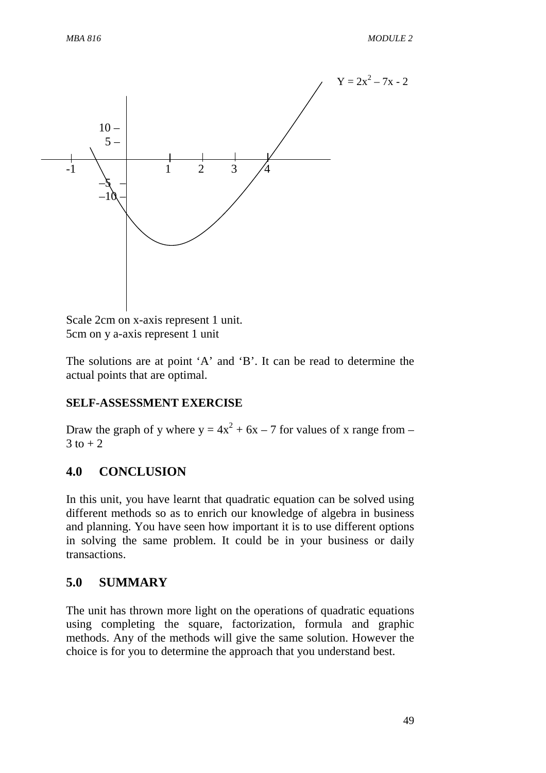

Scale 2cm on x-axis represent 1 unit. 5cm on y a-axis represent 1 unit

The solutions are at point 'A' and 'B'. It can be read to determine the actual points that are optimal.

### **SELF-ASSESSMENT EXERCISE**

Draw the graph of y where  $y = 4x^2 + 6x - 7$  for values of x range from –  $3$  to  $+2$ 

# **4.0 CONCLUSION**

In this unit, you have learnt that quadratic equation can be solved using different methods so as to enrich our knowledge of algebra in business and planning. You have seen how important it is to use different options in solving the same problem. It could be in your business or daily transactions.

### **5.0 SUMMARY**

The unit has thrown more light on the operations of quadratic equations using completing the square, factorization, formula and graphic methods. Any of the methods will give the same solution. However the choice is for you to determine the approach that you understand best.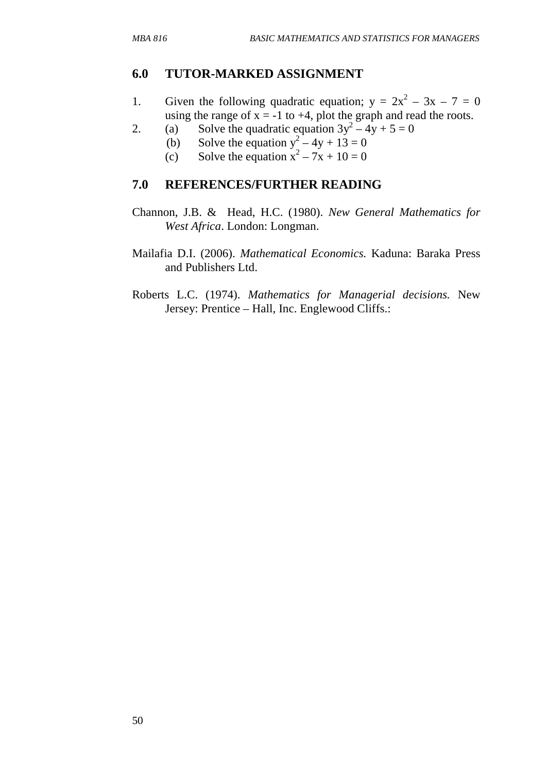# **6.0 TUTOR-MARKED ASSIGNMENT**

- 1. Given the following quadratic equation;  $y = 2x^2 3x 7 = 0$ using the range of  $x = -1$  to  $+4$ , plot the graph and read the roots.
- 2. (a) Solve the quadratic equation  $3y^2 4y + 5 = 0$ 
	- (b) Solve the equation  $y^2 4y + 13 = 0$ 
		- (c) Solve the equation  $x^2 7x + 10 = 0$

# **7.0 REFERENCES/FURTHER READING**

- Channon, J.B. & Head, H.C. (1980). *New General Mathematics for West Africa*. London: Longman.
- Mailafia D.I. (2006). *Mathematical Economics.* Kaduna: Baraka Press and Publishers Ltd.
- Roberts L.C. (1974). *Mathematics for Managerial decisions.* New Jersey: Prentice – Hall, Inc. Englewood Cliffs.: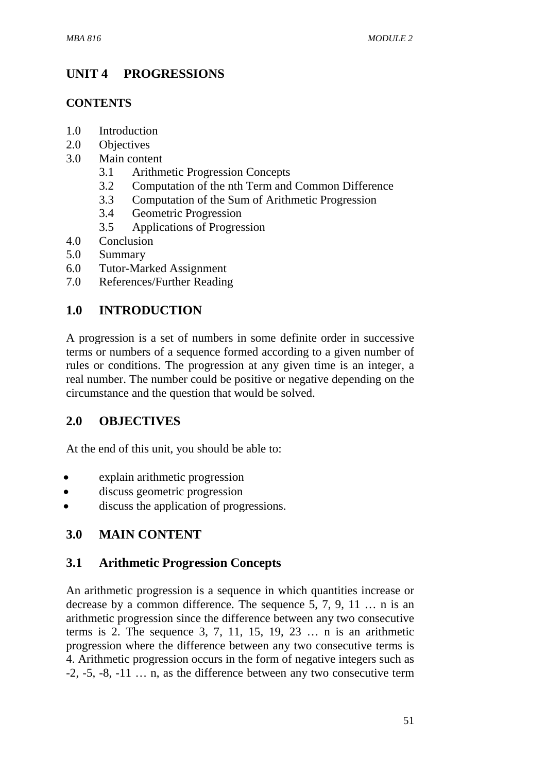# **UNIT 4 PROGRESSIONS**

### **CONTENTS**

- 1.0 Introduction
- 2.0 Objectives
- 3.0 Main content
	- 3.1 Arithmetic Progression Concepts
	- 3.2 Computation of the nth Term and Common Difference
	- 3.3 Computation of the Sum of Arithmetic Progression
	- 3.4 Geometric Progression
	- 3.5 Applications of Progression
- 4.0 Conclusion
- 5.0 Summary
- 6.0 Tutor-Marked Assignment
- 7.0 References/Further Reading

# **1.0 INTRODUCTION**

A progression is a set of numbers in some definite order in successive terms or numbers of a sequence formed according to a given number of rules or conditions. The progression at any given time is an integer, a real number. The number could be positive or negative depending on the circumstance and the question that would be solved.

# **2.0 OBJECTIVES**

At the end of this unit, you should be able to:

- explain arithmetic progression
- discuss geometric progression
- discuss the application of progressions.

# **3.0 MAIN CONTENT**

# **3.1 Arithmetic Progression Concepts**

An arithmetic progression is a sequence in which quantities increase or decrease by a common difference. The sequence 5, 7, 9, 11 … n is an arithmetic progression since the difference between any two consecutive terms is 2. The sequence 3, 7, 11, 15, 19, 23  $\dots$  n is an arithmetic progression where the difference between any two consecutive terms is 4. Arithmetic progression occurs in the form of negative integers such as  $-2$ ,  $-5$ ,  $-8$ ,  $-11$   $\ldots$  n, as the difference between any two consecutive term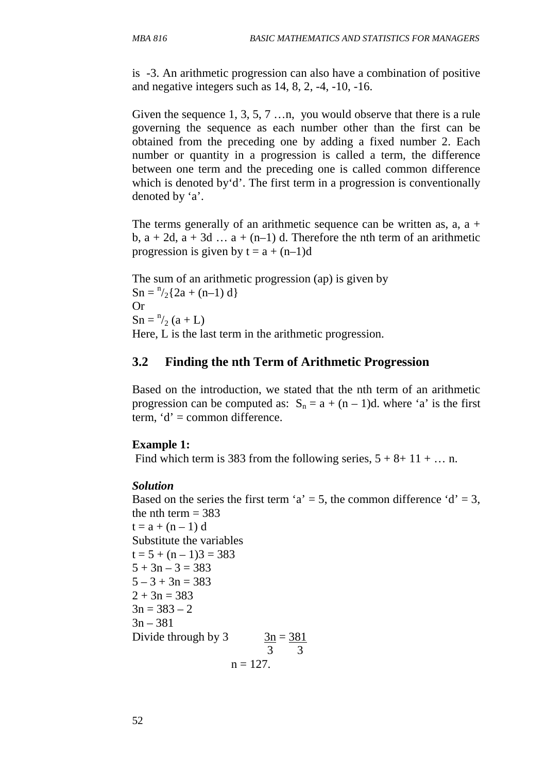is -3. An arithmetic progression can also have a combination of positive and negative integers such as 14, 8, 2, -4, -10, -16.

Given the sequence 1, 3, 5, 7 …n, you would observe that there is a rule governing the sequence as each number other than the first can be obtained from the preceding one by adding a fixed number 2. Each number or quantity in a progression is called a term, the difference between one term and the preceding one is called common difference which is denoted by 'd'. The first term in a progression is conventionally denoted by 'a'.

The terms generally of an arithmetic sequence can be written as,  $a$ ,  $a + b$ b,  $a + 2d$ ,  $a + 3d$  ...  $a + (n-1)$  d. Therefore the nth term of an arithmetic progression is given by  $t = a + (n-1)d$ 

The sum of an arithmetic progression (ap) is given by  $Sn = \frac{n}{2} \{ 2a + (n-1) d \}$ Or  $Sn = \frac{n}{2} (a + L)$ Here, L is the last term in the arithmetic progression.

### **3.2 Finding the nth Term of Arithmetic Progression**

Based on the introduction, we stated that the nth term of an arithmetic progression can be computed as:  $S_n = a + (n-1)d$ . where 'a' is the first term,  $d' =$ common difference.

#### **Example 1:**

Find which term is 383 from the following series,  $5 + 8 + 11 + ...$  n.

#### *Solution*

Based on the series the first term 'a' = 5, the common difference 'd' = 3, the nth term  $=$  383  $t = a + (n - 1) d$ Substitute the variables  $t = 5 + (n - 1)3 = 383$  $5 + 3n - 3 = 383$  $5 - 3 + 3n = 383$  $2 + 3n = 383$  $3n = 383 - 2$  $3n - 381$ Divide through by  $3 \text{ m} = 381$  3 3  $n = 127$ .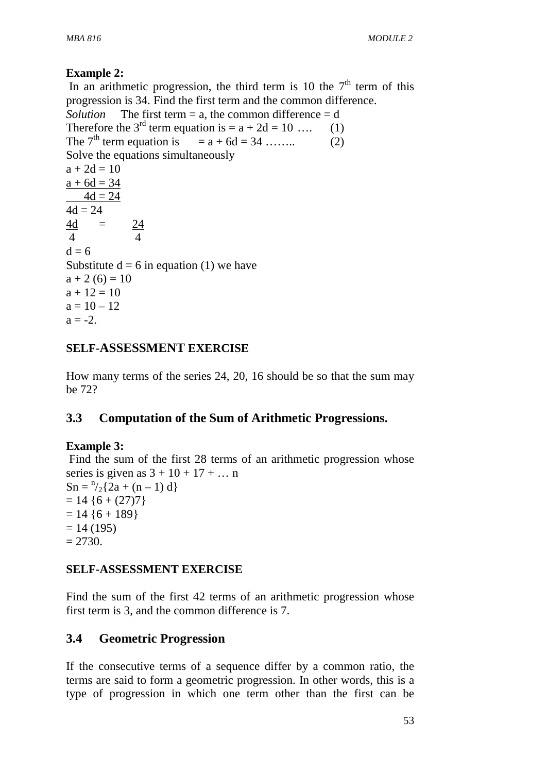# **Example 2:**

In an arithmetic progression, the third term is 10 the  $7<sup>th</sup>$  term of this progression is 34. Find the first term and the common difference. *Solution* The first term  $= a$ , the common difference  $= d$ Therefore the 3<sup>rd</sup> term equation is  $= a + 2d = 10$  .... (1) The  $7<sup>th</sup>$  term equation is  $= a + 6d = 34$  …….. (2) Solve the equations simultaneously  $a + 2d = 10$  $a + 6d = 34$  $4d = 24$  $4d = 24$  $\frac{4d}{ }$  =  $\frac{24}{ }$  4 4  $d = 6$ Substitute  $d = 6$  in equation (1) we have  $a + 2 (6) = 10$  $a + 12 = 10$  $a = 10 - 12$  $a = -2.$ 

## **SELF-ASSESSMENT EXERCISE**

How many terms of the series 24, 20, 16 should be so that the sum may be 72?

# **3.3 Computation of the Sum of Arithmetic Progressions.**

### **Example 3:**

 Find the sum of the first 28 terms of an arithmetic progression whose series is given as  $3 + 10 + 17 + \dots$ n  $\text{Sn} = \frac{n}{2} \{ 2a + (n-1) d \}$  $= 14$  {6 + (27)7}  $= 14$  {6 + 189}  $= 14 (195)$  $= 2730.$ 

# **SELF-ASSESSMENT EXERCISE**

Find the sum of the first 42 terms of an arithmetic progression whose first term is 3, and the common difference is 7.

# **3.4 Geometric Progression**

If the consecutive terms of a sequence differ by a common ratio, the terms are said to form a geometric progression. In other words, this is a type of progression in which one term other than the first can be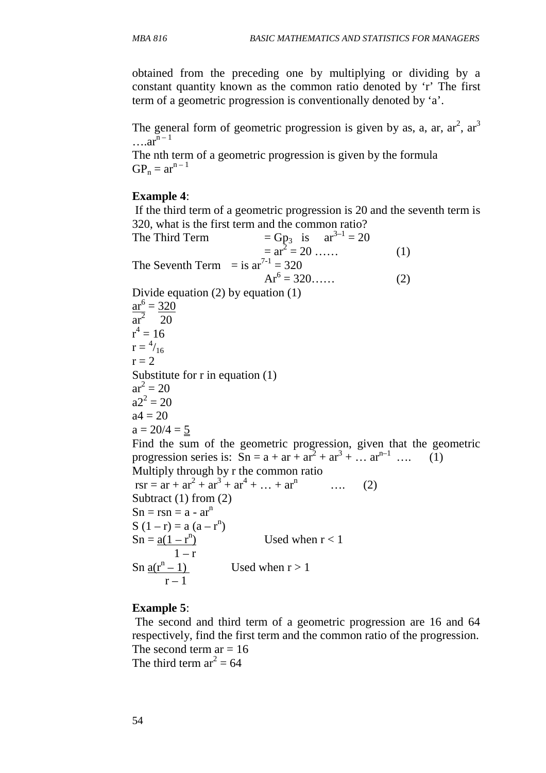obtained from the preceding one by multiplying or dividing by a constant quantity known as the common ratio denoted by 'r' The first term of a geometric progression is conventionally denoted by 'a'.

The general form of geometric progression is given by as, a, ar,  $ar<sup>2</sup>$ ,  $ar<sup>3</sup>$  $\ldots$ ar<sup>n – 1</sup>

The nth term of a geometric progression is given by the formula  $GP_n = ar^{n-1}$ 

### **Example 4**:

 If the third term of a geometric progression is 20 and the seventh term is 320, what is the first term and the common ratio? The Third Term  $= Gp_3$  is  $ar^{3-1} = 20$ 

 $= ar$  $2^2 = 20$  ...... (1) The Seventh Term = is  $ar^{7-1} = 320$  $Ar^6$  $Ar^6 = 320$ …… (2) Divide equation (2) by equation (1)  $ar^6 = 320$ ar<sup>2</sup> 20  $r^4 = 16$  $r = \frac{4}{16}$  $r = 2$ Substitute for r in equation (1)  $ar^2 = 20$  $a2^2 = 20$  $a4 = 20$  $a = 20/4 = 5$ Find the sum of the geometric progression, given that the geometric progression series is:  $\text{Sn} = \text{a} + \text{ar} + \text{ar}^2 + \text{ar}^3 + \dots \text{ar}^{\text{n}-1}$  .... (1) Multiply through by r the common ratio  $rsr = ar + ar<sup>2</sup> + ar<sup>3</sup> + ar<sup>4</sup> + ... + ar<sup>n</sup>$  (2) Subtract (1) from (2)  $Sn = rsn = a - ar^n$ S  $(1 - r) = a (a - r^n)$  $Sn = a(1 - r^n)$ Used when  $r < 1$  $1 - r$ Sn  $a(r^n-1)$ Used when  $r > 1$  $r - 1$ 

# **Example 5**:

 The second and third term of a geometric progression are 16 and 64 respectively, find the first term and the common ratio of the progression. The second term ar  $= 16$ The third term  $ar^2 = 64$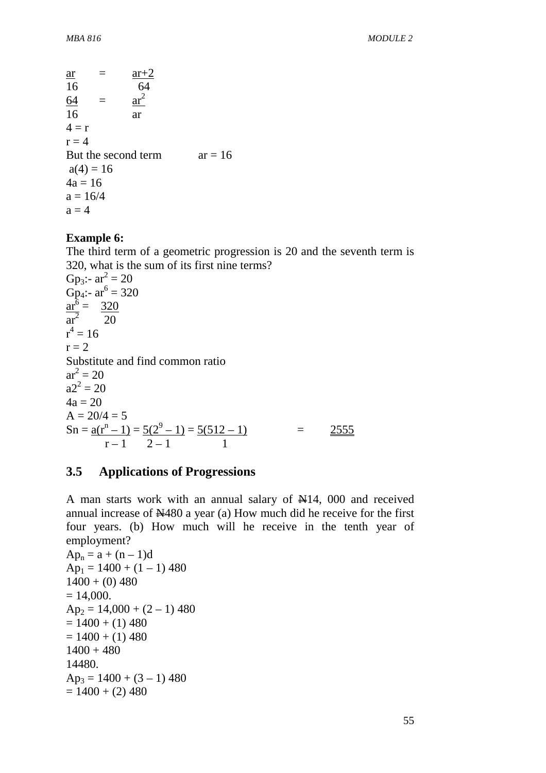$$
\frac{ar}{16} = \frac{ar+2}{64} \n\frac{64}{16} = \frac{ar^2}{ar} \n4 = r \nr = 4 \nBut the second term \na(4) = 16 \n4a = 16 \na = 16/4 \na = 4
$$

#### **Example 6:**

The third term of a geometric progression is 20 and the seventh term is 320, what is the sum of its first nine terms? Gp<sub>3</sub>:-  $ar_1^2 = 20$ Gp<sub>4</sub>:- ar<sup>6</sup> = 320  $ar^6 = 320$ ar<sup>2</sup> 20  $r^4 = 16$  $r = 2$ Substitute and find common ratio  $ar^2 = 20$  $a2^2 = 20$  $4a = 20$  $A = 20/4 = 5$  $\text{Sn} = \text{a}(\text{r}^{\text{n}}-1) = \text{5}(2^9-1) = \text{5}(512-1)$  = 2555  $r-1$  2-1 1

### **3.5 Applications of Progressions**

A man starts work with an annual salary of N14, 000 and received annual increase of N480 a year (a) How much did he receive for the first four years. (b) How much will he receive in the tenth year of employment?

```
Ap_n = a + (n - 1)dAp_1 = 1400 + (1 - 1) 4801400 + (0)480= 14,000.Ap_2 = 14,000 + (2 - 1) 480= 1400 + (1)480= 1400 + (1) 4801400 + 48014480. 
Ap_3 = 1400 + (3 - 1) 480= 1400 + (2) 480
```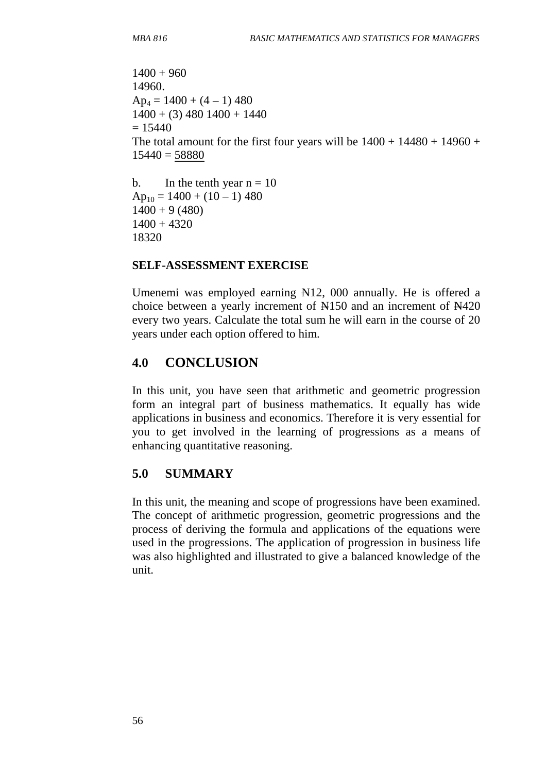```
1400 + 96014960. 
Ap_4 = 1400 + (4 - 1) 4801400 + (3) 480 1400 + 1440= 15440The total amount for the first four years will be 1400 + 14480 + 14960 +15440 = 58880b. In the tenth year n = 10
```

```
Ap_{10} = 1400 + (10 - 1) 4801400 + 9(480)1400 + 432018320
```
Umenemi was employed earning N12, 000 annually. He is offered a choice between a yearly increment of N150 and an increment of N420 every two years. Calculate the total sum he will earn in the course of 20 years under each option offered to him.

# **4.0 CONCLUSION**

In this unit, you have seen that arithmetic and geometric progression form an integral part of business mathematics. It equally has wide applications in business and economics. Therefore it is very essential for you to get involved in the learning of progressions as a means of enhancing quantitative reasoning.

# **5.0 SUMMARY**

In this unit, the meaning and scope of progressions have been examined. The concept of arithmetic progression, geometric progressions and the process of deriving the formula and applications of the equations were used in the progressions. The application of progression in business life was also highlighted and illustrated to give a balanced knowledge of the unit.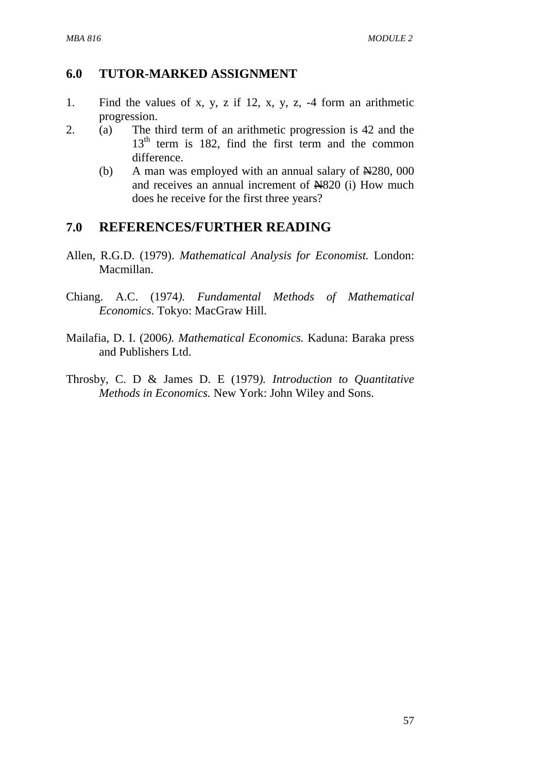## **6.0 TUTOR-MARKED ASSIGNMENT**

- 1. Find the values of x, y, z if 12, x, y, z, -4 form an arithmetic progression.
- 2. (a) The third term of an arithmetic progression is 42 and the  $13<sup>th</sup>$  term is 182, find the first term and the common difference.
	- (b) A man was employed with an annual salary of  $\angle$  N280, 000 and receives an annual increment of  $\text{H}820$  (i) How much does he receive for the first three years?

# **7.0 REFERENCES/FURTHER READING**

- Allen, R.G.D. (1979). *Mathematical Analysis for Economist.* London: Macmillan.
- Chiang. A.C. (1974*). Fundamental Methods of Mathematical Economics*. Tokyo: MacGraw Hill.
- Mailafia, D. I. (2006*). Mathematical Economics.* Kaduna: Baraka press and Publishers Ltd.
- Throsby, C. D & James D. E (1979*). Introduction to Quantitative Methods in Economics.* New York: John Wiley and Sons.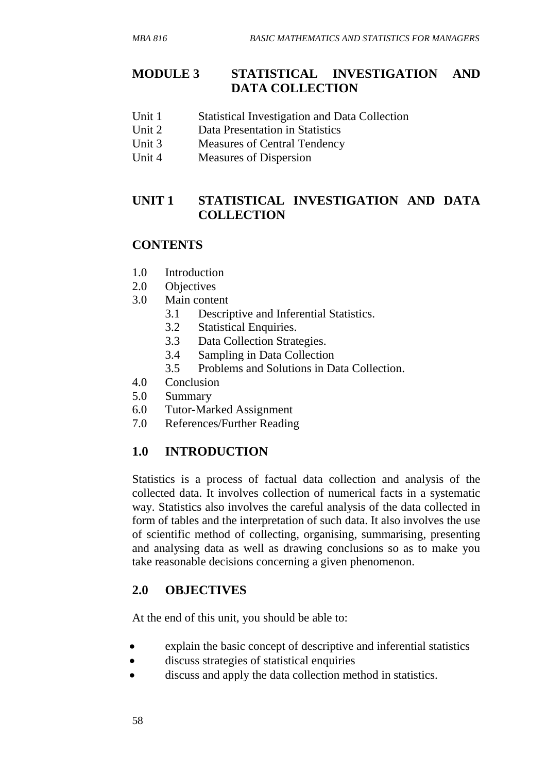# **MODULE 3 STATISTICAL INVESTIGATION AND DATA COLLECTION**

- Unit 1 Statistical Investigation and Data Collection
- Unit 2 Data Presentation in Statistics
- Unit 3 Measures of Central Tendency
- Unit 4 Measures of Dispersion

# **UNIT 1 STATISTICAL INVESTIGATION AND DATA COLLECTION**

# **CONTENTS**

- 1.0 Introduction
- 2.0 Objectives
- 3.0 Main content
	- 3.1 Descriptive and Inferential Statistics.
	- 3.2 Statistical Enquiries.
	- 3.3 Data Collection Strategies.
	- 3.4 Sampling in Data Collection
	- 3.5 Problems and Solutions in Data Collection.
- 4.0 Conclusion
- 5.0 Summary
- 6.0 Tutor-Marked Assignment
- 7.0 References/Further Reading

# **1.0 INTRODUCTION**

Statistics is a process of factual data collection and analysis of the collected data. It involves collection of numerical facts in a systematic way. Statistics also involves the careful analysis of the data collected in form of tables and the interpretation of such data. It also involves the use of scientific method of collecting, organising, summarising, presenting and analysing data as well as drawing conclusions so as to make you take reasonable decisions concerning a given phenomenon.

# **2.0 OBJECTIVES**

At the end of this unit, you should be able to:

- explain the basic concept of descriptive and inferential statistics
- discuss strategies of statistical enquiries
- discuss and apply the data collection method in statistics.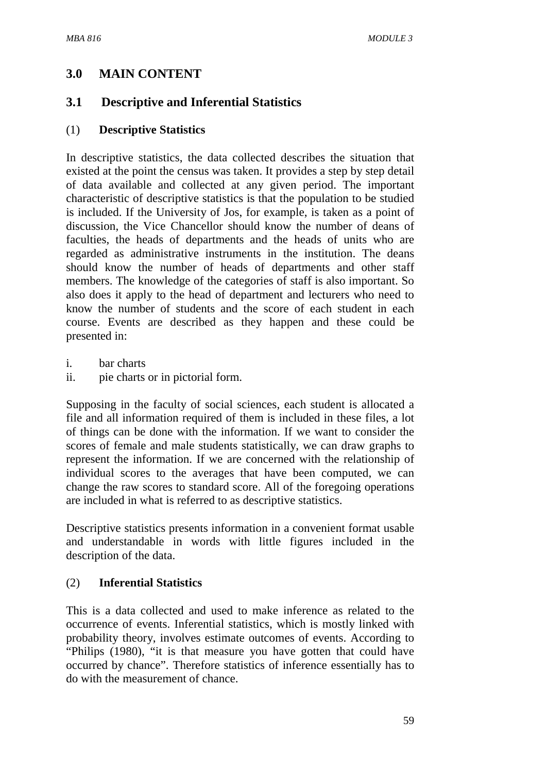# **3.0 MAIN CONTENT**

# **3.1 Descriptive and Inferential Statistics**

## (1) **Descriptive Statistics**

In descriptive statistics, the data collected describes the situation that existed at the point the census was taken. It provides a step by step detail of data available and collected at any given period. The important characteristic of descriptive statistics is that the population to be studied is included. If the University of Jos, for example, is taken as a point of discussion, the Vice Chancellor should know the number of deans of faculties, the heads of departments and the heads of units who are regarded as administrative instruments in the institution. The deans should know the number of heads of departments and other staff members. The knowledge of the categories of staff is also important. So also does it apply to the head of department and lecturers who need to know the number of students and the score of each student in each course. Events are described as they happen and these could be presented in:

- i. bar charts
- ii. pie charts or in pictorial form.

Supposing in the faculty of social sciences, each student is allocated a file and all information required of them is included in these files, a lot of things can be done with the information. If we want to consider the scores of female and male students statistically, we can draw graphs to represent the information. If we are concerned with the relationship of individual scores to the averages that have been computed, we can change the raw scores to standard score. All of the foregoing operations are included in what is referred to as descriptive statistics.

Descriptive statistics presents information in a convenient format usable and understandable in words with little figures included in the description of the data.

### (2) **Inferential Statistics**

This is a data collected and used to make inference as related to the occurrence of events. Inferential statistics, which is mostly linked with probability theory, involves estimate outcomes of events. According to "Philips (1980), "it is that measure you have gotten that could have occurred by chance". Therefore statistics of inference essentially has to do with the measurement of chance.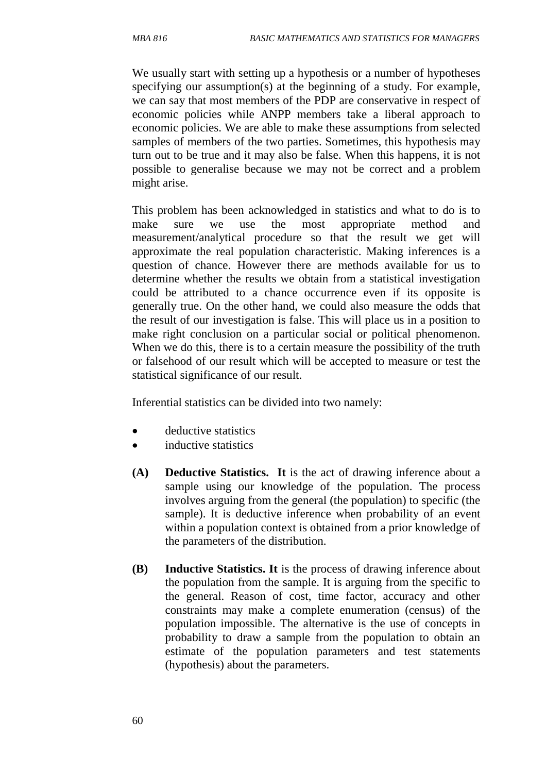We usually start with setting up a hypothesis or a number of hypotheses specifying our assumption(s) at the beginning of a study. For example, we can say that most members of the PDP are conservative in respect of economic policies while ANPP members take a liberal approach to economic policies. We are able to make these assumptions from selected samples of members of the two parties. Sometimes, this hypothesis may turn out to be true and it may also be false. When this happens, it is not possible to generalise because we may not be correct and a problem might arise.

This problem has been acknowledged in statistics and what to do is to make sure we use the most appropriate method and measurement/analytical procedure so that the result we get will approximate the real population characteristic. Making inferences is a question of chance. However there are methods available for us to determine whether the results we obtain from a statistical investigation could be attributed to a chance occurrence even if its opposite is generally true. On the other hand, we could also measure the odds that the result of our investigation is false. This will place us in a position to make right conclusion on a particular social or political phenomenon. When we do this, there is to a certain measure the possibility of the truth or falsehood of our result which will be accepted to measure or test the statistical significance of our result.

Inferential statistics can be divided into two namely:

- deductive statistics
- inductive statistics
- **(A) Deductive Statistics. It** is the act of drawing inference about a sample using our knowledge of the population. The process involves arguing from the general (the population) to specific (the sample). It is deductive inference when probability of an event within a population context is obtained from a prior knowledge of the parameters of the distribution.
- **(B) Inductive Statistics. It** is the process of drawing inference about the population from the sample. It is arguing from the specific to the general. Reason of cost, time factor, accuracy and other constraints may make a complete enumeration (census) of the population impossible. The alternative is the use of concepts in probability to draw a sample from the population to obtain an estimate of the population parameters and test statements (hypothesis) about the parameters.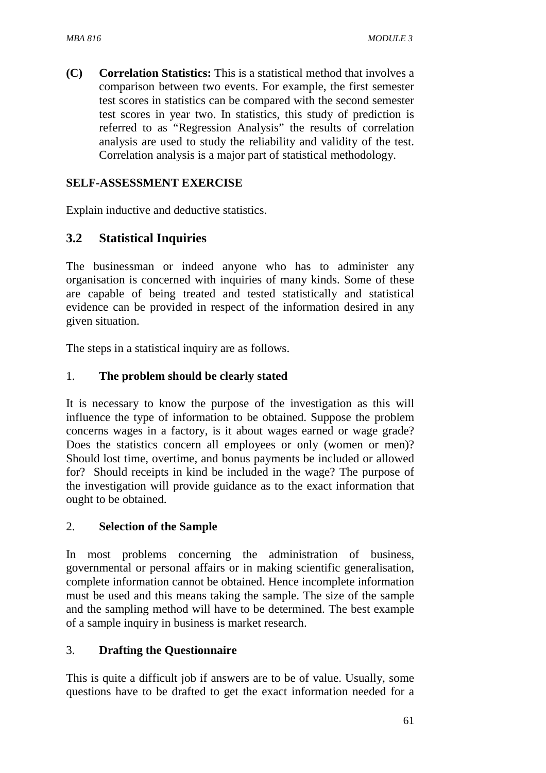**(C) Correlation Statistics:** This is a statistical method that involves a comparison between two events. For example, the first semester test scores in statistics can be compared with the second semester test scores in year two. In statistics, this study of prediction is referred to as "Regression Analysis" the results of correlation analysis are used to study the reliability and validity of the test. Correlation analysis is a major part of statistical methodology.

### **SELF-ASSESSMENT EXERCISE**

Explain inductive and deductive statistics.

# **3.2 Statistical Inquiries**

The businessman or indeed anyone who has to administer any organisation is concerned with inquiries of many kinds. Some of these are capable of being treated and tested statistically and statistical evidence can be provided in respect of the information desired in any given situation.

The steps in a statistical inquiry are as follows.

### 1. **The problem should be clearly stated**

It is necessary to know the purpose of the investigation as this will influence the type of information to be obtained. Suppose the problem concerns wages in a factory, is it about wages earned or wage grade? Does the statistics concern all employees or only (women or men)? Should lost time, overtime, and bonus payments be included or allowed for? Should receipts in kind be included in the wage? The purpose of the investigation will provide guidance as to the exact information that ought to be obtained.

### 2. **Selection of the Sample**

In most problems concerning the administration of business, governmental or personal affairs or in making scientific generalisation, complete information cannot be obtained. Hence incomplete information must be used and this means taking the sample. The size of the sample and the sampling method will have to be determined. The best example of a sample inquiry in business is market research.

### 3. **Drafting the Questionnaire**

This is quite a difficult job if answers are to be of value. Usually, some questions have to be drafted to get the exact information needed for a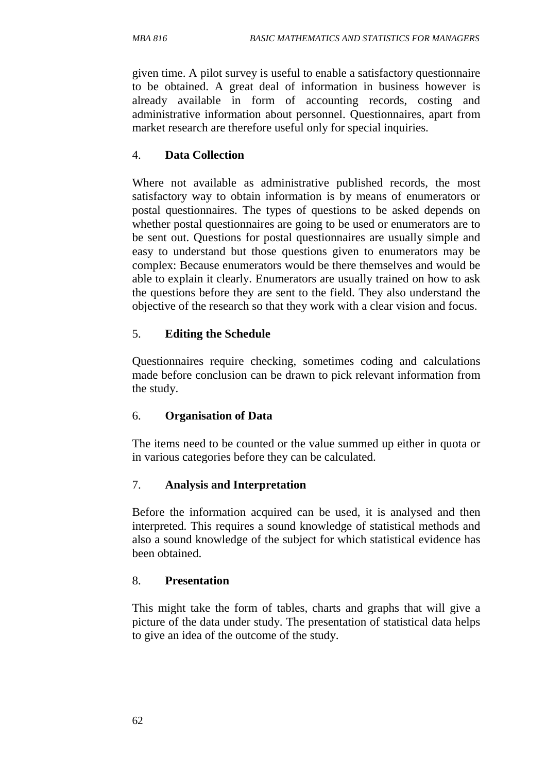given time. A pilot survey is useful to enable a satisfactory questionnaire to be obtained. A great deal of information in business however is already available in form of accounting records, costing and administrative information about personnel. Questionnaires, apart from market research are therefore useful only for special inquiries.

## 4. **Data Collection**

Where not available as administrative published records, the most satisfactory way to obtain information is by means of enumerators or postal questionnaires. The types of questions to be asked depends on whether postal questionnaires are going to be used or enumerators are to be sent out. Questions for postal questionnaires are usually simple and easy to understand but those questions given to enumerators may be complex: Because enumerators would be there themselves and would be able to explain it clearly. Enumerators are usually trained on how to ask the questions before they are sent to the field. They also understand the objective of the research so that they work with a clear vision and focus.

## 5. **Editing the Schedule**

Questionnaires require checking, sometimes coding and calculations made before conclusion can be drawn to pick relevant information from the study.

### 6. **Organisation of Data**

The items need to be counted or the value summed up either in quota or in various categories before they can be calculated.

# 7. **Analysis and Interpretation**

Before the information acquired can be used, it is analysed and then interpreted. This requires a sound knowledge of statistical methods and also a sound knowledge of the subject for which statistical evidence has been obtained.

### 8. **Presentation**

This might take the form of tables, charts and graphs that will give a picture of the data under study. The presentation of statistical data helps to give an idea of the outcome of the study.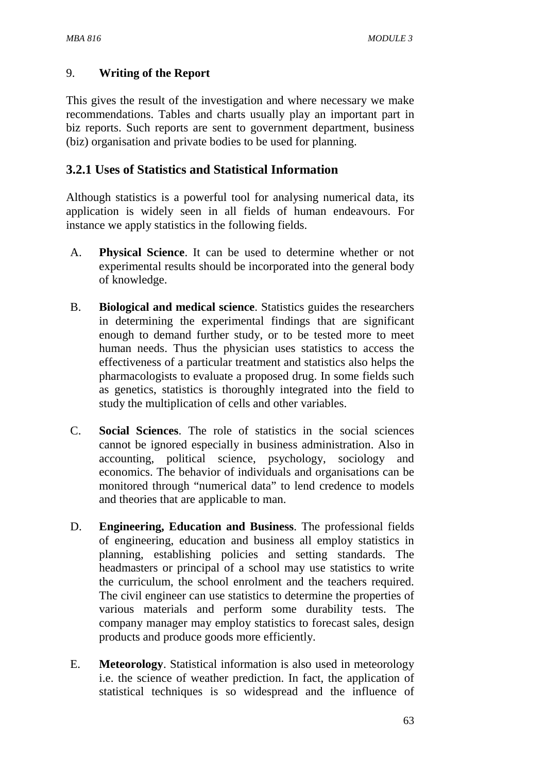# 9. **Writing of the Report**

This gives the result of the investigation and where necessary we make recommendations. Tables and charts usually play an important part in biz reports. Such reports are sent to government department, business (biz) organisation and private bodies to be used for planning.

# **3.2.1 Uses of Statistics and Statistical Information**

Although statistics is a powerful tool for analysing numerical data, its application is widely seen in all fields of human endeavours. For instance we apply statistics in the following fields.

- A. **Physical Science**. It can be used to determine whether or not experimental results should be incorporated into the general body of knowledge.
- B. **Biological and medical science**. Statistics guides the researchers in determining the experimental findings that are significant enough to demand further study, or to be tested more to meet human needs. Thus the physician uses statistics to access the effectiveness of a particular treatment and statistics also helps the pharmacologists to evaluate a proposed drug. In some fields such as genetics, statistics is thoroughly integrated into the field to study the multiplication of cells and other variables.
- C. **Social Sciences**. The role of statistics in the social sciences cannot be ignored especially in business administration. Also in accounting, political science, psychology, sociology and economics. The behavior of individuals and organisations can be monitored through "numerical data" to lend credence to models and theories that are applicable to man.
- D. **Engineering, Education and Business**. The professional fields of engineering, education and business all employ statistics in planning, establishing policies and setting standards. The headmasters or principal of a school may use statistics to write the curriculum, the school enrolment and the teachers required. The civil engineer can use statistics to determine the properties of various materials and perform some durability tests. The company manager may employ statistics to forecast sales, design products and produce goods more efficiently.
- E. **Meteorology**. Statistical information is also used in meteorology i.e. the science of weather prediction. In fact, the application of statistical techniques is so widespread and the influence of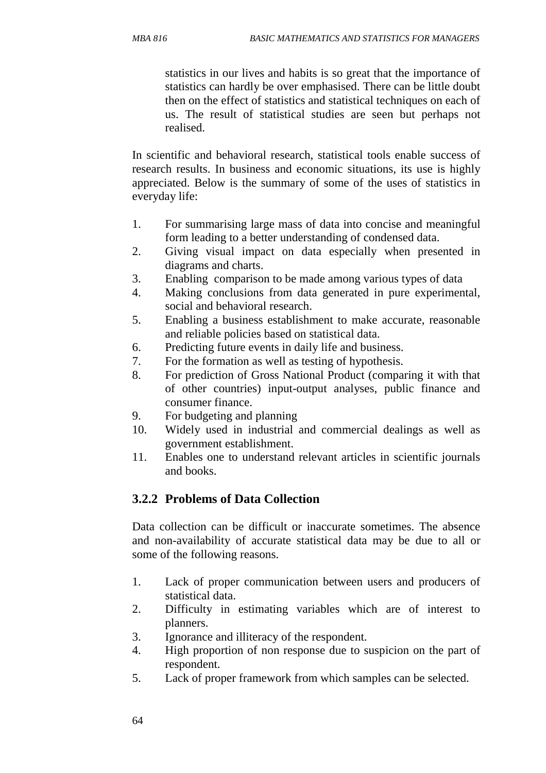statistics in our lives and habits is so great that the importance of statistics can hardly be over emphasised. There can be little doubt then on the effect of statistics and statistical techniques on each of us. The result of statistical studies are seen but perhaps not realised.

In scientific and behavioral research, statistical tools enable success of research results. In business and economic situations, its use is highly appreciated. Below is the summary of some of the uses of statistics in everyday life:

- 1. For summarising large mass of data into concise and meaningful form leading to a better understanding of condensed data.
- 2. Giving visual impact on data especially when presented in diagrams and charts.
- 3. Enabling comparison to be made among various types of data
- 4. Making conclusions from data generated in pure experimental, social and behavioral research.
- 5. Enabling a business establishment to make accurate, reasonable and reliable policies based on statistical data.
- 6. Predicting future events in daily life and business.
- 7. For the formation as well as testing of hypothesis.
- 8. For prediction of Gross National Product (comparing it with that of other countries) input-output analyses, public finance and consumer finance.
- 9. For budgeting and planning
- 10. Widely used in industrial and commercial dealings as well as government establishment.
- 11. Enables one to understand relevant articles in scientific journals and books.

# **3.2.2 Problems of Data Collection**

Data collection can be difficult or inaccurate sometimes. The absence and non-availability of accurate statistical data may be due to all or some of the following reasons.

- 1. Lack of proper communication between users and producers of statistical data.
- 2. Difficulty in estimating variables which are of interest to planners.
- 3. Ignorance and illiteracy of the respondent.
- 4. High proportion of non response due to suspicion on the part of respondent.
- 5. Lack of proper framework from which samples can be selected.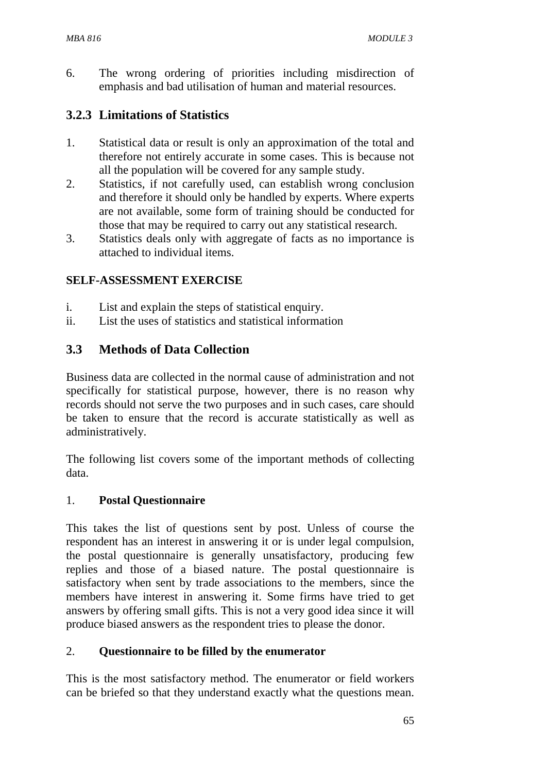6. The wrong ordering of priorities including misdirection of emphasis and bad utilisation of human and material resources.

### **3.2.3 Limitations of Statistics**

- 1. Statistical data or result is only an approximation of the total and therefore not entirely accurate in some cases. This is because not all the population will be covered for any sample study.
- 2. Statistics, if not carefully used, can establish wrong conclusion and therefore it should only be handled by experts. Where experts are not available, some form of training should be conducted for those that may be required to carry out any statistical research.
- 3. Statistics deals only with aggregate of facts as no importance is attached to individual items.

#### **SELF-ASSESSMENT EXERCISE**

- i. List and explain the steps of statistical enquiry.
- ii.List the uses of statistics and statistical information

### **3.3 Methods of Data Collection**

Business data are collected in the normal cause of administration and not specifically for statistical purpose, however, there is no reason why records should not serve the two purposes and in such cases, care should be taken to ensure that the record is accurate statistically as well as administratively.

The following list covers some of the important methods of collecting data.

#### 1. **Postal Questionnaire**

This takes the list of questions sent by post. Unless of course the respondent has an interest in answering it or is under legal compulsion, the postal questionnaire is generally unsatisfactory, producing few replies and those of a biased nature. The postal questionnaire is satisfactory when sent by trade associations to the members, since the members have interest in answering it. Some firms have tried to get answers by offering small gifts. This is not a very good idea since it will produce biased answers as the respondent tries to please the donor.

#### 2. **Questionnaire to be filled by the enumerator**

This is the most satisfactory method. The enumerator or field workers can be briefed so that they understand exactly what the questions mean.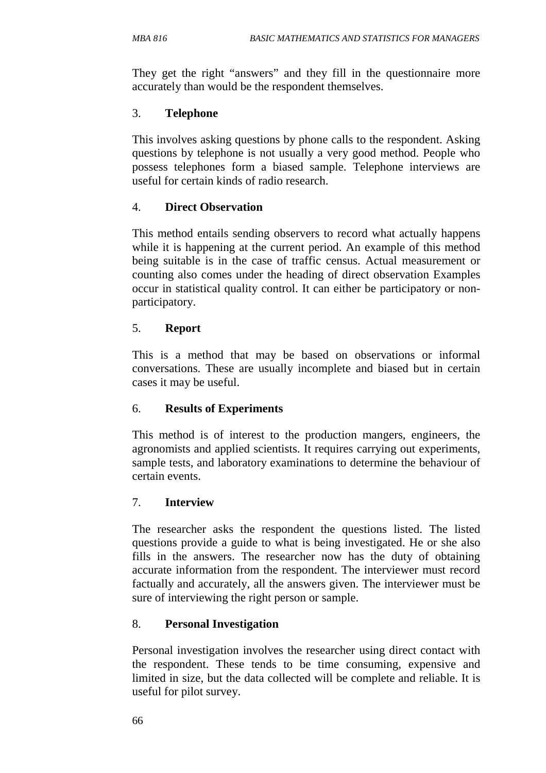They get the right "answers" and they fill in the questionnaire more accurately than would be the respondent themselves.

### 3. **Telephone**

This involves asking questions by phone calls to the respondent. Asking questions by telephone is not usually a very good method. People who possess telephones form a biased sample. Telephone interviews are useful for certain kinds of radio research.

### 4. **Direct Observation**

This method entails sending observers to record what actually happens while it is happening at the current period. An example of this method being suitable is in the case of traffic census. Actual measurement or counting also comes under the heading of direct observation Examples occur in statistical quality control. It can either be participatory or nonparticipatory.

### 5. **Report**

This is a method that may be based on observations or informal conversations. These are usually incomplete and biased but in certain cases it may be useful.

#### 6. **Results of Experiments**

This method is of interest to the production mangers, engineers, the agronomists and applied scientists. It requires carrying out experiments, sample tests, and laboratory examinations to determine the behaviour of certain events.

#### 7. **Interview**

The researcher asks the respondent the questions listed. The listed questions provide a guide to what is being investigated. He or she also fills in the answers. The researcher now has the duty of obtaining accurate information from the respondent. The interviewer must record factually and accurately, all the answers given. The interviewer must be sure of interviewing the right person or sample.

### 8. **Personal Investigation**

Personal investigation involves the researcher using direct contact with the respondent. These tends to be time consuming, expensive and limited in size, but the data collected will be complete and reliable. It is useful for pilot survey.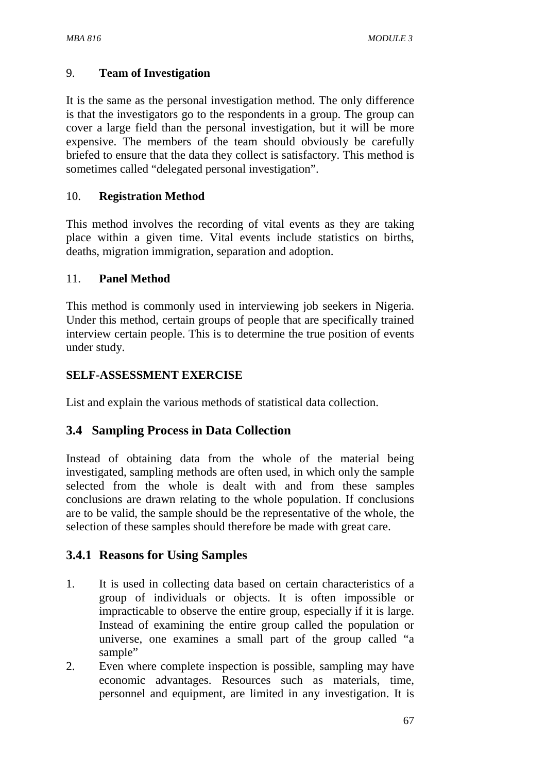### 9. **Team of Investigation**

It is the same as the personal investigation method. The only difference is that the investigators go to the respondents in a group. The group can cover a large field than the personal investigation, but it will be more expensive. The members of the team should obviously be carefully briefed to ensure that the data they collect is satisfactory. This method is sometimes called "delegated personal investigation".

### 10. **Registration Method**

This method involves the recording of vital events as they are taking place within a given time. Vital events include statistics on births, deaths, migration immigration, separation and adoption.

### 11. **Panel Method**

This method is commonly used in interviewing job seekers in Nigeria. Under this method, certain groups of people that are specifically trained interview certain people. This is to determine the true position of events under study.

### **SELF-ASSESSMENT EXERCISE**

List and explain the various methods of statistical data collection.

# **3.4 Sampling Process in Data Collection**

Instead of obtaining data from the whole of the material being investigated, sampling methods are often used, in which only the sample selected from the whole is dealt with and from these samples conclusions are drawn relating to the whole population. If conclusions are to be valid, the sample should be the representative of the whole, the selection of these samples should therefore be made with great care.

### **3.4.1 Reasons for Using Samples**

- 1. It is used in collecting data based on certain characteristics of a group of individuals or objects. It is often impossible or impracticable to observe the entire group, especially if it is large. Instead of examining the entire group called the population or universe, one examines a small part of the group called "a sample"
- 2. Even where complete inspection is possible, sampling may have economic advantages. Resources such as materials, time, personnel and equipment, are limited in any investigation. It is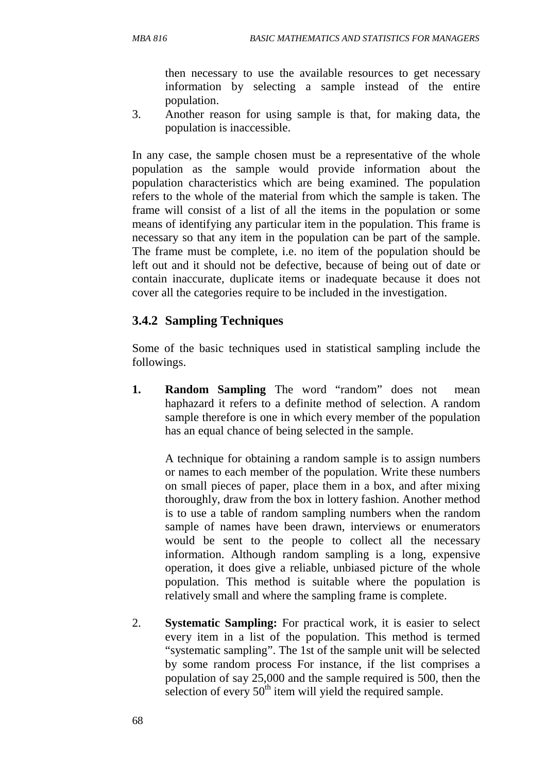then necessary to use the available resources to get necessary information by selecting a sample instead of the entire population.

3. Another reason for using sample is that, for making data, the population is inaccessible.

In any case, the sample chosen must be a representative of the whole population as the sample would provide information about the population characteristics which are being examined. The population refers to the whole of the material from which the sample is taken. The frame will consist of a list of all the items in the population or some means of identifying any particular item in the population. This frame is necessary so that any item in the population can be part of the sample. The frame must be complete, i.e. no item of the population should be left out and it should not be defective, because of being out of date or contain inaccurate, duplicate items or inadequate because it does not cover all the categories require to be included in the investigation.

### **3.4.2 Sampling Techniques**

Some of the basic techniques used in statistical sampling include the followings.

**1. Random Sampling** The word "random" does not mean haphazard it refers to a definite method of selection. A random sample therefore is one in which every member of the population has an equal chance of being selected in the sample.

A technique for obtaining a random sample is to assign numbers or names to each member of the population. Write these numbers on small pieces of paper, place them in a box, and after mixing thoroughly, draw from the box in lottery fashion. Another method is to use a table of random sampling numbers when the random sample of names have been drawn, interviews or enumerators would be sent to the people to collect all the necessary information. Although random sampling is a long, expensive operation, it does give a reliable, unbiased picture of the whole population. This method is suitable where the population is relatively small and where the sampling frame is complete.

2. **Systematic Sampling:** For practical work, it is easier to select every item in a list of the population. This method is termed "systematic sampling". The 1st of the sample unit will be selected by some random process For instance, if the list comprises a population of say 25,000 and the sample required is 500, then the selection of every  $50<sup>th</sup>$  item will yield the required sample.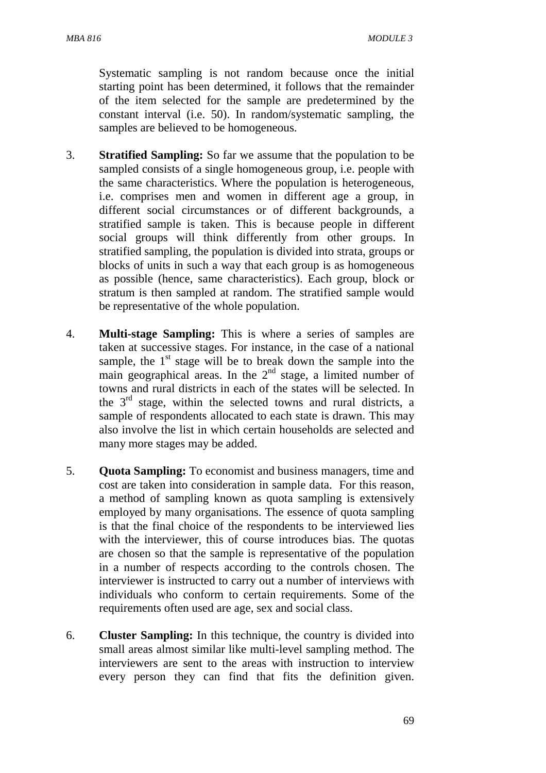Systematic sampling is not random because once the initial starting point has been determined, it follows that the remainder of the item selected for the sample are predetermined by the constant interval (i.e. 50). In random/systematic sampling, the samples are believed to be homogeneous.

- 3. **Stratified Sampling:** So far we assume that the population to be sampled consists of a single homogeneous group, i.e. people with the same characteristics. Where the population is heterogeneous, i.e. comprises men and women in different age a group, in different social circumstances or of different backgrounds, a stratified sample is taken. This is because people in different social groups will think differently from other groups. In stratified sampling, the population is divided into strata, groups or blocks of units in such a way that each group is as homogeneous as possible (hence, same characteristics). Each group, block or stratum is then sampled at random. The stratified sample would be representative of the whole population.
- 4. **Multi-stage Sampling:** This is where a series of samples are taken at successive stages. For instance, in the case of a national sample, the  $1<sup>st</sup>$  stage will be to break down the sample into the main geographical areas. In the  $2<sup>nd</sup>$  stage, a limited number of towns and rural districts in each of the states will be selected. In the 3rd stage, within the selected towns and rural districts, a sample of respondents allocated to each state is drawn. This may also involve the list in which certain households are selected and many more stages may be added.
- 5. **Quota Sampling:** To economist and business managers, time and cost are taken into consideration in sample data. For this reason, a method of sampling known as quota sampling is extensively employed by many organisations. The essence of quota sampling is that the final choice of the respondents to be interviewed lies with the interviewer, this of course introduces bias. The quotas are chosen so that the sample is representative of the population in a number of respects according to the controls chosen. The interviewer is instructed to carry out a number of interviews with individuals who conform to certain requirements. Some of the requirements often used are age, sex and social class.
- 6. **Cluster Sampling:** In this technique, the country is divided into small areas almost similar like multi-level sampling method. The interviewers are sent to the areas with instruction to interview every person they can find that fits the definition given.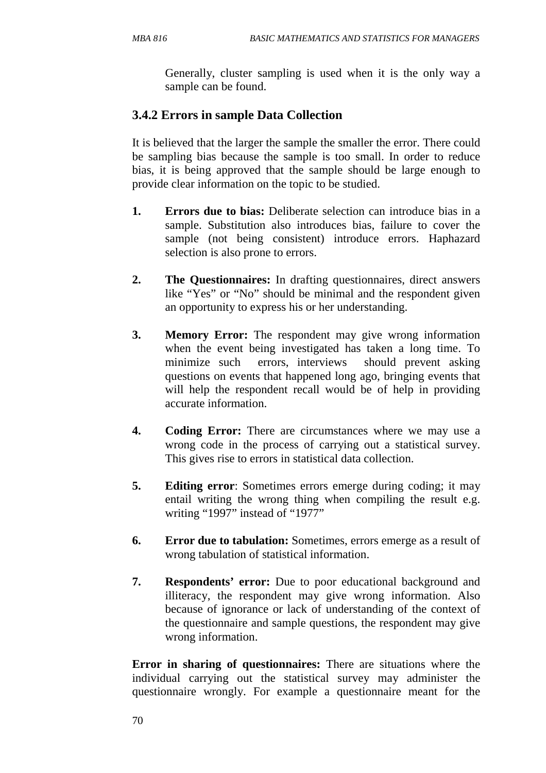Generally, cluster sampling is used when it is the only way a sample can be found.

# **3.4.2 Errors in sample Data Collection**

It is believed that the larger the sample the smaller the error. There could be sampling bias because the sample is too small. In order to reduce bias, it is being approved that the sample should be large enough to provide clear information on the topic to be studied.

- **1. Errors due to bias:** Deliberate selection can introduce bias in a sample. Substitution also introduces bias, failure to cover the sample (not being consistent) introduce errors. Haphazard selection is also prone to errors.
- **2. The Questionnaires:** In drafting questionnaires, direct answers like "Yes" or "No" should be minimal and the respondent given an opportunity to express his or her understanding.
- **3. Memory Error:** The respondent may give wrong information when the event being investigated has taken a long time. To minimize such errors, interviews should prevent asking questions on events that happened long ago, bringing events that will help the respondent recall would be of help in providing accurate information.
- **4.** Coding Error: There are circumstances where we may use a wrong code in the process of carrying out a statistical survey. This gives rise to errors in statistical data collection.
- **5.** Editing error: Sometimes errors emerge during coding; it may entail writing the wrong thing when compiling the result e.g. writing "1997" instead of "1977"
- **6. Error due to tabulation:** Sometimes, errors emerge as a result of wrong tabulation of statistical information.
- **7. Respondents' error:** Due to poor educational background and illiteracy, the respondent may give wrong information. Also because of ignorance or lack of understanding of the context of the questionnaire and sample questions, the respondent may give wrong information.

**Error in sharing of questionnaires:** There are situations where the individual carrying out the statistical survey may administer the questionnaire wrongly. For example a questionnaire meant for the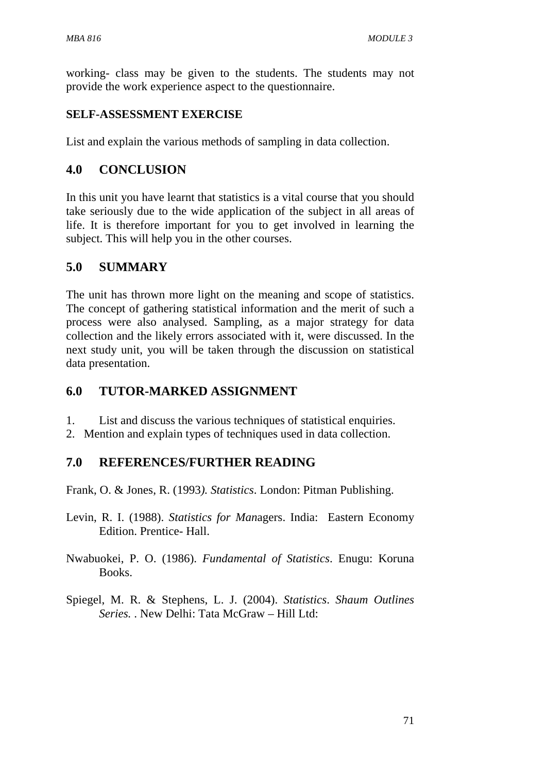working- class may be given to the students. The students may not provide the work experience aspect to the questionnaire.

#### **SELF-ASSESSMENT EXERCISE**

List and explain the various methods of sampling in data collection.

### **4.0 CONCLUSION**

In this unit you have learnt that statistics is a vital course that you should take seriously due to the wide application of the subject in all areas of life. It is therefore important for you to get involved in learning the subject. This will help you in the other courses.

#### **5.0 SUMMARY**

The unit has thrown more light on the meaning and scope of statistics. The concept of gathering statistical information and the merit of such a process were also analysed. Sampling, as a major strategy for data collection and the likely errors associated with it, were discussed. In the next study unit, you will be taken through the discussion on statistical data presentation.

### **6.0 TUTOR-MARKED ASSIGNMENT**

1. List and discuss the various techniques of statistical enquiries.

2. Mention and explain types of techniques used in data collection.

### **7.0 REFERENCES/FURTHER READING**

Frank, O. & Jones, R. (1993*). Statistics*. London: Pitman Publishing.

- Levin, R. I. (1988). *Statistics for Man*agers. India: Eastern Economy Edition. Prentice- Hall.
- Nwabuokei, P. O. (1986). *Fundamental of Statistics*. Enugu: Koruna Books.
- Spiegel, M. R. & Stephens, L. J. (2004). *Statistics*. *Shaum Outlines Series.* . New Delhi: Tata McGraw – Hill Ltd: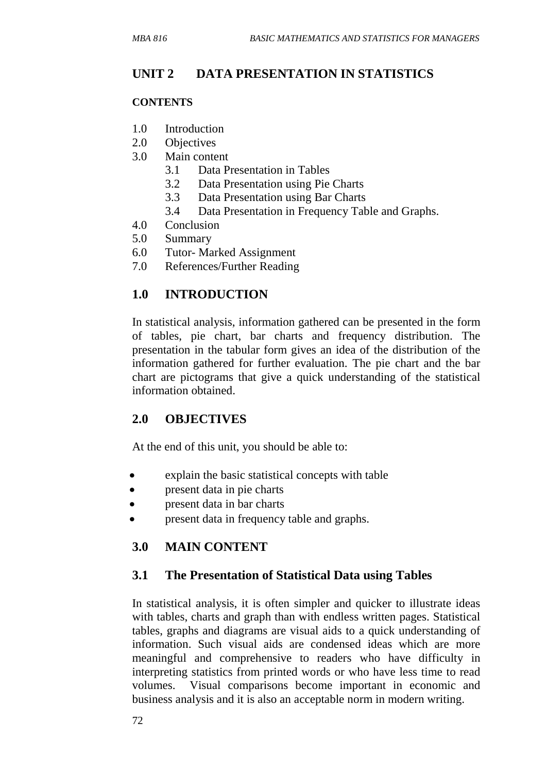## **UNIT 2 DATA PRESENTATION IN STATISTICS**

#### **CONTENTS**

- 1.0 Introduction
- 2.0 Objectives
- 3.0 Main content
	- 3.1 Data Presentation in Tables
	- 3.2 Data Presentation using Pie Charts
	- 3.3 Data Presentation using Bar Charts
	- 3.4 Data Presentation in Frequency Table and Graphs.
- 4.0 Conclusion
- 5.0 Summary
- 6.0 Tutor- Marked Assignment
- 7.0 References/Further Reading

### **1.0 INTRODUCTION**

In statistical analysis, information gathered can be presented in the form of tables, pie chart, bar charts and frequency distribution. The presentation in the tabular form gives an idea of the distribution of the information gathered for further evaluation. The pie chart and the bar chart are pictograms that give a quick understanding of the statistical information obtained.

### **2.0 OBJECTIVES**

At the end of this unit, you should be able to:

- explain the basic statistical concepts with table
- present data in pie charts
- present data in bar charts
- present data in frequency table and graphs.

### **3.0 MAIN CONTENT**

#### **3.1 The Presentation of Statistical Data using Tables**

In statistical analysis, it is often simpler and quicker to illustrate ideas with tables, charts and graph than with endless written pages. Statistical tables, graphs and diagrams are visual aids to a quick understanding of information. Such visual aids are condensed ideas which are more meaningful and comprehensive to readers who have difficulty in interpreting statistics from printed words or who have less time to read volumes. Visual comparisons become important in economic and business analysis and it is also an acceptable norm in modern writing.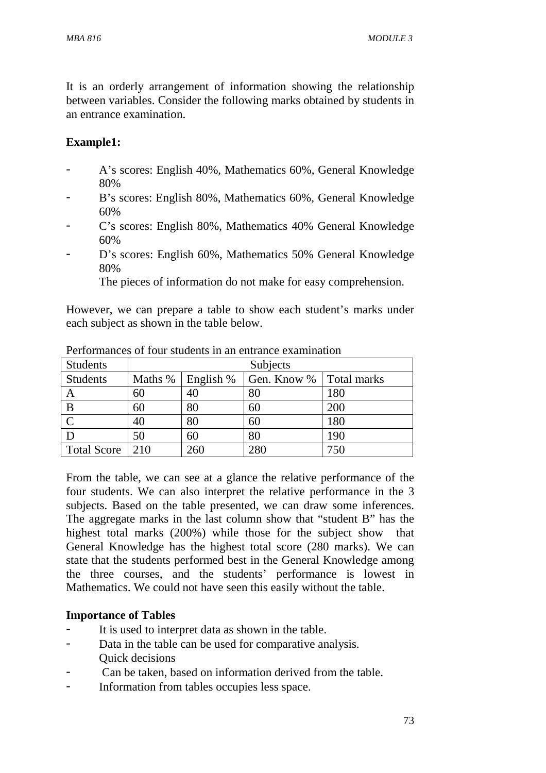It is an orderly arrangement of information showing the relationship between variables. Consider the following marks obtained by students in an entrance examination.

### **Example1:**

- A's scores: English 40%, Mathematics 60%, General Knowledge 80%
- B's scores: English 80%, Mathematics 60%, General Knowledge 60%
- C's scores: English 80%, Mathematics 40% General Knowledge 60%
- D's scores: English 60%, Mathematics 50% General Knowledge 80%

The pieces of information do not make for easy comprehension.

However, we can prepare a table to show each student's marks under each subject as shown in the table below.

| <b>Students</b>    | Subjects |           |             |             |  |
|--------------------|----------|-----------|-------------|-------------|--|
| <b>Students</b>    | Maths %  | English % | Gen. Know % | Total marks |  |
| A                  | 60       | 40        | 80          | 180         |  |
| B                  | 60       | 80        | 60          | 200         |  |
|                    | 40       | 80        | 60          | 180         |  |
|                    | 50       | 60        | 80          | 190         |  |
| <b>Total Score</b> | 210      | 260       | 280         | 750         |  |

Performances of four students in an entrance examination

From the table, we can see at a glance the relative performance of the four students. We can also interpret the relative performance in the 3 subjects. Based on the table presented, we can draw some inferences. The aggregate marks in the last column show that "student B" has the highest total marks (200%) while those for the subject show that General Knowledge has the highest total score (280 marks). We can state that the students performed best in the General Knowledge among the three courses, and the students' performance is lowest in Mathematics. We could not have seen this easily without the table.

#### **Importance of Tables**

- It is used to interpret data as shown in the table.
- Data in the table can be used for comparative analysis. Quick decisions
- Can be taken, based on information derived from the table.
- Information from tables occupies less space.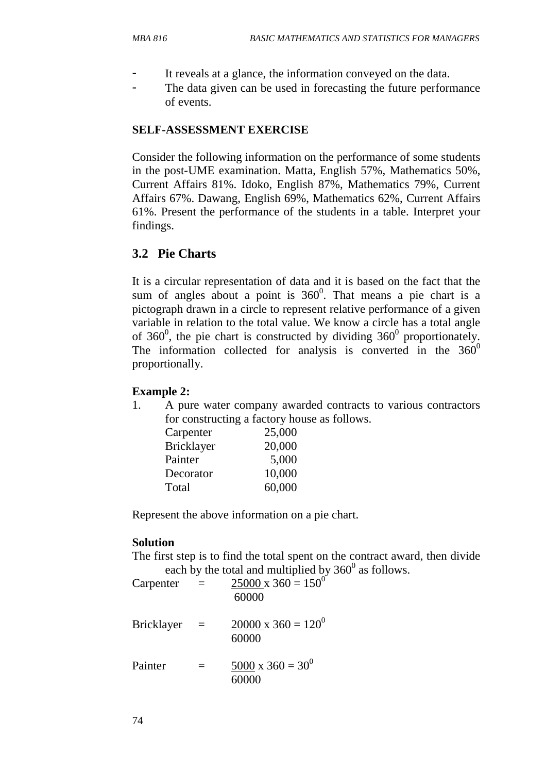- It reveals at a glance, the information conveyed on the data.
- The data given can be used in forecasting the future performance of events.

### **SELF-ASSESSMENT EXERCISE**

Consider the following information on the performance of some students in the post-UME examination. Matta, English 57%, Mathematics 50%, Current Affairs 81%. Idoko, English 87%, Mathematics 79%, Current Affairs 67%. Dawang, English 69%, Mathematics 62%, Current Affairs 61%. Present the performance of the students in a table. Interpret your findings.

### **3.2 Pie Charts**

It is a circular representation of data and it is based on the fact that the sum of angles about a point is  $360^{\circ}$ . That means a pie chart is a pictograph drawn in a circle to represent relative performance of a given variable in relation to the total value. We know a circle has a total angle of 360 $^{\circ}$ , the pie chart is constructed by dividing 360 $^{\circ}$  proportionately. The information collected for analysis is converted in the  $360^{\circ}$ proportionally.

#### **Example 2:**

1. A pure water company awarded contracts to various contractors for constructing a factory house as follows.

| Carpenter         | 25,000 |
|-------------------|--------|
| <b>Bricklayer</b> | 20,000 |
| Painter           | 5,000  |
| Decorator         | 10,000 |
| Total             | 60,000 |

Represent the above information on a pie chart.

#### **Solution**

The first step is to find the total spent on the contract award, then divide each by the total and multiplied by  $360^{\circ}$  as follows.

| Carpenter         | $=$ | $25000 \times 360 = 150^{0}$<br>60000 |
|-------------------|-----|---------------------------------------|
| <b>Bricklayer</b> |     | $20000 \times 360 = 120^{0}$<br>60000 |
| Painter           | $=$ | $5000 \times 360 = 30^{0}$<br>60000   |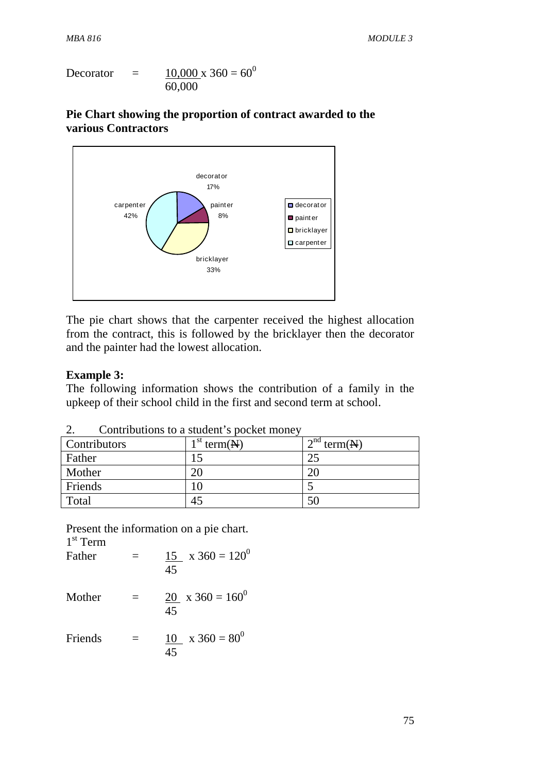$$
Decorator = \frac{10,000 \times 360}{60,000} = 60^0
$$

### **Pie Chart showing the proportion of contract awarded to the various Contractors**



The pie chart shows that the carpenter received the highest allocation from the contract, this is followed by the bricklayer then the decorator and the painter had the lowest allocation.

#### **Example 3:**

The following information shows the contribution of a family in the upkeep of their school child in the first and second term at school.

| Contributors | $1st$ term( $\mathbf{N}$ ) | $12^{nd}$ term( $\cancel{\text{N}}$ ) |  |  |  |
|--------------|----------------------------|---------------------------------------|--|--|--|
| Father       |                            | ب ک                                   |  |  |  |
| Mother       |                            | 20                                    |  |  |  |
| Friends      |                            |                                       |  |  |  |
| Total        | 45                         | 50                                    |  |  |  |

2. Contributions to a student's pocket money

Present the information on a pie chart.

1 st Term Father =  $15 \times 360 = 120^0$  45 Mother  $= 20 \times 360 = 160^0$  45 Friends  $=$  10 x 360 = 80<sup>0</sup> 45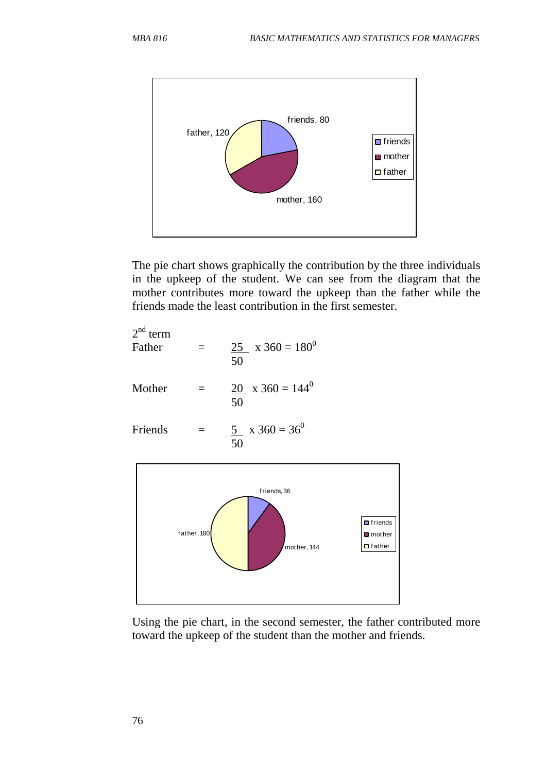

The pie chart shows graphically the contribution by the three individuals in the upkeep of the student. We can see from the diagram that the mother contributes more toward the upkeep than the father while the friends made the least contribution in the first semester.

| $2nd$ term<br>Father |          | 25 $x 360 = 180^{\circ}$<br>50 |
|----------------------|----------|--------------------------------|
| Mother               | $\equiv$ | 20 $x 360 = 144^{\circ}$<br>50 |
| Friends              |          | 5 $x 360 = 36^{\circ}$<br>50   |



Using the pie chart, in the second semester, the father contributed more toward the upkeep of the student than the mother and friends.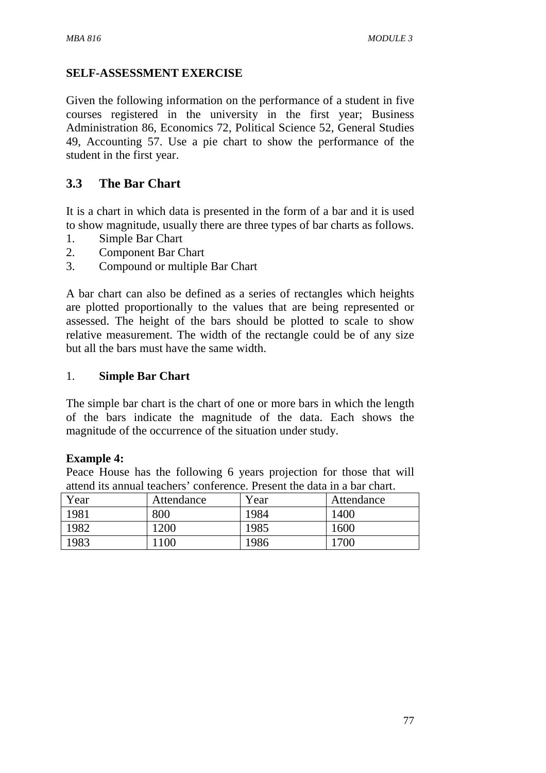### **SELF-ASSESSMENT EXERCISE**

Given the following information on the performance of a student in five courses registered in the university in the first year; Business Administration 86, Economics 72, Political Science 52, General Studies 49, Accounting 57. Use a pie chart to show the performance of the student in the first year.

### **3.3 The Bar Chart**

It is a chart in which data is presented in the form of a bar and it is used to show magnitude, usually there are three types of bar charts as follows.

- 1. Simple Bar Chart
- 2. Component Bar Chart
- 3. Compound or multiple Bar Chart

A bar chart can also be defined as a series of rectangles which heights are plotted proportionally to the values that are being represented or assessed. The height of the bars should be plotted to scale to show relative measurement. The width of the rectangle could be of any size but all the bars must have the same width.

#### 1. **Simple Bar Chart**

The simple bar chart is the chart of one or more bars in which the length of the bars indicate the magnitude of the data. Each shows the magnitude of the occurrence of the situation under study.

#### **Example 4:**

Peace House has the following 6 years projection for those that will attend its annual teachers' conference. Present the data in a bar chart.

| Year | Attendance | Year | Attendance |
|------|------------|------|------------|
| 1981 | 800        | 1984 | 1400       |
| 1982 | 1200       | 1985 | 1600       |
| 1983 | .100       | 1986 | 1700       |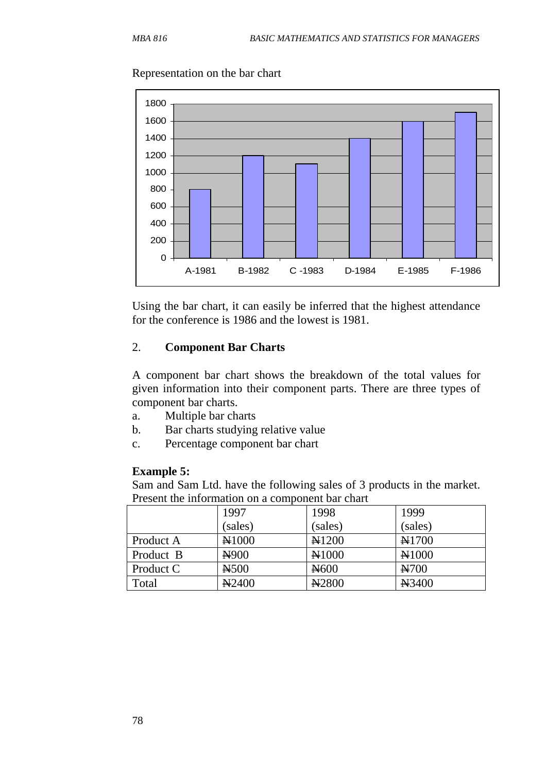Representation on the bar chart



Using the bar chart, it can easily be inferred that the highest attendance for the conference is 1986 and the lowest is 1981.

#### 2. **Component Bar Charts**

A component bar chart shows the breakdown of the total values for given information into their component parts. There are three types of component bar charts.

- a. Multiple bar charts
- b. Bar charts studying relative value
- c. Percentage component bar chart

#### **Example 5:**

Sam and Sam Ltd. have the following sales of 3 products in the market. Present the information on a component bar chart

|           | 1997              | 1998                 | 1999             |
|-----------|-------------------|----------------------|------------------|
|           | (sales)           | (sales)              | (sales)          |
| Product A | N1000             | <b>N1200</b>         | <b>N1700</b>     |
| Product B | N <sub>900</sub>  | N1000                | $\mathbb{N}1000$ |
| Product C | H <sub>500</sub>  | $\mu$ <sub>600</sub> | $\approx 700$    |
| Total     | N <sub>2400</sub> | N <sub>2800</sub>    | ¥3400            |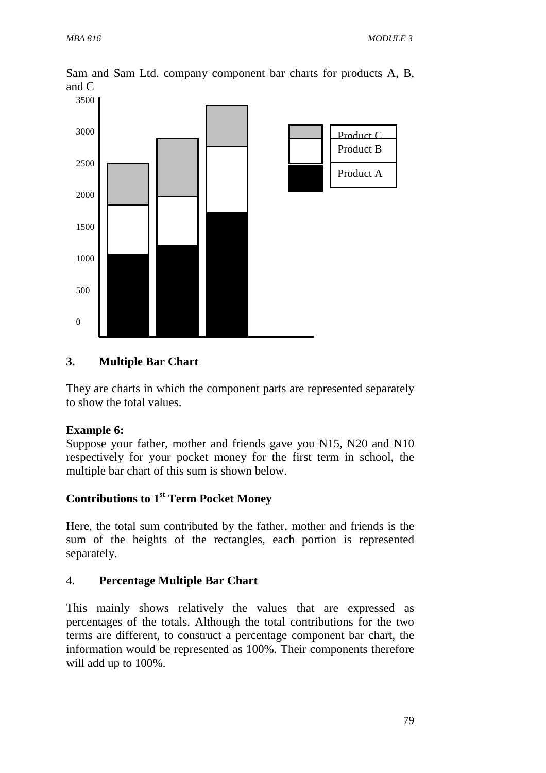Sam and Sam Ltd. company component bar charts for products A, B, and C



### **3. Multiple Bar Chart**

They are charts in which the component parts are represented separately to show the total values.

#### **Example 6:**

Suppose your father, mother and friends gave you  $\frac{1}{15}$ ,  $\frac{1}{20}$  and  $\frac{1}{10}$ respectively for your pocket money for the first term in school, the multiple bar chart of this sum is shown below.

## **Contributions to 1st Term Pocket Money**

Here, the total sum contributed by the father, mother and friends is the sum of the heights of the rectangles, each portion is represented separately.

#### 4. **Percentage Multiple Bar Chart**

This mainly shows relatively the values that are expressed as percentages of the totals. Although the total contributions for the two terms are different, to construct a percentage component bar chart, the information would be represented as 100%. Their components therefore will add up to 100%.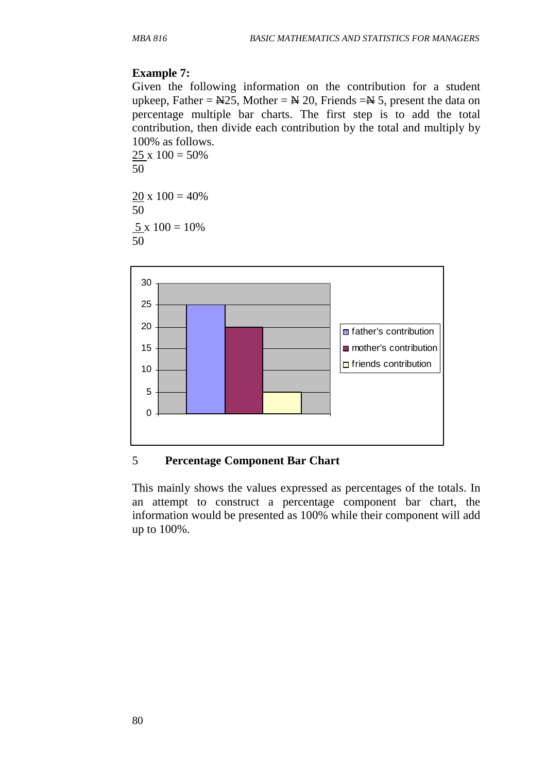### **Example 7:**

Given the following information on the contribution for a student upkeep, Father =  $N25$ , Mother =  $N 20$ , Friends =  $N 5$ , present the data on percentage multiple bar charts. The first step is to add the total contribution, then divide each contribution by the total and multiply by 100% as follows.

 $25 \times 100 = 50\%$ 50  $20 \times 100 = 40\%$ 50

 $5 \times 100 = 10\%$ 50



### 5 **Percentage Component Bar Chart**

This mainly shows the values expressed as percentages of the totals. In an attempt to construct a percentage component bar chart, the information would be presented as 100% while their component will add up to 100%.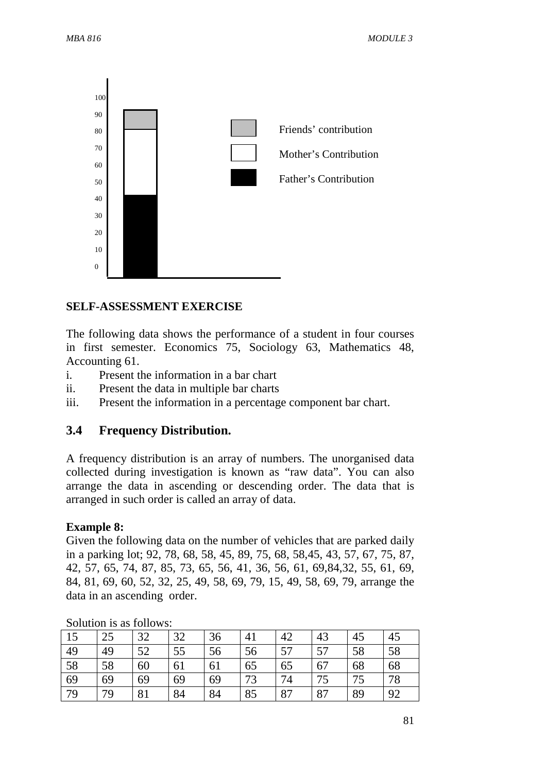

#### **SELF-ASSESSMENT EXERCISE**

The following data shows the performance of a student in four courses in first semester. Economics 75, Sociology 63, Mathematics 48, Accounting 61.

- i. Present the information in a bar chart
- ii. Present the data in multiple bar charts
- iii. Present the information in a percentage component bar chart.

#### **3.4 Frequency Distribution.**

A frequency distribution is an array of numbers. The unorganised data collected during investigation is known as "raw data". You can also arrange the data in ascending or descending order. The data that is arranged in such order is called an array of data.

#### **Example 8:**

Given the following data on the number of vehicles that are parked daily in a parking lot; 92, 78, 68, 58, 45, 89, 75, 68, 58,45, 43, 57, 67, 75, 87, 42, 57, 65, 74, 87, 85, 73, 65, 56, 41, 36, 56, 61, 69,84,32, 55, 61, 69, 84, 81, 69, 60, 52, 32, 25, 49, 58, 69, 79, 15, 49, 58, 69, 79, arrange the data in an ascending order.

| 15 | 25 | 32             | 32 | 36 | 41 | 42 | 43 | 45 | 45 |
|----|----|----------------|----|----|----|----|----|----|----|
| 49 | 49 | 52             | 55 | 56 | 56 | 57 | 57 | 58 | 58 |
| 58 | 58 | 60             | 61 | 61 | 65 | 65 | 67 | 68 | 68 |
| 69 | 69 | 69             | 69 | 69 | 73 | 74 | 75 | 75 | 78 |
| 79 | 79 | Q <sub>1</sub> | 84 | 84 | 85 | 87 | 87 | 89 | 92 |

Solution is as follows: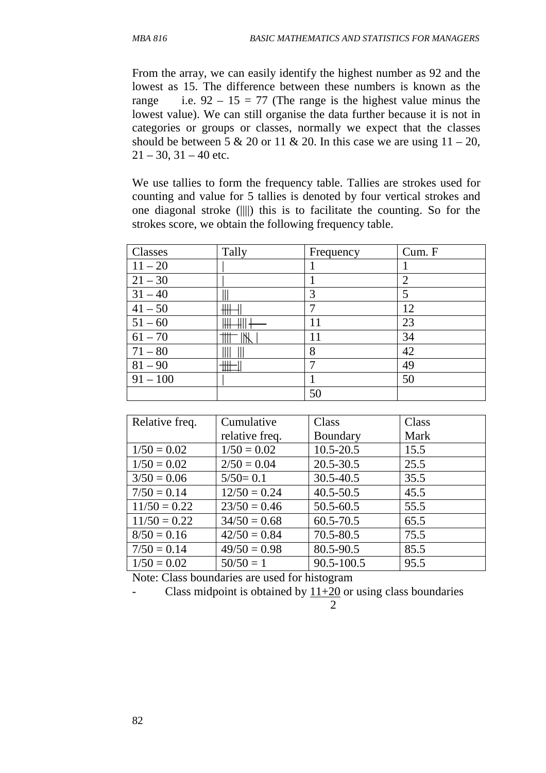From the array, we can easily identify the highest number as 92 and the lowest as 15. The difference between these numbers is known as the range i.e.  $92 - 15 = 77$  (The range is the highest value minus the lowest value). We can still organise the data further because it is not in categories or groups or classes, normally we expect that the classes should be between 5 & 20 or 11 & 20. In this case we are using  $11 - 20$ ,  $21 - 30$ ,  $31 - 40$  etc.

We use tallies to form the frequency table. Tallies are strokes used for counting and value for 5 tallies is denoted by four vertical strokes and one diagonal stroke (||||) this is to facilitate the counting. So for the strokes score, we obtain the following frequency table.

| Classes    | Tally   | Frequency | Cum. F         |
|------------|---------|-----------|----------------|
| $11 - 20$  |         |           |                |
| $21 - 30$  |         |           | $\overline{2}$ |
| $31 - 40$  |         | 3         | 5              |
| $41 - 50$  | ₩₩      | ┑         | 12             |
| $51 - 60$  |         | 11        | 23             |
| $61 - 70$  | .       | 11        | 34             |
| $71 - 80$  |         | 8         | 42             |
| $81 - 90$  | ШT<br>Ш |           | 49             |
| $91 - 100$ |         |           | 50             |
|            |         | 50        |                |

| Relative freq. | Cumulative     | Class         | Class |
|----------------|----------------|---------------|-------|
|                | relative freq. | Boundary      | Mark  |
| $1/50 = 0.02$  | $1/50 = 0.02$  | $10.5 - 20.5$ | 15.5  |
| $1/50 = 0.02$  | $2/50 = 0.04$  | $20.5 - 30.5$ | 25.5  |
| $3/50 = 0.06$  | $5/50=0.1$     | 30.5-40.5     | 35.5  |
| $7/50 = 0.14$  | $12/50 = 0.24$ | $40.5 - 50.5$ | 45.5  |
| $11/50 = 0.22$ | $23/50 = 0.46$ | $50.5 - 60.5$ | 55.5  |
| $11/50 = 0.22$ | $34/50 = 0.68$ | $60.5 - 70.5$ | 65.5  |
| $8/50 = 0.16$  | $42/50 = 0.84$ | 70.5-80.5     | 75.5  |
| $7/50 = 0.14$  | $49/50 = 0.98$ | 80.5-90.5     | 85.5  |
| $1/50 = 0.02$  | $50/50 = 1$    | 90.5-100.5    | 95.5  |

Note: Class boundaries are used for histogram

Class midpoint is obtained by  $11+20$  or using class boundaries

2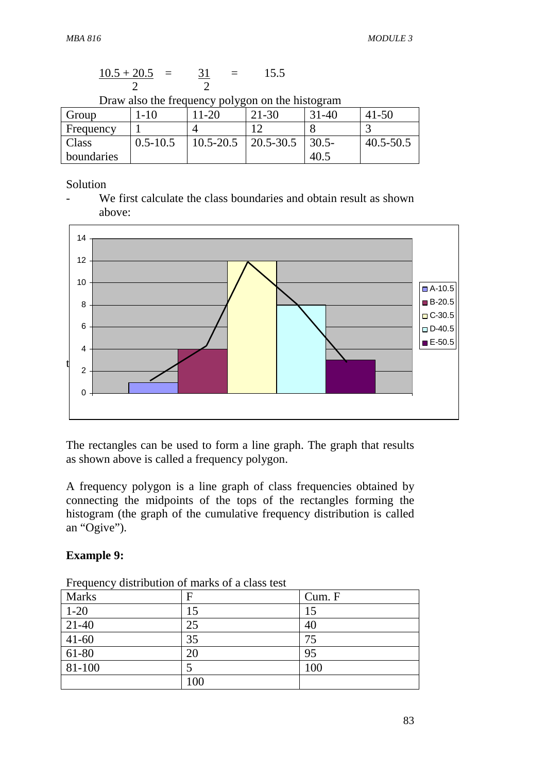$$
\frac{10.5 + 20.5}{2} = \frac{31}{2} = 15.5
$$

Draw also the frequency polygon on the histogram

| Group      | $\overline{\phantom{0}}$ | $1 - 20$      | $21 - 30$ | $-40$<br>21 | $41 - 50$     |
|------------|--------------------------|---------------|-----------|-------------|---------------|
| Frequency  |                          |               |           |             |               |
| Class      | $0.5 - 10.5$             | $10.5 - 20.5$ | 20.5-30.5 | $30.5 -$    | $40.5 - 50.5$ |
| boundaries |                          |               |           | 40.1        |               |

Solution

- We first calculate the class boundaries and obtain result as shown above:



The rectangles can be used to form a line graph. The graph that results as shown above is called a frequency polygon.

A frequency polygon is a line graph of class frequencies obtained by connecting the midpoints of the tops of the rectangles forming the histogram (the graph of the cumulative frequency distribution is called an "Ogive").

#### **Example 9:**

| <b>Marks</b> | F   | Cum. F |
|--------------|-----|--------|
| $1 - 20$     | 15  | 15     |
| $21-40$      | 25  | 40     |
| $41-60$      | 35  | 75     |
| $61-80$      | 20  | 95     |
| 81-100       |     | 100    |
|              | 100 |        |

Frequency distribution of marks of a class test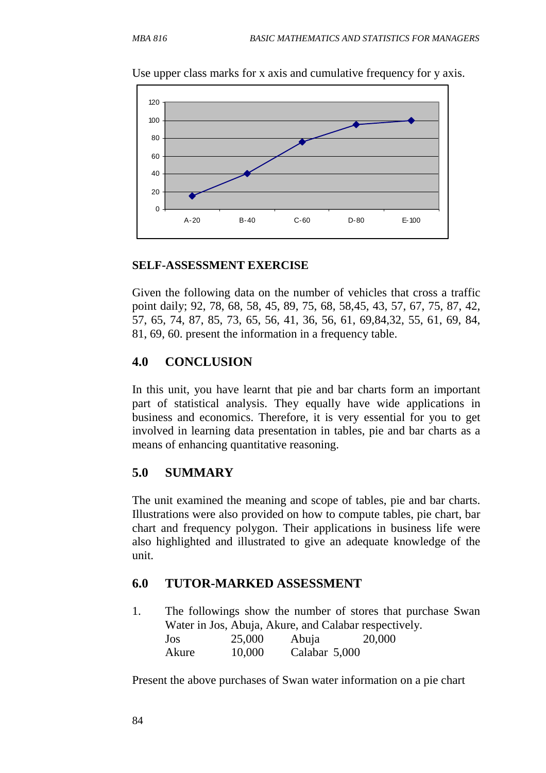

Use upper class marks for x axis and cumulative frequency for y axis.

#### **SELF-ASSESSMENT EXERCISE**

Given the following data on the number of vehicles that cross a traffic point daily; 92, 78, 68, 58, 45, 89, 75, 68, 58,45, 43, 57, 67, 75, 87, 42, 57, 65, 74, 87, 85, 73, 65, 56, 41, 36, 56, 61, 69,84,32, 55, 61, 69, 84, 81, 69, 60. present the information in a frequency table.

### **4.0 CONCLUSION**

In this unit, you have learnt that pie and bar charts form an important part of statistical analysis. They equally have wide applications in business and economics. Therefore, it is very essential for you to get involved in learning data presentation in tables, pie and bar charts as a means of enhancing quantitative reasoning.

### **5.0 SUMMARY**

The unit examined the meaning and scope of tables, pie and bar charts. Illustrations were also provided on how to compute tables, pie chart, bar chart and frequency polygon. Their applications in business life were also highlighted and illustrated to give an adequate knowledge of the unit.

#### **6.0 TUTOR-MARKED ASSESSMENT**

1. The followings show the number of stores that purchase Swan Water in Jos, Abuja, Akure, and Calabar respectively. Jos 25,000 Abuja 20,000 Akure 10,000 Calabar 5,000

Present the above purchases of Swan water information on a pie chart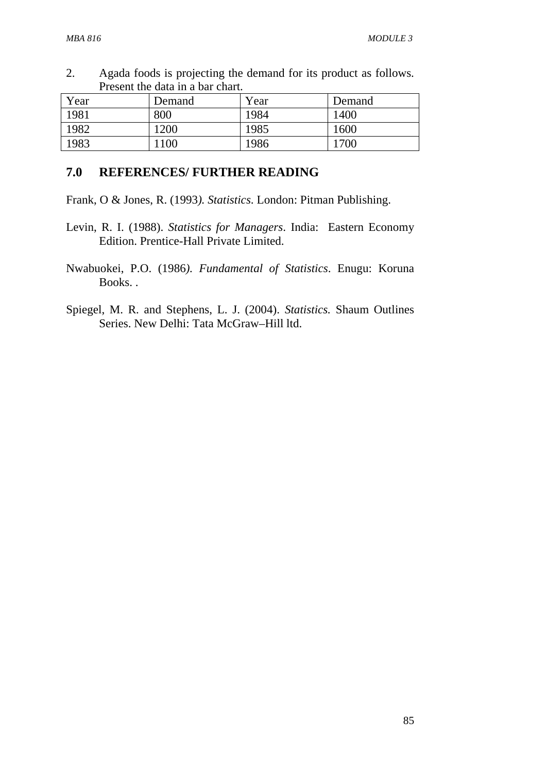2. Agada foods is projecting the demand for its product as follows. Present the data in a bar chart.

| Year | Demand | Year | Demand |
|------|--------|------|--------|
| 1981 | 800    | 1984 | 1400   |
| 1982 | 1200   | 1985 | 1600   |
| 1983 | 100    | 1986 | '700   |

#### **7.0 REFERENCES/ FURTHER READING**

Frank, O & Jones, R. (1993*). Statistics*. London: Pitman Publishing.

- Levin, R. I. (1988). *Statistics for Managers*. India: Eastern Economy Edition. Prentice-Hall Private Limited.
- Nwabuokei, P.O. (1986*). Fundamental of Statistics*. Enugu: Koruna Books. .
- Spiegel, M. R. and Stephens, L. J. (2004). *Statistics.* Shaum Outlines Series. New Delhi: Tata McGraw–Hill ltd.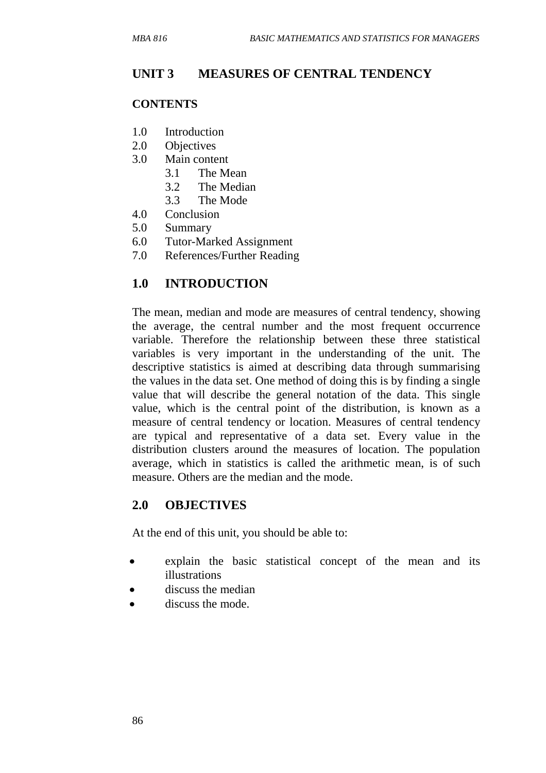## **UNIT 3 MEASURES OF CENTRAL TENDENCY**

#### **CONTENTS**

- 1.0 Introduction
- 2.0 Objectives
- 3.0 Main content
	- 3.1 The Mean
	- 3.2 The Median
	- 3.3 The Mode
- 4.0 Conclusion
- 5.0 Summary
- 6.0 Tutor-Marked Assignment
- 7.0 References/Further Reading

### **1.0 INTRODUCTION**

The mean, median and mode are measures of central tendency, showing the average, the central number and the most frequent occurrence variable. Therefore the relationship between these three statistical variables is very important in the understanding of the unit. The descriptive statistics is aimed at describing data through summarising the values in the data set. One method of doing this is by finding a single value that will describe the general notation of the data. This single value, which is the central point of the distribution, is known as a measure of central tendency or location. Measures of central tendency are typical and representative of a data set. Every value in the distribution clusters around the measures of location. The population average, which in statistics is called the arithmetic mean, is of such measure. Others are the median and the mode.

### **2.0 OBJECTIVES**

At the end of this unit, you should be able to:

- explain the basic statistical concept of the mean and its illustrations
- discuss the median
- discuss the mode.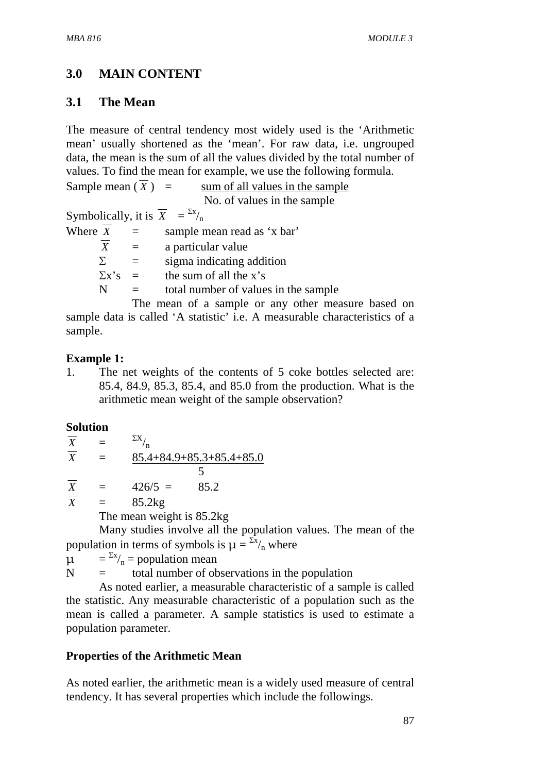# **3.0 MAIN CONTENT**

## **3.1 The Mean**

The measure of central tendency most widely used is the 'Arithmetic mean' usually shortened as the 'mean'. For raw data, i.e. ungrouped data, the mean is the sum of all the values divided by the total number of values. To find the mean for example, we use the following formula.

Sample mean  $(\overline{X})$  = sum of all values in the sample No. of values in the sample

Symbolically, it is  $\overline{X} = \frac{\sum x}{n}$ 

| Where $X$        | $\equiv$                 | sample mean read as 'x bar'               |
|------------------|--------------------------|-------------------------------------------|
| $\boldsymbol{X}$ |                          | a particular value                        |
| Σ.               |                          | sigma indicating addition                 |
| $\Sigma$ x's     | $\overline{\phantom{0}}$ | the sum of all the x's                    |
| N                |                          | total number of values in the sample      |
|                  |                          | The mean of a sample or any other measure |

re based on sample data is called 'A statistic' i.e. A measurable characteristics of a sample.

### **Example 1:**

1. The net weights of the contents of 5 coke bottles selected are: 85.4, 84.9, 85.3, 85.4, and 85.0 from the production. What is the arithmetic mean weight of the sample observation?

### **Solution**

| $\boldsymbol{X}$          | $=$ | $\sum X_{\mu}$ |                            |
|---------------------------|-----|----------------|----------------------------|
| $\overline{\overline{X}}$ | $=$ |                | $85.4+84.9+85.3+85.4+85.0$ |
|                           |     |                |                            |
| $\overline{\mathbf{v}}$   |     | $10<\epsilon$  | 050                        |

 $\frac{X}{X} = 426/5 = 85.2$ <br> $\frac{X}{X} = 85.2$  kg  $= 85.2kg$ 

The mean weight is 85.2kg

 Many studies involve all the population values. The mean of the population in terms of symbols is  $\mu = \frac{\sum x_i}{n}$  where

 $\mu = \frac{\Sigma x}{n}$  = population mean

 $N =$  total number of observations in the population

 As noted earlier, a measurable characteristic of a sample is called the statistic. Any measurable characteristic of a population such as the mean is called a parameter. A sample statistics is used to estimate a population parameter.

# **Properties of the Arithmetic Mean**

As noted earlier, the arithmetic mean is a widely used measure of central tendency. It has several properties which include the followings.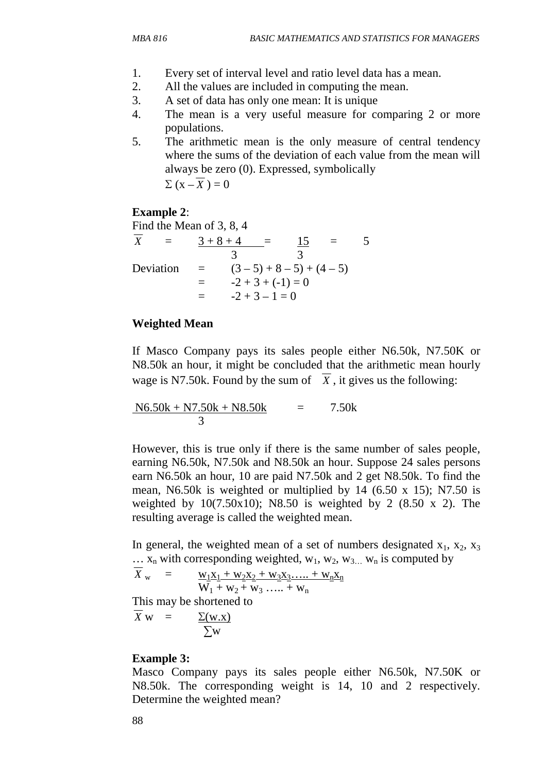- 1. Every set of interval level and ratio level data has a mean.
- 2. All the values are included in computing the mean.
- 3. A set of data has only one mean: It is unique
- 4. The mean is a very useful measure for comparing 2 or more populations.
- 5. The arithmetic mean is the only measure of central tendency where the sums of the deviation of each value from the mean will always be zero (0). Expressed, symbolically

$$
\Sigma(x-\overline{X})=0
$$

### **Example 2**:

Find the Mean of 3, 8, 4

|           | $3+8+4$  |                     | 15                      |  |
|-----------|----------|---------------------|-------------------------|--|
|           |          |                     |                         |  |
| Deviation | $\equiv$ |                     | $(3-5) + 8 - 5 + (4-5)$ |  |
|           |          | $-2 + 3 + (-1) = 0$ |                         |  |
|           |          | $-2+3-1=0$          |                         |  |

### **Weighted Mean**

If Masco Company pays its sales people either N6.50k, N7.50K or N8.50k an hour, it might be concluded that the arithmetic mean hourly wage is N7.50k. Found by the sum of  $\overline{X}$ , it gives us the following:

$$
\frac{N6.50k + N7.50k + N8.50k}{3} = 7.50k
$$

However, this is true only if there is the same number of sales people, earning N6.50k, N7.50k and N8.50k an hour. Suppose 24 sales persons earn N6.50k an hour, 10 are paid N7.50k and 2 get N8.50k. To find the mean, N6.50k is weighted or multiplied by 14 (6.50 x 15); N7.50 is weighted by  $10(7.50x10)$ ; N8.50 is weighted by 2 (8.50 x 2). The resulting average is called the weighted mean.

In general, the weighted mean of a set of numbers designated  $x_1, x_2, x_3$  $\ldots$  x<sub>n</sub> with corresponding weighted, w<sub>1</sub>, w<sub>2</sub>, w<sub>3</sub> w<sub>n</sub> is computed by

$$
\overline{X}_{w} = \frac{w_1 x_1 + w_2 x_2 + w_3 x_3 \dots + w_n x_n}{W_1 + w_2 + w_3 \dots + w_n}
$$

This may be shortened to

$$
\overline{X} \mathbf{w} = \underline{\Sigma(\mathbf{w}.\mathbf{x})}
$$
\n
$$
\Sigma \mathbf{w}
$$

#### **Example 3:**

Masco Company pays its sales people either N6.50k, N7.50K or N8.50k. The corresponding weight is 14, 10 and 2 respectively. Determine the weighted mean?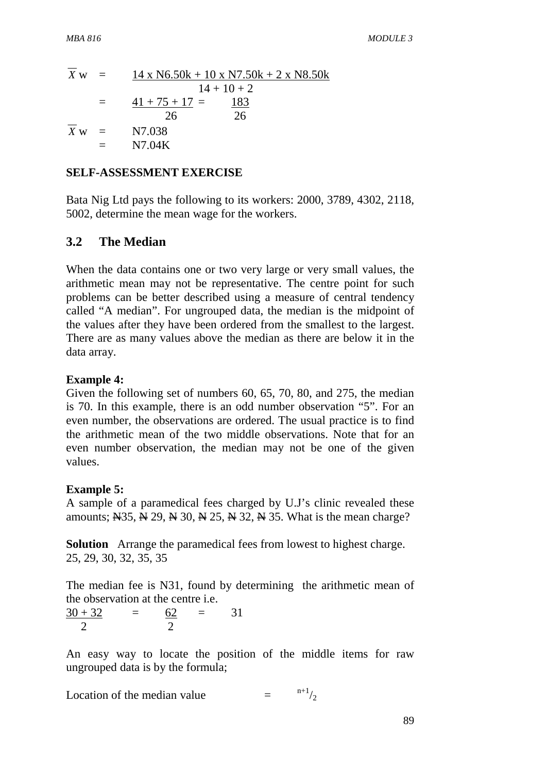$$
\overline{X} \text{ w} = \frac{14 \times \text{N6.50k} + 10 \times \text{N7.50k} + 2 \times \text{N8.50k}}{14 + 10 + 2}
$$
\n
$$
= \frac{41 + 75 + 17}{26} = \frac{183}{26}
$$
\n
$$
\overline{X} \text{ w} = \text{N7.038}
$$
\n
$$
= \text{N7.04K}
$$

#### **SELF-ASSESSMENT EXERCISE**

Bata Nig Ltd pays the following to its workers: 2000, 3789, 4302, 2118, 5002, determine the mean wage for the workers.

#### **3.2 The Median**

When the data contains one or two very large or very small values, the arithmetic mean may not be representative. The centre point for such problems can be better described using a measure of central tendency called "A median". For ungrouped data, the median is the midpoint of the values after they have been ordered from the smallest to the largest. There are as many values above the median as there are below it in the data array.

#### **Example 4:**

Given the following set of numbers 60, 65, 70, 80, and 275, the median is 70. In this example, there is an odd number observation "5". For an even number, the observations are ordered. The usual practice is to find the arithmetic mean of the two middle observations. Note that for an even number observation, the median may not be one of the given values.

#### **Example 5:**

A sample of a paramedical fees charged by U.J's clinic revealed these amounts;  $\overline{N}$ 35,  $\overline{N}$  29,  $\overline{N}$  30,  $\overline{N}$  25,  $\overline{N}$  32,  $\overline{N}$  35. What is the mean charge?

**Solution** Arrange the paramedical fees from lowest to highest charge. 25, 29, 30, 32, 35, 35

The median fee is N31, found by determining the arithmetic mean of the observation at the centre i.e.

 $\frac{30 + 32}{ } = \frac{62}{ } = \frac{31}{ }$ 2 2

An easy way to locate the position of the middle items for raw ungrouped data is by the formula;

Location of the median value  $=$   $n+1/2$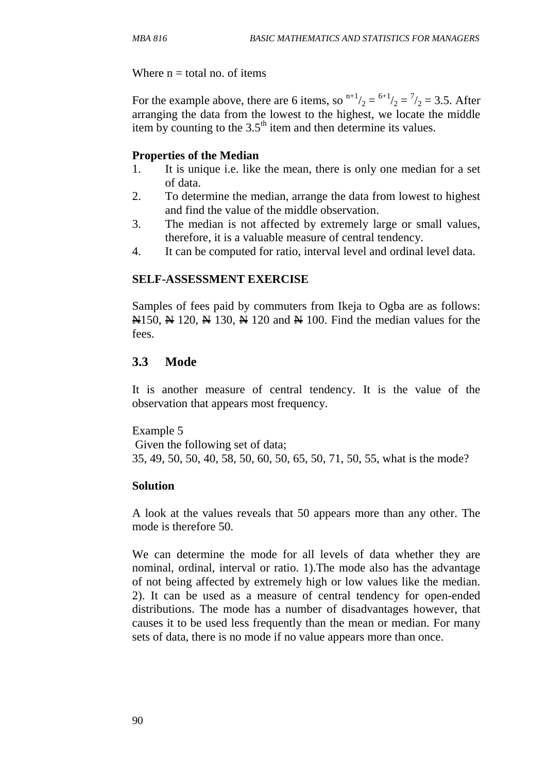Where  $n =$  total no. of items

For the example above, there are 6 items, so  $n+1/2 = 6+1/2 = 7/2 = 3.5$ . After arranging the data from the lowest to the highest, we locate the middle item by counting to the  $3.5<sup>th</sup>$  item and then determine its values.

### **Properties of the Median**

- 1. It is unique i.e. like the mean, there is only one median for a set of data.
- 2. To determine the median, arrange the data from lowest to highest and find the value of the middle observation.
- 3. The median is not affected by extremely large or small values, therefore, it is a valuable measure of central tendency.
- 4. It can be computed for ratio, interval level and ordinal level data.

### **SELF-ASSESSMENT EXERCISE**

Samples of fees paid by commuters from Ikeja to Ogba are as follows:  $\mathbb{N}150$ ,  $\mathbb{N}120$ ,  $\mathbb{N}130$ ,  $\mathbb{N}120$  and  $\mathbb{N}100$ . Find the median values for the fees.

### **3.3 Mode**

It is another measure of central tendency. It is the value of the observation that appears most frequency.

Example 5 Given the following set of data; 35, 49, 50, 50, 40, 58, 50, 60, 50, 65, 50, 71, 50, 55, what is the mode?

#### **Solution**

A look at the values reveals that 50 appears more than any other. The mode is therefore 50.

We can determine the mode for all levels of data whether they are nominal, ordinal, interval or ratio. 1).The mode also has the advantage of not being affected by extremely high or low values like the median. 2). It can be used as a measure of central tendency for open-ended distributions. The mode has a number of disadvantages however, that causes it to be used less frequently than the mean or median. For many sets of data, there is no mode if no value appears more than once.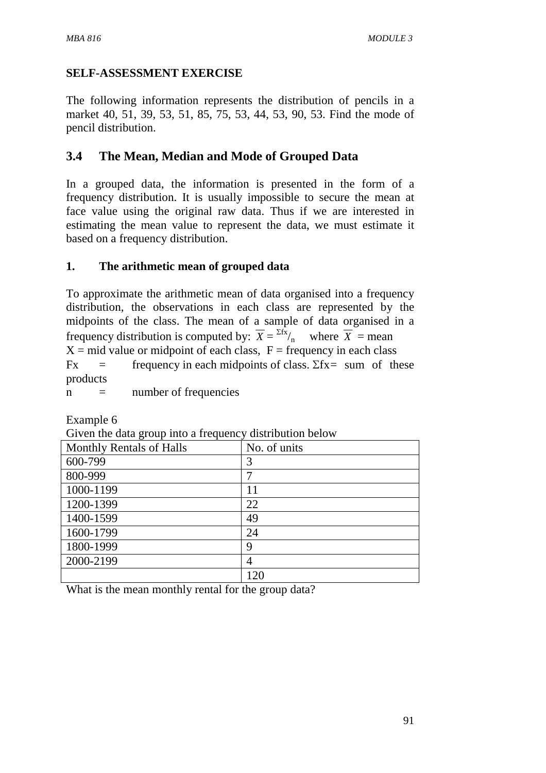# **SELF-ASSESSMENT EXERCISE**

The following information represents the distribution of pencils in a market 40, 51, 39, 53, 51, 85, 75, 53, 44, 53, 90, 53. Find the mode of pencil distribution.

# **3.4 The Mean, Median and Mode of Grouped Data**

In a grouped data, the information is presented in the form of a frequency distribution. It is usually impossible to secure the mean at face value using the original raw data. Thus if we are interested in estimating the mean value to represent the data, we must estimate it based on a frequency distribution.

### **1. The arithmetic mean of grouped data**

To approximate the arithmetic mean of data organised into a frequency distribution, the observations in each class are represented by the midpoints of the class. The mean of a sample of data organised in a frequency distribution is computed by:  $\overline{X} = \frac{\sum f \overline{X}}{n}$  where  $\overline{X}$  = mean  $X = mid$  value or midpoint of each class,  $F = frequency$  in each class Fx = frequency in each midpoints of class.  $\Sigma$ fx = sum of these products

 $n =$  number of frequencies

Example 6

| .<br>$\circ$             |              |
|--------------------------|--------------|
| Monthly Rentals of Halls | No. of units |
| 600-799                  | 3            |
| 800-999                  |              |
| 1000-1199                | 11           |
| 1200-1399                | 22           |
| 1400-1599                | 49           |
| 1600-1799                | 24           |
| 1800-1999                | 9            |
| 2000-2199                |              |
|                          | 120          |

Given the data group into a frequency distribution below

What is the mean monthly rental for the group data?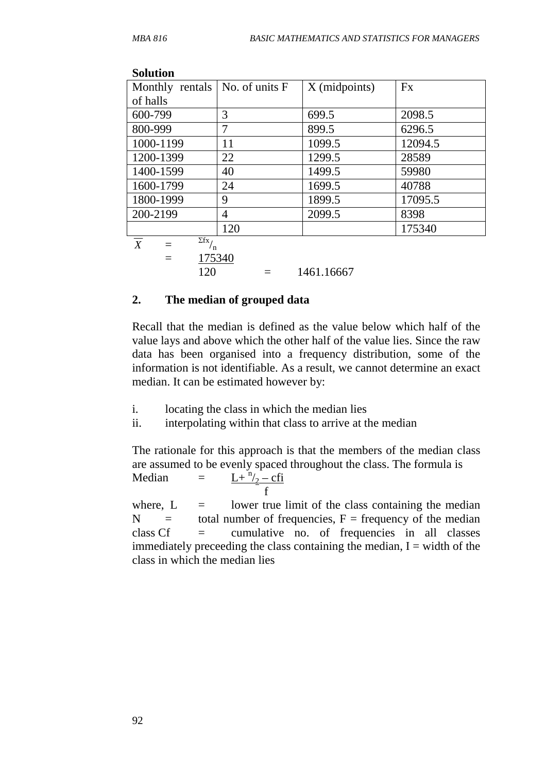| Solution                                                         |        |               |         |
|------------------------------------------------------------------|--------|---------------|---------|
| Monthly rentals $ $ No. of units $F$                             |        | X (midpoints) | Fx      |
| of halls                                                         |        |               |         |
| 600-799                                                          | 3      | 699.5         | 2098.5  |
| 800-999                                                          | 7      | 899.5         | 6296.5  |
| 1000-1199                                                        | 11     | 1099.5        | 12094.5 |
| 1200-1399                                                        | 22     | 1299.5        | 28589   |
| 1400-1599                                                        | 40     | 1499.5        | 59980   |
| 1600-1799                                                        | 24     | 1699.5        | 40788   |
| 1800-1999                                                        | 9      | 1899.5        | 17095.5 |
| 200-2199                                                         | 4      | 2099.5        | 8398    |
|                                                                  | 120    |               | 175340  |
| $\overline{\Sigma fx}$ / <sub>n</sub><br>$\boldsymbol{X}$<br>$=$ |        |               |         |
| $=$                                                              | 175340 |               |         |
| 120                                                              |        | 1461.16667    |         |

#### **Solution**

### **2. The median of grouped data**

Recall that the median is defined as the value below which half of the value lays and above which the other half of the value lies. Since the raw data has been organised into a frequency distribution, some of the information is not identifiable. As a result, we cannot determine an exact median. It can be estimated however by:

- i. locating the class in which the median lies
- ii. interpolating within that class to arrive at the median

The rationale for this approach is that the members of the median class are assumed to be evenly spaced throughout the class. The formula is Median  $=$  $L + \frac{n}{2} - cfi$ f

where,  $L =$  lower true limit of the class containing the median  $N =$  total number of frequencies,  $F =$  frequency of the median class  $Cf$  = cumulative no. of frequencies in all classes immediately preceeding the class containing the median,  $I = \text{width of the}$ class in which the median lies

92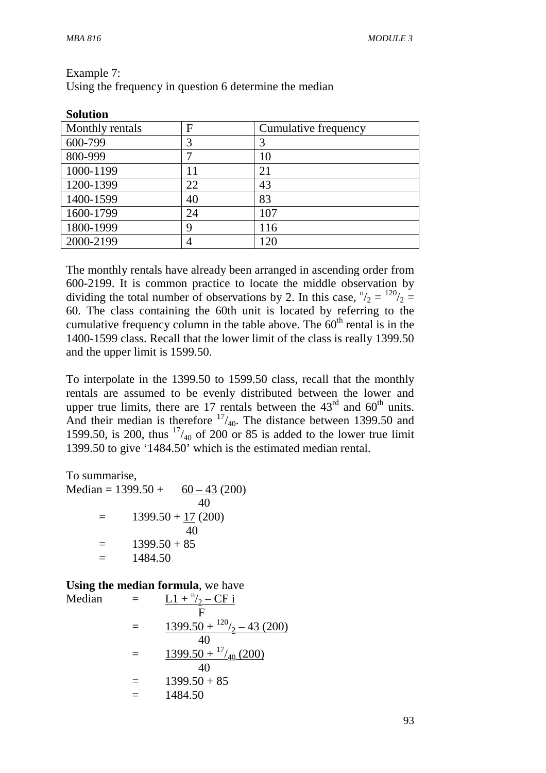| <b>Solution</b> |             |                      |
|-----------------|-------------|----------------------|
| Monthly rentals | $\mathbf F$ | Cumulative frequency |
| 600-799         | 3           | 3                    |
| 800-999         | 7           | 10                   |
| 1000-1199       |             | 21                   |
| 1200-1399       | 22          | 43                   |
| 1400-1599       | 40          | 83                   |
| 1600-1799       | 24          | 107                  |
| 1800-1999       | 9           | 116                  |
| 2000-2199       | 4           | I 20                 |

Example 7:

Using the frequency in question 6 determine the median

The monthly rentals have already been arranged in ascending order from 600-2199. It is common practice to locate the middle observation by dividing the total number of observations by 2. In this case,  $n/2 = 120/2 = 120$ 60. The class containing the 60th unit is located by referring to the cumulative frequency column in the table above. The  $60<sup>th</sup>$  rental is in the 1400-1599 class. Recall that the lower limit of the class is really 1399.50 and the upper limit is 1599.50.

To interpolate in the 1399.50 to 1599.50 class, recall that the monthly rentals are assumed to be evenly distributed between the lower and upper true limits, there are 17 rentals between the  $43<sup>rd</sup>$  and  $60<sup>th</sup>$  units. And their median is therefore  $17/40$ . The distance between 1399.50 and  $\mu$ 1599.50, is 200, thus  $17/40$  of 200 or 85 is added to the lower true limit 1399.50 to give '1484.50' which is the estimated median rental.

To summarise,

Median =  $1399.50 + 60 - 43(200)$  40  $=$  1399.50 + 17 (200) 40  $=$  1399.50 + 85  $= 1484.50$ 

#### **Using the median formula**, we have

Median   
= 
$$
\frac{L1 + \frac{n}{2} - CF \text{ i}}{F}
$$
  
= 
$$
\frac{1399.50 + \frac{120}{2} - 43 (200)}{40}
$$
  
= 
$$
\frac{1399.50 + \frac{17}{40} (200)}{40}
$$
  
= 
$$
1399.50 + 85
$$
  
= 
$$
1484.50
$$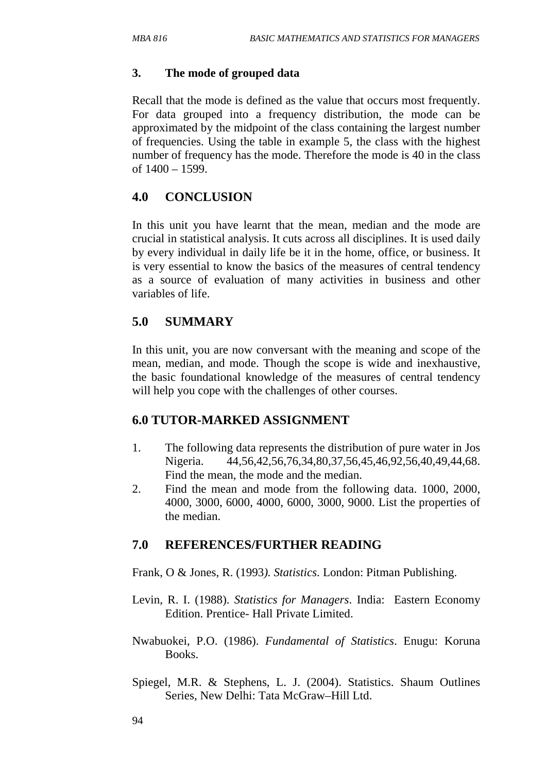### **3. The mode of grouped data**

Recall that the mode is defined as the value that occurs most frequently. For data grouped into a frequency distribution, the mode can be approximated by the midpoint of the class containing the largest number of frequencies. Using the table in example 5, the class with the highest number of frequency has the mode. Therefore the mode is 40 in the class of 1400 – 1599.

## **4.0 CONCLUSION**

In this unit you have learnt that the mean, median and the mode are crucial in statistical analysis. It cuts across all disciplines. It is used daily by every individual in daily life be it in the home, office, or business. It is very essential to know the basics of the measures of central tendency as a source of evaluation of many activities in business and other variables of life.

# **5.0 SUMMARY**

In this unit, you are now conversant with the meaning and scope of the mean, median, and mode. Though the scope is wide and inexhaustive, the basic foundational knowledge of the measures of central tendency will help you cope with the challenges of other courses.

### **6.0 TUTOR-MARKED ASSIGNMENT**

- 1. The following data represents the distribution of pure water in Jos Nigeria. 44,56,42,56,76,34,80,37,56,45,46,92,56,40,49,44,68. Find the mean, the mode and the median.
- 2. Find the mean and mode from the following data. 1000, 2000, 4000, 3000, 6000, 4000, 6000, 3000, 9000. List the properties of the median.

# **7.0 REFERENCES/FURTHER READING**

Frank, O & Jones, R. (1993*). Statistics*. London: Pitman Publishing.

- Levin, R. I. (1988). *Statistics for Managers*. India: Eastern Economy Edition. Prentice- Hall Private Limited.
- Nwabuokei, P.O. (1986). *Fundamental of Statistics*. Enugu: Koruna Books.
- Spiegel, M.R. & Stephens, L. J. (2004). Statistics. Shaum Outlines Series, New Delhi: Tata McGraw–Hill Ltd.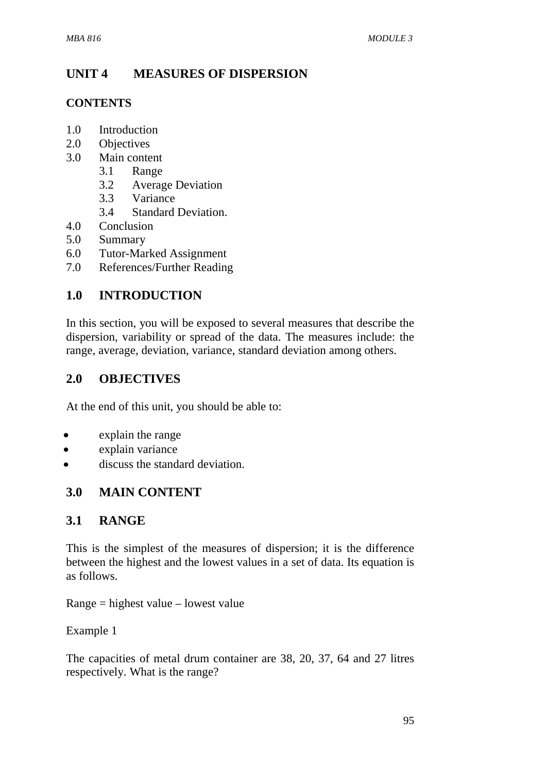# **UNIT 4 MEASURES OF DISPERSION**

### **CONTENTS**

- 1.0 Introduction
- 2.0 Objectives
- 3.0 Main content
	- 3.1 Range
	- 3.2 Average Deviation
	- 3.3 Variance
	- 3.4 Standard Deviation.
- 4.0 Conclusion
- 5.0 Summary
- 6.0 Tutor-Marked Assignment
- 7.0 References/Further Reading

# **1.0 INTRODUCTION**

In this section, you will be exposed to several measures that describe the dispersion, variability or spread of the data. The measures include: the range, average, deviation, variance, standard deviation among others.

## **2.0 OBJECTIVES**

At the end of this unit, you should be able to:

- explain the range
- explain variance
- discuss the standard deviation.

# **3.0 MAIN CONTENT**

### **3.1 RANGE**

This is the simplest of the measures of dispersion; it is the difference between the highest and the lowest values in a set of data. Its equation is as follows.

Range = highest value – lowest value

Example 1

The capacities of metal drum container are 38, 20, 37, 64 and 27 litres respectively. What is the range?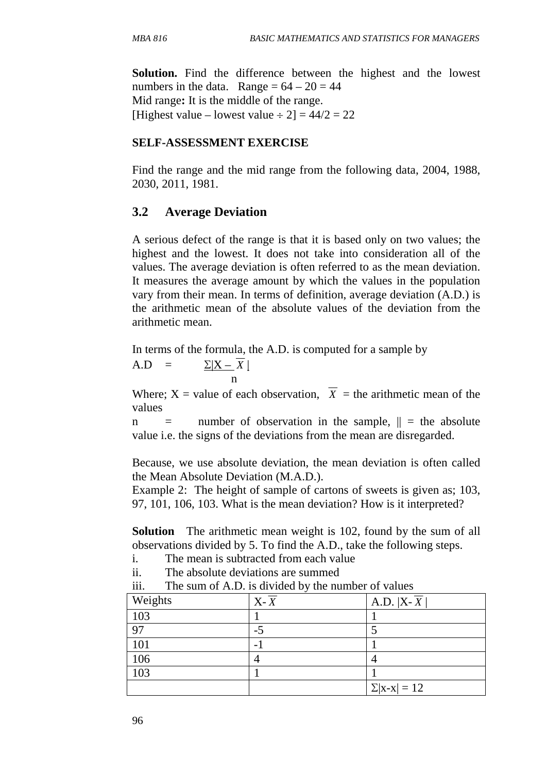**Solution.** Find the difference between the highest and the lowest numbers in the data. Range  $= 64 - 20 = 44$ Mid range**:** It is the middle of the range. [Highest value – lowest value  $\div 2$ ] = 44/2 = 22

#### **SELF-ASSESSMENT EXERCISE**

Find the range and the mid range from the following data, 2004, 1988, 2030, 2011, 1981.

### **3.2 Average Deviation**

A serious defect of the range is that it is based only on two values; the highest and the lowest. It does not take into consideration all of the values. The average deviation is often referred to as the mean deviation. It measures the average amount by which the values in the population vary from their mean. In terms of definition, average deviation (A.D.) is the arithmetic mean of the absolute values of the deviation from the arithmetic mean.

In terms of the formula, the A.D. is computed for a sample by

 $A.D = \sum |X - X|$ n and the state of the state of the state of the state of the state of the state of the state of the state of the state of the state of the state of the state of the state of the state of the state of the state of the stat

Where;  $X =$  value of each observation,  $\overline{X} =$  the arithmetic mean of the values

 $n =$  number of observation in the sample,  $\| =$  the absolute value i.e. the signs of the deviations from the mean are disregarded.

Because, we use absolute deviation, the mean deviation is often called the Mean Absolute Deviation (M.A.D.).

Example 2: The height of sample of cartons of sweets is given as; 103, 97, 101, 106, 103. What is the mean deviation? How is it interpreted?

**Solution** The arithmetic mean weight is 102, found by the sum of all observations divided by 5. To find the A.D., take the following steps.

- i. The mean is subtracted from each value
- ii. The absolute deviations are summed

| 111. |  |  |  |  |  |  | The sum of A.D. is divided by the number of values |
|------|--|--|--|--|--|--|----------------------------------------------------|
|------|--|--|--|--|--|--|----------------------------------------------------|

|         | $\checkmark$       |                     |
|---------|--------------------|---------------------|
| Weights | $X - \overline{X}$ | A.D. $ X - X $      |
| 103     |                    |                     |
| 97      | -5                 |                     |
| 101     | -                  |                     |
| 106     |                    |                     |
| 103     |                    |                     |
|         |                    | $\Sigma  x-x  = 12$ |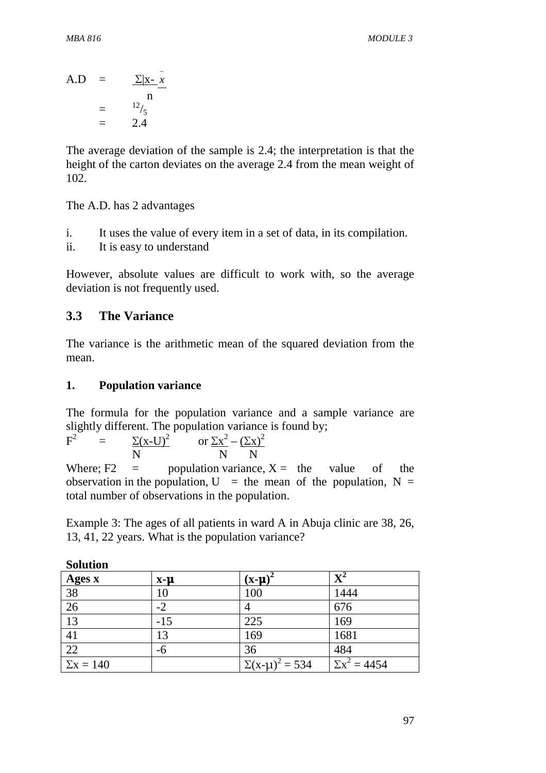$A.D = \frac{\sum |x - \overline{x}|}{x}$ − n =  $^{12}/_5$  $=$  2.4

The average deviation of the sample is 2.4; the interpretation is that the height of the carton deviates on the average 2.4 from the mean weight of 102.

The A.D. has 2 advantages

- i. It uses the value of every item in a set of data, in its compilation.
- ii. It is easy to understand

However, absolute values are difficult to work with, so the average deviation is not frequently used.

### **3.3 The Variance**

The variance is the arithmetic mean of the squared deviation from the mean.

#### **1. Population variance**

The formula for the population variance and a sample variance are slightly different. The population variance is found by;

 $F^2$  $=$   $\Sigma(x-U)^2$ or  $\Sigma x^2 - (\Sigma x)^2$ N N N

Where;  $F2 =$  population variance,  $X =$  the value of the observation in the population,  $U =$  the mean of the population,  $N =$ total number of observations in the population.

Example 3: The ages of all patients in ward A in Abuja clinic are 38, 26, 13, 41, 22 years. What is the population variance?

| ponthon        |           |                         |                         |
|----------------|-----------|-------------------------|-------------------------|
| Ages x         | $X - \mu$ | (x-µ)                   | $\mathbf{X}^{\text{2}}$ |
| 38             | 10        | 100                     | 1444                    |
| 26             | $-2$      | 4                       | 676                     |
| 13             | $-15$     | 225                     | 169                     |
| 41             | 13        | 169                     | 1681                    |
| 22             | -6        | 36                      | 484                     |
| $\sum x = 140$ |           | $\Sigma(x-\mu)^2 = 534$ | $\Sigma x^2 = 4454$     |

**Solution**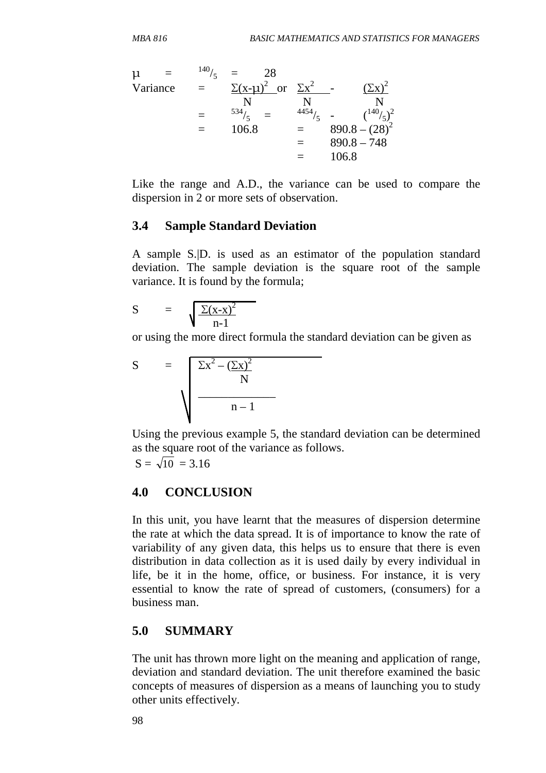$$
\mu = \frac{140}{5} = \frac{28}{\sum(x - \mu)^2} \text{ or } \frac{\sum x^2}{N} - \frac{(\sum x)^2}{N}
$$
  
=  $\frac{534}{5} = \frac{4454}{5} - \frac{(\frac{140}{5})^2}{890.8 - (28)^2}$   
= 106.8 = 890.8 - 748  
= 106.8

Like the range and A.D., the variance can be used to compare the dispersion in 2 or more sets of observation.

#### **3.4 Sample Standard Deviation**

A sample S.|D. is used as an estimator of the population standard deviation. The sample deviation is the square root of the sample variance. It is found by the formula;

$$
S = \sqrt{\frac{\Sigma(x-x)^2}{n-1}}
$$

or using the more direct formula the standard deviation can be given as

$$
S = \sqrt{\frac{\Sigma x^2 - (\Sigma x)^2}{N}}
$$

Using the previous example 5, the standard deviation can be determined as the square root of the variance as follows.

$$
S=\sqrt{10}=3.16
$$

#### **4.0 CONCLUSION**

In this unit, you have learnt that the measures of dispersion determine the rate at which the data spread. It is of importance to know the rate of variability of any given data, this helps us to ensure that there is even distribution in data collection as it is used daily by every individual in life, be it in the home, office, or business. For instance, it is very essential to know the rate of spread of customers, (consumers) for a business man.

#### **5.0 SUMMARY**

The unit has thrown more light on the meaning and application of range, deviation and standard deviation. The unit therefore examined the basic concepts of measures of dispersion as a means of launching you to study other units effectively.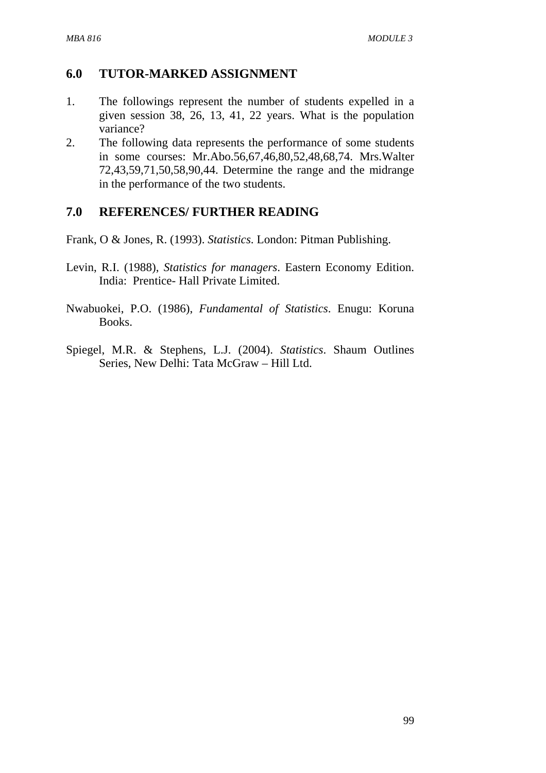### **6.0 TUTOR-MARKED ASSIGNMENT**

- 1. The followings represent the number of students expelled in a given session 38, 26, 13, 41, 22 years. What is the population variance?
- 2. The following data represents the performance of some students in some courses: Mr.Abo.56,67,46,80,52,48,68,74. Mrs.Walter 72,43,59,71,50,58,90,44. Determine the range and the midrange in the performance of the two students.

### **7.0 REFERENCES/ FURTHER READING**

Frank, O & Jones, R. (1993). *Statistics*. London: Pitman Publishing.

- Levin, R.I. (1988), *Statistics for managers*. Eastern Economy Edition. India: Prentice- Hall Private Limited.
- Nwabuokei, P.O. (1986), *Fundamental of Statistics*. Enugu: Koruna Books.
- Spiegel, M.R. & Stephens, L.J. (2004). *Statistics*. Shaum Outlines Series, New Delhi: Tata McGraw – Hill Ltd.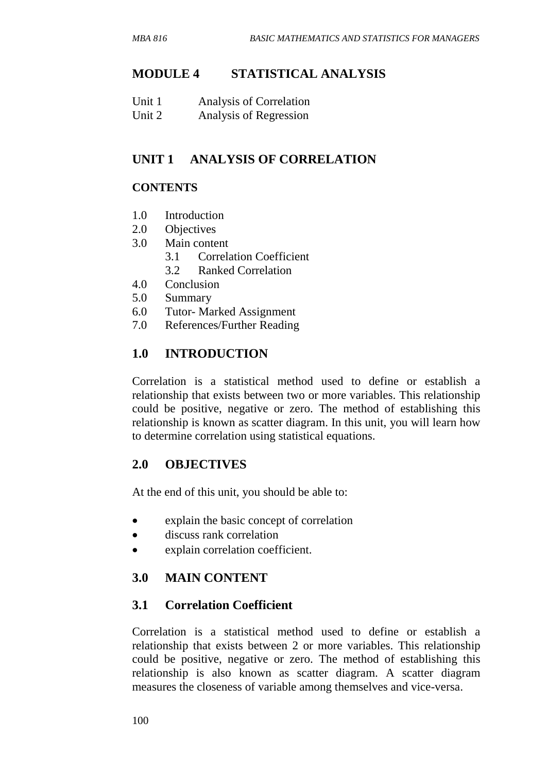### **MODULE 4 STATISTICAL ANALYSIS**

| Unit 1 | Analysis of Correlation |
|--------|-------------------------|
| Unit 2 | Analysis of Regression  |

## **UNIT 1 ANALYSIS OF CORRELATION**

### **CONTENTS**

- 1.0 Introduction
- 2.0 Objectives
- 3.0 Main content
	- 3.1 Correlation Coefficient
	- 3.2 Ranked Correlation
- 4.0 Conclusion
- 5.0 Summary
- 6.0 Tutor- Marked Assignment
- 7.0 References/Further Reading

## **1.0 INTRODUCTION**

Correlation is a statistical method used to define or establish a relationship that exists between two or more variables. This relationship could be positive, negative or zero. The method of establishing this relationship is known as scatter diagram. In this unit, you will learn how to determine correlation using statistical equations.

### **2.0 OBJECTIVES**

At the end of this unit, you should be able to:

- explain the basic concept of correlation
- discuss rank correlation
- explain correlation coefficient.

#### **3.0 MAIN CONTENT**

#### **3.1 Correlation Coefficient**

Correlation is a statistical method used to define or establish a relationship that exists between 2 or more variables. This relationship could be positive, negative or zero. The method of establishing this relationship is also known as scatter diagram. A scatter diagram measures the closeness of variable among themselves and vice-versa.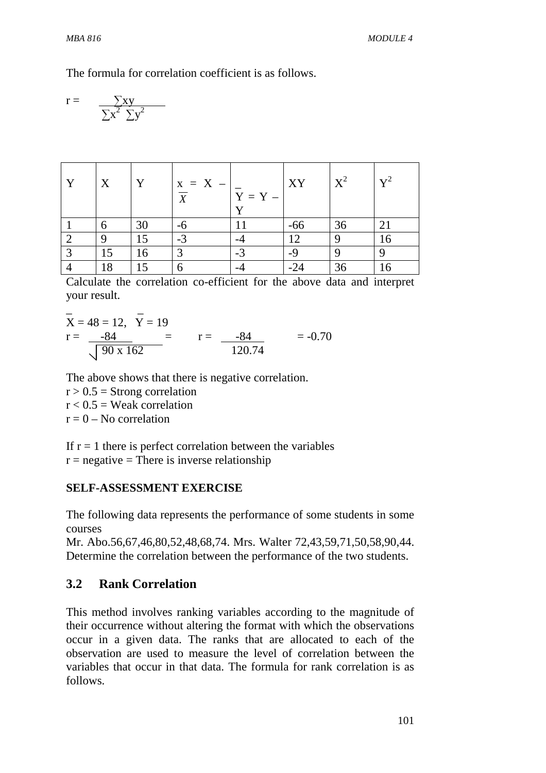The formula for correlation coefficient is as follows.

$$
r = \frac{\sum xy}{\sum x^2 \sum y^2}
$$

| Y              | $\boldsymbol{X}$ | Y  | $x = X - 1$<br>$\overline{X}$ | $Y = Y -$<br>$\mathbf v$ | XY    | $X^2$ | $\mathbf{v}^2$ |
|----------------|------------------|----|-------------------------------|--------------------------|-------|-------|----------------|
|                | 6                | 30 | -6                            |                          | $-66$ | 36    | 21             |
| $\overline{2}$ | $\Omega$         | 15 | $-3$                          |                          | 12    | Q     | 16             |
| $\overline{3}$ | 15               | 16 | $\mathcal{L}$                 | $-3$                     | $-9$  |       | 9              |
|                | 18               | 15 |                               |                          | $-24$ | 36    | 16             |

Calculate the correlation co-efficient for the above data and interpret your result.

$$
\overline{X} = 48 = 12, \quad \overline{Y} = 19
$$
\n
$$
r = \frac{-84}{\sqrt{90 \times 162}} = \qquad r = \frac{-84}{120.74} = -0.70
$$

The above shows that there is negative correlation.

 $r > 0.5$  = Strong correlation  $r < 0.5$  = Weak correlation  $r = 0 - No correlation$ 

If  $r = 1$  there is perfect correlation between the variables

 $r =$  negative = There is inverse relationship

#### **SELF-ASSESSMENT EXERCISE**

The following data represents the performance of some students in some courses

Mr. Abo.56,67,46,80,52,48,68,74. Mrs. Walter 72,43,59,71,50,58,90,44. Determine the correlation between the performance of the two students.

## **3.2 Rank Correlation**

This method involves ranking variables according to the magnitude of their occurrence without altering the format with which the observations occur in a given data. The ranks that are allocated to each of the observation are used to measure the level of correlation between the variables that occur in that data. The formula for rank correlation is as follows.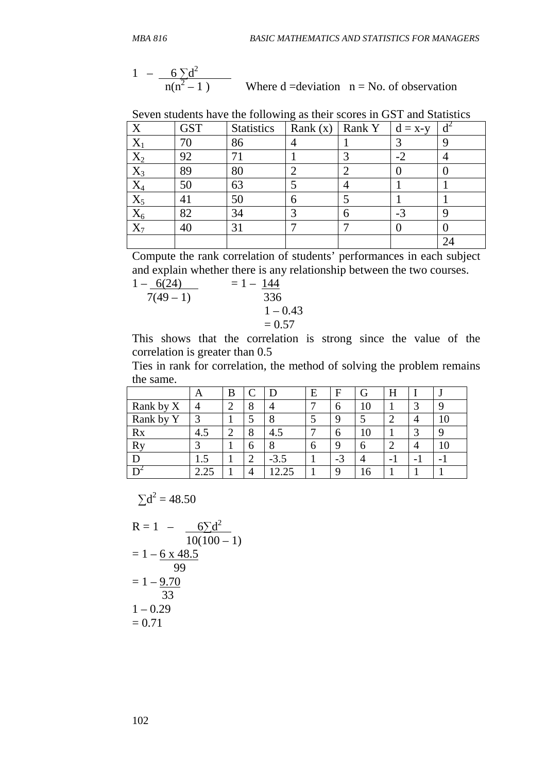$$
1 - \frac{6 \sum d^2}{n(n^2 - 1)}
$$
 Where d =deviation  $n =$  No. of observation

| X                     | <b>GST</b> | <b>Statistics</b> | $\check{ }$<br>Rank $(x)$ | Rank Y | $d = x-y$ |  |
|-----------------------|------------|-------------------|---------------------------|--------|-----------|--|
|                       |            | 86                |                           |        | 3         |  |
| $\mathbf{\Lambda}_2$  | 92         |                   |                           |        | $-2$      |  |
| $\mathbf{\Lambda} _3$ | 89         | 80                | ി                         |        |           |  |
| $\mathrm{X}_4$        | 50         | 63                |                           |        |           |  |
| $\Delta_5$            | 41         | 50                | 6                         |        |           |  |
| $\Lambda_6$           | 82         | 34                | 2                         |        | $-3$      |  |
| ZX                    | 40         | 3 <sub>1</sub>    |                           |        |           |  |
|                       |            |                   |                           |        |           |  |

Seven students have the following as their scores in GST and Statistics

Compute the rank correlation of students' performances in each subject and explain whether there is any relationship between the two courses.

$$
1 - \frac{6(24)}{7(49 - 1)} = 1 - \frac{144}{336}
$$
  
= 0.57  

$$
1 - 0.43 = 0.57
$$

This shows that the correlation is strong since the value of the correlation is greater than 0.5

Ties in rank for correlation, the method of solving the problem remains the same.

|           | Α    | B      |        |        | E | F        | G  | H                        | ., |
|-----------|------|--------|--------|--------|---|----------|----|--------------------------|----|
| Rank by X |      | റ      | Ω<br>Ω |        |   | 6        | 10 |                          |    |
| Rank by Y |      |        |        |        |   | Q        |    |                          | 10 |
| Rx        | 4.5  | ◠<br>∠ | 8      | 4.5    |   | 6        | 10 |                          |    |
| <b>Ry</b> |      |        | 6      | 8      | h | $\Omega$ | h  |                          | 10 |
|           | 1.J  |        | ◠      | $-3.5$ |   | $-3$     |    | $\overline{\phantom{a}}$ |    |
|           | 2.25 |        |        | 2.25   |   | Q        | 16 |                          |    |

$$
\Sigma d^2 = 48.50
$$

$$
R = 1 - \frac{6 \sum d^{2}}{10(100 - 1)}
$$
  
= 1 - 6 x 48.5  
= 99  
= 1 - 9.70  
= 33  
= 0.70  
= 0.71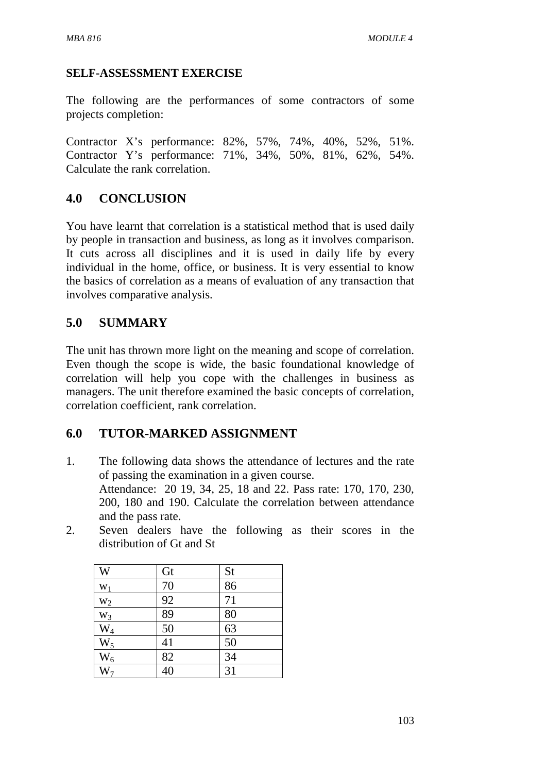#### **SELF-ASSESSMENT EXERCISE**

The following are the performances of some contractors of some projects completion:

Contractor X's performance: 82%, 57%, 74%, 40%, 52%, 51%. Contractor Y's performance: 71%, 34%, 50%, 81%, 62%, 54%. Calculate the rank correlation.

## **4.0 CONCLUSION**

You have learnt that correlation is a statistical method that is used daily by people in transaction and business, as long as it involves comparison. It cuts across all disciplines and it is used in daily life by every individual in the home, office, or business. It is very essential to know the basics of correlation as a means of evaluation of any transaction that involves comparative analysis.

## **5.0 SUMMARY**

The unit has thrown more light on the meaning and scope of correlation. Even though the scope is wide, the basic foundational knowledge of correlation will help you cope with the challenges in business as managers. The unit therefore examined the basic concepts of correlation, correlation coefficient, rank correlation.

# **6.0 TUTOR-MARKED ASSIGNMENT**

- 1. The following data shows the attendance of lectures and the rate of passing the examination in a given course. Attendance: 20 19, 34, 25, 18 and 22. Pass rate: 170, 170, 230, 200, 180 and 190. Calculate the correlation between attendance and the pass rate.
- 2. Seven dealers have the following as their scores in the distribution of Gt and St

| W                 | Gt              | <b>St</b>       |
|-------------------|-----------------|-----------------|
| $W_1$             | 70              | 86              |
| $W_2$             | 92              | 71              |
|                   | $\overline{89}$ | 80              |
| $\frac{W_3}{W_4}$ | 50              | $\overline{63}$ |
| $W_5$             | 41              | 50              |
| $W_6$             | 82              | 34              |
| $\overline{W_7}$  | $\overline{40}$ | $\overline{31}$ |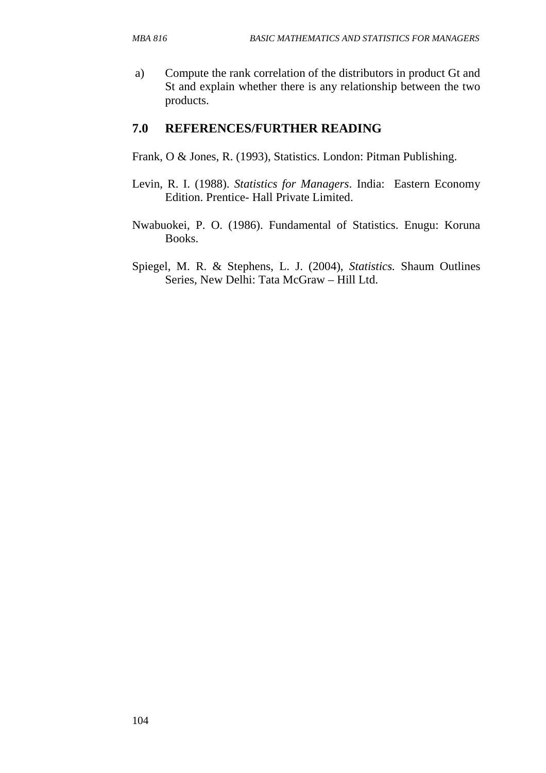a) Compute the rank correlation of the distributors in product Gt and St and explain whether there is any relationship between the two products.

# **7.0 REFERENCES/FURTHER READING**

- Frank, O & Jones, R. (1993), Statistics. London: Pitman Publishing.
- Levin, R. I. (1988). *Statistics for Managers*. India: Eastern Economy Edition. Prentice- Hall Private Limited.
- Nwabuokei, P. O. (1986). Fundamental of Statistics. Enugu: Koruna Books.
- Spiegel, M. R. & Stephens, L. J. (2004), *Statistics.* Shaum Outlines Series, New Delhi: Tata McGraw – Hill Ltd.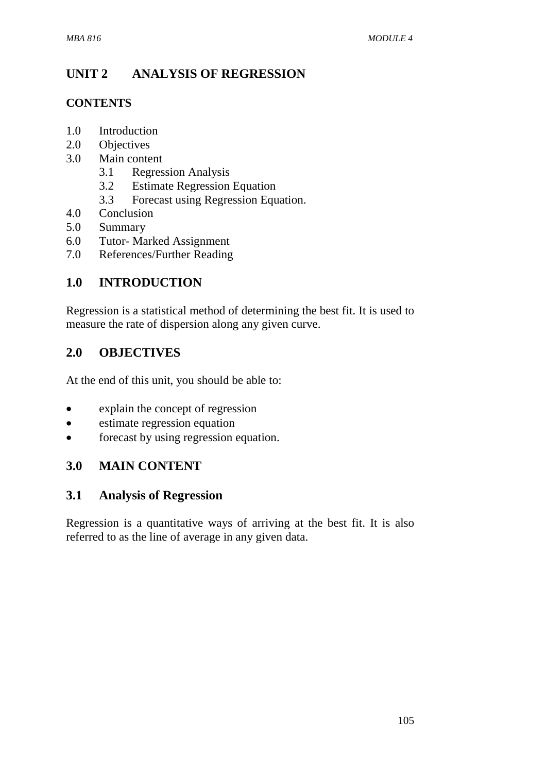# **UNIT 2 ANALYSIS OF REGRESSION**

#### **CONTENTS**

- 1.0 Introduction
- 2.0 Objectives
- 3.0 Main content
	- 3.1 Regression Analysis
	- 3.2 Estimate Regression Equation
	- 3.3 Forecast using Regression Equation.
- 4.0 Conclusion
- 5.0 Summary
- 6.0 Tutor- Marked Assignment
- 7.0 References/Further Reading

## **1.0 INTRODUCTION**

Regression is a statistical method of determining the best fit. It is used to measure the rate of dispersion along any given curve.

## **2.0 OBJECTIVES**

At the end of this unit, you should be able to:

- explain the concept of regression
- estimate regression equation
- forecast by using regression equation.

## **3.0 MAIN CONTENT**

## **3.1 Analysis of Regression**

Regression is a quantitative ways of arriving at the best fit. It is also referred to as the line of average in any given data.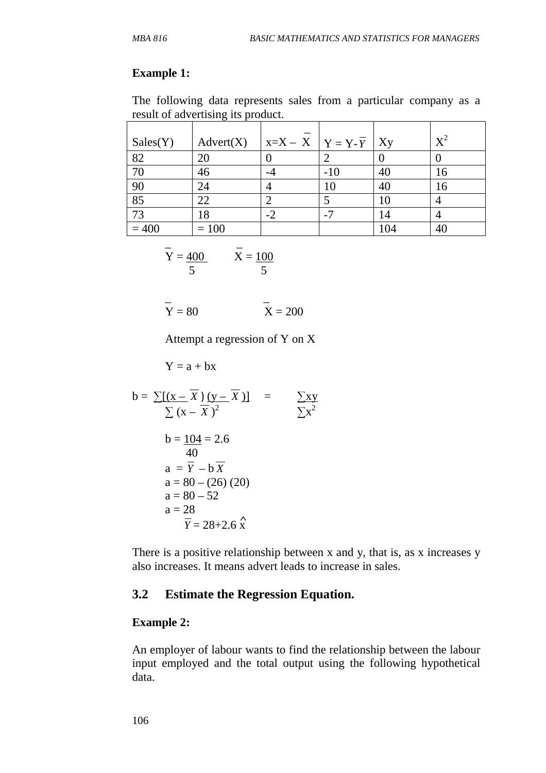#### **Example 1:**

The following data represents sales from a particular company as a result of advertising its product.

| Sales(Y) | Advert(X) | $X=X-X \mid Y=Y-Y$ |       | Xy  | $X^2$ |
|----------|-----------|--------------------|-------|-----|-------|
| 82       | 20        |                    |       |     |       |
| 70       | 46        |                    | $-10$ | 40  | 16    |
| 90       | 24        |                    | 10    | 40  | 16    |
| 85       | 22        |                    |       | 10  |       |
| 73       | 18        | $-2$               | $-1$  | 14  |       |
| $= 400$  | $= 100$   |                    |       | 104 |       |

$$
\overline{Y} = \frac{400}{5} \qquad \overline{X} = \frac{100}{5}
$$

$$
\overline{Y} = 80
$$
 
$$
\overline{X} = 200
$$

Attempt a regression of Y on X

 $Y = a + bx$ 

$$
b = \frac{\sum (x - \overline{X}) (y - \overline{X})1}{\sum (x - \overline{X})^2} = \frac{\sum xy}{\sum x^2}
$$
  
\n
$$
b = \frac{104}{40} = 2.6
$$
  
\n
$$
a = \overline{Y} - b \overline{X}
$$
  
\n
$$
a = 80 - (26) (20)
$$
  
\n
$$
a = 80 - 52
$$
  
\n
$$
a = 28
$$
  
\n
$$
\overline{Y} = 28 + 2.6 \hat{X}
$$

There is a positive relationship between x and y, that is, as x increases y also increases. It means advert leads to increase in sales.

#### **3.2 Estimate the Regression Equation.**

#### **Example 2:**

An employer of labour wants to find the relationship between the labour input employed and the total output using the following hypothetical data.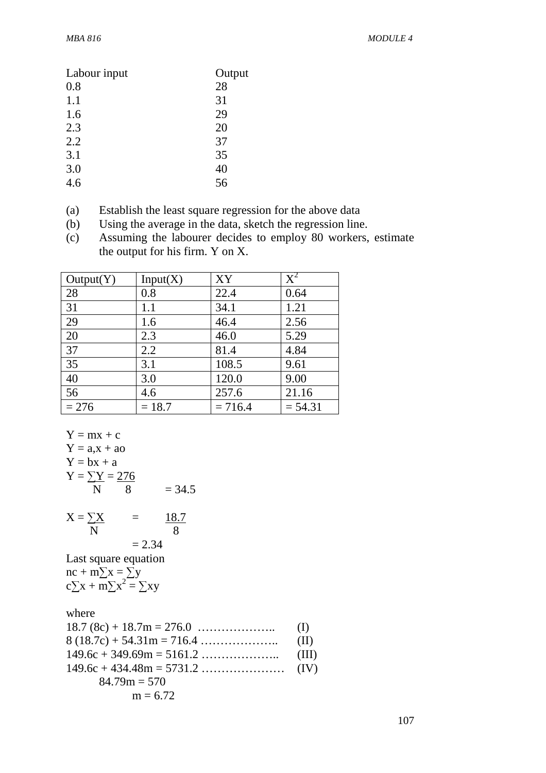| Labour input | Output |
|--------------|--------|
| 0.8          | 28     |
| 1.1          | 31     |
| 1.6          | 29     |
| 2.3          | 20     |
| 2.2          | 37     |
| 3.1          | 35     |
| 3.0          | 40     |
| 4.6          | 56     |

- (a) Establish the least square regression for the above data
- (b) Using the average in the data, sketch the regression line.

(c) Assuming the labourer decides to employ 80 workers, estimate the output for his firm. Y on X.

| Output(Y) | Input(X) | XY        | $\rm \text{X}^2$ |
|-----------|----------|-----------|------------------|
| 28        | 0.8      | 22.4      | 0.64             |
| 31        | 1.1      | 34.1      | 1.21             |
| 29        | 1.6      | 46.4      | 2.56             |
| 20        | 2.3      | 46.0      | 5.29             |
| 37        | 2.2      | 81.4      | 4.84             |
| 35        | 3.1      | 108.5     | 9.61             |
| 40        | 3.0      | 120.0     | 9.00             |
| 56        | 4.6      | 257.6     | 21.16            |
| $= 276$   | $= 18.7$ | $= 716.4$ | $= 54.31$        |

Y = mx + c  
\nY = a, x + ao  
\nY = bx + a  
\nY = 
$$
\frac{\sum Y}{N} = \frac{276}{8}
$$
  
\nX =  $\frac{\sum X}{N} = \frac{18.7}{8}$   
\n= 2.34  
\nLast square equation  
\nnc + m $\sum x = \sum y$   
\nc $\sum x + m\sum x^2 = \sum xy$   
\nwhere  
\n18.7 (8c) + 18.7m = 276.0 ......... (I)  
\n8 (18.7c) + 54.31m = 716.4 ......... (II)

| $84.79m = 570$ |  |
|----------------|--|
| $m = 6.72$     |  |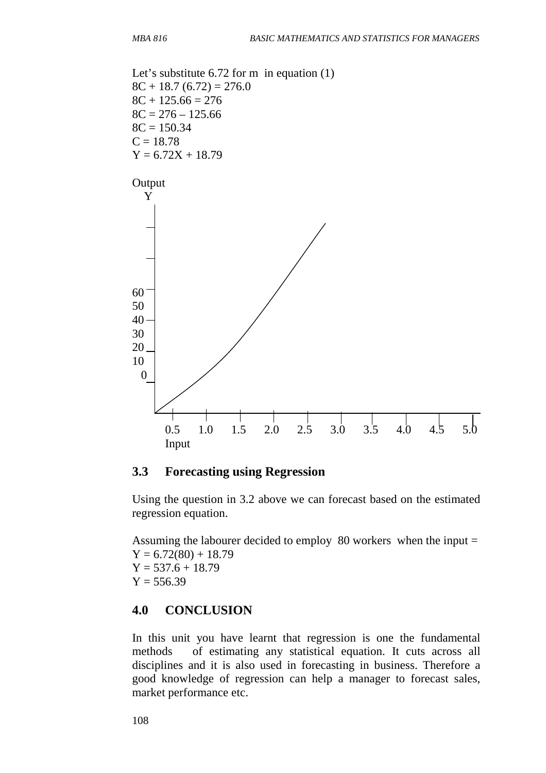Let's substitute 6.72 for m in equation  $(1)$  $8C + 18.7 (6.72) = 276.0$  $8C + 125.66 = 276$  $8C = 276 - 125.66$  $8C = 150.34$  $C = 18.78$  $Y = 6.72X + 18.79$ 



#### **3.3 Forecasting using Regression**

Using the question in 3.2 above we can forecast based on the estimated regression equation.

Assuming the labourer decided to employ 80 workers when the input =  $Y = 6.72(80) + 18.79$  $Y = 537.6 + 18.79$  $Y = 556.39$ 

#### **4.0 CONCLUSION**

In this unit you have learnt that regression is one the fundamental methods of estimating any statistical equation. It cuts across all disciplines and it is also used in forecasting in business. Therefore a good knowledge of regression can help a manager to forecast sales, market performance etc.